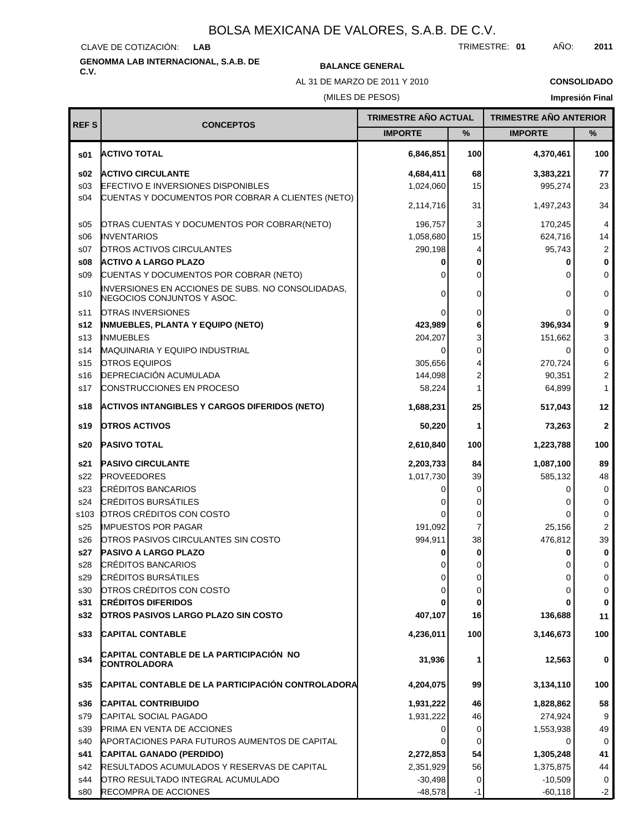CLAVE DE COTIZACIÓN: **LAB**

# **GENOMMA LAB INTERNACIONAL, S.A.B. DE C.V. BALANCE GENERAL**

AL 31 DE MARZO DE 2011 Y 2010

**CONSOLIDADO**

### (MILES DE PESOS)

| <b>REFS</b>     | <b>TRIMESTRE AÑO ACTUAL</b><br><b>CONCEPTOS</b>                                 |                | <b>TRIMESTRE AÑO ANTERIOR</b> |                |                |
|-----------------|---------------------------------------------------------------------------------|----------------|-------------------------------|----------------|----------------|
|                 |                                                                                 | <b>IMPORTE</b> | %                             | <b>IMPORTE</b> | ℅              |
| s01             | <b>ACTIVO TOTAL</b>                                                             | 6,846,851      | 100                           | 4,370,461      | 100            |
| \$02            | <b>ACTIVO CIRCULANTE</b>                                                        | 4,684,411      | 68                            | 3,383,221      | 77             |
| s03             | <b>EFECTIVO E INVERSIONES DISPONIBLES</b>                                       | 1,024,060      | 15                            | 995,274        | 23             |
| s04             | CUENTAS Y DOCUMENTOS POR COBRAR A CLIENTES (NETO)                               | 2,114,716      | 31                            | 1,497,243      | 34             |
| s05             | OTRAS CUENTAS Y DOCUMENTOS POR COBRAR(NETO)                                     | 196,757        | 3                             | 170,245        | 4              |
| \$06            | <b>INVENTARIOS</b>                                                              | 1,058,680      | 15                            | 624,716        | 14             |
| s07             | <b>OTROS ACTIVOS CIRCULANTES</b>                                                | 290,198        | 4                             | 95,743         | $\overline{2}$ |
| s08             | <b>ACTIVO A LARGO PLAZO</b>                                                     | 0              | 0                             | 0              | $\bf{0}$       |
| S <sub>09</sub> | CUENTAS Y DOCUMENTOS POR COBRAR (NETO)                                          | 0              | 0                             | O              | 0              |
| s10             | INVERSIONES EN ACCIONES DE SUBS. NO CONSOLIDADAS,<br>NEGOCIOS CONJUNTOS Y ASOC. | 0              | 0                             | 0              | 0              |
| s11             | OTRAS INVERSIONES                                                               |                | 0                             | 0              | 0              |
| s12             | <b>INMUEBLES, PLANTA Y EQUIPO (NETO)</b>                                        | 423,989        | 6                             | 396,934        | 9              |
| s13             | <b>INMUEBLES</b>                                                                | 204,207        | 3                             | 151,662        | 3              |
| s14             | <b>MAQUINARIA Y EQUIPO INDUSTRIAL</b>                                           | 0              | 0                             | 0              | 0              |
| s15             | <b>OTROS EQUIPOS</b>                                                            | 305,656        | 4                             | 270,724        | 6              |
| s16             | DEPRECIACIÓN ACUMULADA                                                          | 144,098        | 2                             | 90,351         | $\overline{2}$ |
| s17             | <b>CONSTRUCCIONES EN PROCESO</b>                                                | 58,224         | 1                             | 64,899         | 1              |
| s18             | <b>ACTIVOS INTANGIBLES Y CARGOS DIFERIDOS (NETO)</b>                            | 1,688,231      | 25                            | 517,043        | 12             |
| s19             | <b>OTROS ACTIVOS</b>                                                            | 50,220         | 1                             | 73,263         | $\mathbf{2}$   |
| s20             | <b>PASIVO TOTAL</b>                                                             | 2,610,840      | 100                           | 1,223,788      | 100            |
| s21             | <b>PASIVO CIRCULANTE</b>                                                        | 2,203,733      | 84                            | 1,087,100      | 89             |
| s22             | <b>PROVEEDORES</b>                                                              | 1,017,730      | 39                            | 585,132        | 48             |
| s23             | <b>CRÉDITOS BANCARIOS</b>                                                       | 0              | 0                             | 0              | 0              |
| s24             | <b>CRÉDITOS BURSÁTILES</b>                                                      |                | 0                             | 0              | 0              |
| s103            | OTROS CRÉDITOS CON COSTO                                                        |                | 0                             | O              | 0              |
| s25             | <b>IMPUESTOS POR PAGAR</b>                                                      | 191,092        | 7                             | 25,156         | $\overline{2}$ |
| s26             | OTROS PASIVOS CIRCULANTES SIN COSTO                                             | 994,911        | 38                            | 476,812        | 39             |
| s27             | <b>PASIVO A LARGO PLAZO</b>                                                     | 0              | 0                             | 0              | 0              |
| s28             | <b>CRÉDITOS BANCARIOS</b>                                                       |                |                               |                | 0              |
| s29             | <b>CRÉDITOS BURSÁTILES</b>                                                      | 0              | 0                             | 0              | 0              |
| s30             | OTROS CRÉDITOS CON COSTO                                                        | $\overline{0}$ | 0                             | 0              | 0              |
| s31             | <b>CRÉDITOS DIFERIDOS</b>                                                       |                | 0                             | 0              | $\bf{0}$       |
| s32             | <b>OTROS PASIVOS LARGO PLAZO SIN COSTO</b>                                      | 407,107        | 16                            | 136,688        | 11             |
| s33             | <b>CAPITAL CONTABLE</b>                                                         | 4,236,011      | 100                           | 3,146,673      | 100            |
| s34             | CAPITAL CONTABLE DE LA PARTICIPACIÓN NO<br><b>CONTROLADORA</b>                  | 31,936         | 1                             | 12,563         | 0              |
| s35             | CAPITAL CONTABLE DE LA PARTICIPACIÓN CONTROLADORA                               | 4,204,075      | 99                            | 3,134,110      | 100            |
| s36             | <b>CAPITAL CONTRIBUIDO</b>                                                      | 1,931,222      | 46                            | 1,828,862      | 58             |
| s79             | CAPITAL SOCIAL PAGADO                                                           | 1,931,222      | 46                            | 274,924        | 9              |
| s39             | <b>PRIMA EN VENTA DE ACCIONES</b>                                               | 0              | 0                             | 1,553,938      | 49             |
| s40             | APORTACIONES PARA FUTUROS AUMENTOS DE CAPITAL                                   | 0              | 0                             | 0              | $\mathbf 0$    |
| s41             | CAPITAL GANADO (PERDIDO)                                                        | 2,272,853      | 54                            | 1,305,248      | 41             |
| s42             | <b>RESULTADOS ACUMULADOS Y RESERVAS DE CAPITAL</b>                              | 2,351,929      | 56                            | 1,375,875      | 44             |
| s44             | OTRO RESULTADO INTEGRAL ACUMULADO                                               | $-30,498$      | 0                             | $-10,509$      | 0              |
| s80             | RECOMPRA DE ACCIONES                                                            | $-48,578$      | $-1$                          | $-60,118$      | $-2$           |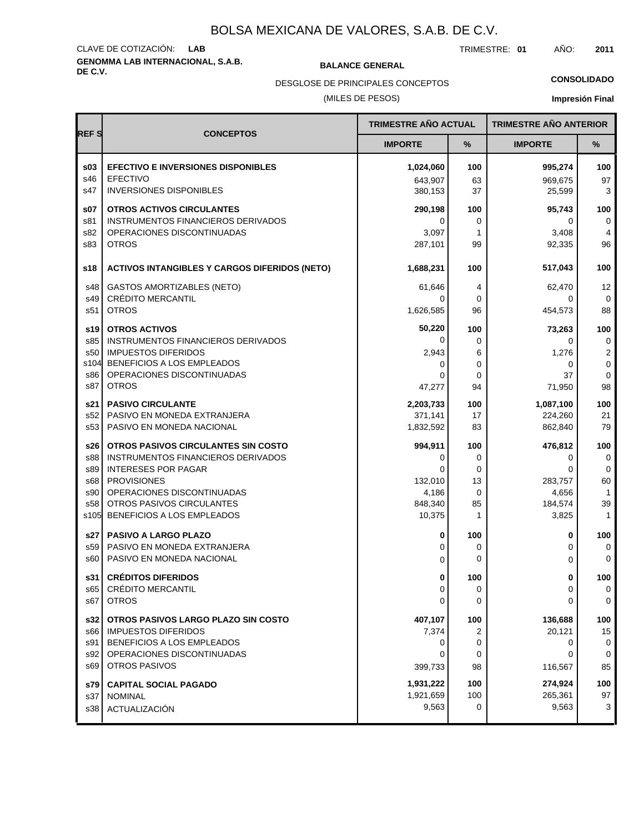# **GENOMMA LAB INTERNACIONAL, S.A.B. DE C.V. BALANCE GENERAL** CLAVE DE COTIZACIÓN: **LAB**

TRIMESTRE: **01** AÑO: **2011**

**CONSOLIDADO**

(MILES DE PESOS) DESGLOSE DE PRINCIPALES CONCEPTOS

| <b>CONCEPTOS</b><br>%<br><b>IMPORTE</b><br>%<br><b>IMPORTE</b><br>100<br>\$03<br><b>EFECTIVO E INVERSIONES DISPONIBLES</b><br>1,024,060<br>100<br>995,274<br><b>EFECTIVO</b><br>s46<br>643,907<br>63<br>969,675<br>97<br><b>INVERSIONES DISPONIBLES</b><br>s47<br>380,153<br>37<br>25,599<br>3<br>100<br>100<br>\$07<br>OTROS ACTIVOS CIRCULANTES<br>290,198<br>95,743<br><b>INSTRUMENTOS FINANCIEROS DERIVADOS</b><br>s81<br>0<br>0<br>0<br>0<br>s82<br>OPERACIONES DISCONTINUADAS<br>3,408<br>$\overline{4}$<br>3,097<br>1<br><b>OTROS</b><br>96<br>s83<br>287,101<br>99<br>92,335<br>100<br>100<br>517,043<br>s18<br><b>ACTIVOS INTANGIBLES Y CARGOS DIFERIDOS (NETO)</b><br>1,688,231<br><b>GASTOS AMORTIZABLES (NETO)</b><br>12<br>s48<br>61,646<br>4<br>62,470<br><b>CRÉDITO MERCANTIL</b><br>s49<br>0<br>0<br>0<br><b>OTROS</b><br>88<br>s51<br>1,626,585<br>96<br>454,573<br>50,220<br><b>OTROS ACTIVOS</b><br>100<br>100<br>s19<br>73,263<br>0<br>INSTRUMENTOS FINANCIEROS DERIVADOS<br>s85<br>0<br>0<br>0<br>s50<br><b>IMPUESTOS DIFERIDOS</b><br>2,943<br>1,276<br>$\overline{2}$<br>6<br>BENEFICIOS A LOS EMPLEADOS<br>s104<br>$\mathbf 0$<br>0<br>0<br>0<br>OPERACIONES DISCONTINUADAS<br>s86<br>37<br>0<br>0<br>0<br><b>OTROS</b><br>s87<br>98<br>47,277<br>94<br>71,950<br><b>PASIVO CIRCULANTE</b><br>100<br>100<br>s21<br>2,203,733<br>1,087,100<br>s52<br>PASIVO EN MONEDA EXTRANJERA<br>17<br>224,260<br>21<br>371,141<br>79<br>s53<br>PASIVO EN MONEDA NACIONAL<br>1,832,592<br>83<br>862,840<br>100<br>100<br>s26<br>OTROS PASIVOS CIRCULANTES SIN COSTO<br>994,911<br>476,812<br>INSTRUMENTOS FINANCIEROS DERIVADOS<br>s88<br>0<br>0<br>0<br>0<br><b>INTERESES POR PAGAR</b><br>0<br>s89<br>$\mathbf 0$<br>0<br>$\Omega$<br>60<br><b>PROVISIONES</b><br>s68<br>132,010<br>13<br>283,757<br>OPERACIONES DISCONTINUADAS<br>4,186<br>4,656<br>s90<br>0<br>$\mathbf{1}$<br>OTROS PASIVOS CIRCULANTES<br>85<br>184,574<br>39<br>s58<br>848,340<br>BENEFICIOS A LOS EMPLEADOS<br>s105<br>10,375<br>3,825<br>$\mathbf{1}$<br>1<br>s27<br><b>PASIVO A LARGO PLAZO</b><br>0<br>100<br>0<br>100<br>PASIVO EN MONEDA EXTRANJERA<br>s59<br>0<br>0<br>0<br>0<br>$\mathbf 0$<br>s60<br>PASIVO EN MONEDA NACIONAL<br>0<br>$\Omega$<br>0<br><b>CRÉDITOS DIFERIDOS</b><br>100<br>100<br>s31<br>0<br>0<br>CRÉDITO MERCANTIL<br>0<br>0<br>$\pmb{0}$<br>s65<br>0<br><b>OTROS</b><br>s67<br>0<br>0<br>$\Omega$<br>$\mathbf 0$<br>100<br>s32<br>OTROS PASIVOS LARGO PLAZO SIN COSTO<br>407,107<br>136,688<br>100<br><b>IMPUESTOS DIFERIDOS</b><br>7,374<br>20,121<br>15<br>s66<br>2<br>s91<br>BENEFICIOS A LOS EMPLEADOS<br>0<br>0<br>0<br>0<br>OPERACIONES DISCONTINUADAS<br>s92<br>0<br>0<br>0<br>0<br>s69<br><b>OTROS PASIVOS</b><br>399,733<br>98<br>116,567<br>85<br>100<br>100<br>1,931,222<br>274,924<br><b>CAPITAL SOCIAL PAGADO</b><br>s79 | <b>REFS</b> | <b>TRIMESTRE AÑO ACTUAL</b> |  | <b>TRIMESTRE AÑO ANTERIOR</b> |  |
|-----------------------------------------------------------------------------------------------------------------------------------------------------------------------------------------------------------------------------------------------------------------------------------------------------------------------------------------------------------------------------------------------------------------------------------------------------------------------------------------------------------------------------------------------------------------------------------------------------------------------------------------------------------------------------------------------------------------------------------------------------------------------------------------------------------------------------------------------------------------------------------------------------------------------------------------------------------------------------------------------------------------------------------------------------------------------------------------------------------------------------------------------------------------------------------------------------------------------------------------------------------------------------------------------------------------------------------------------------------------------------------------------------------------------------------------------------------------------------------------------------------------------------------------------------------------------------------------------------------------------------------------------------------------------------------------------------------------------------------------------------------------------------------------------------------------------------------------------------------------------------------------------------------------------------------------------------------------------------------------------------------------------------------------------------------------------------------------------------------------------------------------------------------------------------------------------------------------------------------------------------------------------------------------------------------------------------------------------------------------------------------------------------------------------------------------------------------------------------------------------------------------------------------------------------------------------------------------------------------------------------------------------------------------------------------------------------------------------------------------------------------------------------------------------------------------------------------------------------|-------------|-----------------------------|--|-------------------------------|--|
|                                                                                                                                                                                                                                                                                                                                                                                                                                                                                                                                                                                                                                                                                                                                                                                                                                                                                                                                                                                                                                                                                                                                                                                                                                                                                                                                                                                                                                                                                                                                                                                                                                                                                                                                                                                                                                                                                                                                                                                                                                                                                                                                                                                                                                                                                                                                                                                                                                                                                                                                                                                                                                                                                                                                                                                                                                                     |             |                             |  |                               |  |
|                                                                                                                                                                                                                                                                                                                                                                                                                                                                                                                                                                                                                                                                                                                                                                                                                                                                                                                                                                                                                                                                                                                                                                                                                                                                                                                                                                                                                                                                                                                                                                                                                                                                                                                                                                                                                                                                                                                                                                                                                                                                                                                                                                                                                                                                                                                                                                                                                                                                                                                                                                                                                                                                                                                                                                                                                                                     |             |                             |  |                               |  |
|                                                                                                                                                                                                                                                                                                                                                                                                                                                                                                                                                                                                                                                                                                                                                                                                                                                                                                                                                                                                                                                                                                                                                                                                                                                                                                                                                                                                                                                                                                                                                                                                                                                                                                                                                                                                                                                                                                                                                                                                                                                                                                                                                                                                                                                                                                                                                                                                                                                                                                                                                                                                                                                                                                                                                                                                                                                     |             |                             |  |                               |  |
|                                                                                                                                                                                                                                                                                                                                                                                                                                                                                                                                                                                                                                                                                                                                                                                                                                                                                                                                                                                                                                                                                                                                                                                                                                                                                                                                                                                                                                                                                                                                                                                                                                                                                                                                                                                                                                                                                                                                                                                                                                                                                                                                                                                                                                                                                                                                                                                                                                                                                                                                                                                                                                                                                                                                                                                                                                                     |             |                             |  |                               |  |
|                                                                                                                                                                                                                                                                                                                                                                                                                                                                                                                                                                                                                                                                                                                                                                                                                                                                                                                                                                                                                                                                                                                                                                                                                                                                                                                                                                                                                                                                                                                                                                                                                                                                                                                                                                                                                                                                                                                                                                                                                                                                                                                                                                                                                                                                                                                                                                                                                                                                                                                                                                                                                                                                                                                                                                                                                                                     |             |                             |  |                               |  |
|                                                                                                                                                                                                                                                                                                                                                                                                                                                                                                                                                                                                                                                                                                                                                                                                                                                                                                                                                                                                                                                                                                                                                                                                                                                                                                                                                                                                                                                                                                                                                                                                                                                                                                                                                                                                                                                                                                                                                                                                                                                                                                                                                                                                                                                                                                                                                                                                                                                                                                                                                                                                                                                                                                                                                                                                                                                     |             |                             |  |                               |  |
|                                                                                                                                                                                                                                                                                                                                                                                                                                                                                                                                                                                                                                                                                                                                                                                                                                                                                                                                                                                                                                                                                                                                                                                                                                                                                                                                                                                                                                                                                                                                                                                                                                                                                                                                                                                                                                                                                                                                                                                                                                                                                                                                                                                                                                                                                                                                                                                                                                                                                                                                                                                                                                                                                                                                                                                                                                                     |             |                             |  |                               |  |
|                                                                                                                                                                                                                                                                                                                                                                                                                                                                                                                                                                                                                                                                                                                                                                                                                                                                                                                                                                                                                                                                                                                                                                                                                                                                                                                                                                                                                                                                                                                                                                                                                                                                                                                                                                                                                                                                                                                                                                                                                                                                                                                                                                                                                                                                                                                                                                                                                                                                                                                                                                                                                                                                                                                                                                                                                                                     |             |                             |  |                               |  |
|                                                                                                                                                                                                                                                                                                                                                                                                                                                                                                                                                                                                                                                                                                                                                                                                                                                                                                                                                                                                                                                                                                                                                                                                                                                                                                                                                                                                                                                                                                                                                                                                                                                                                                                                                                                                                                                                                                                                                                                                                                                                                                                                                                                                                                                                                                                                                                                                                                                                                                                                                                                                                                                                                                                                                                                                                                                     |             |                             |  |                               |  |
|                                                                                                                                                                                                                                                                                                                                                                                                                                                                                                                                                                                                                                                                                                                                                                                                                                                                                                                                                                                                                                                                                                                                                                                                                                                                                                                                                                                                                                                                                                                                                                                                                                                                                                                                                                                                                                                                                                                                                                                                                                                                                                                                                                                                                                                                                                                                                                                                                                                                                                                                                                                                                                                                                                                                                                                                                                                     |             |                             |  |                               |  |
|                                                                                                                                                                                                                                                                                                                                                                                                                                                                                                                                                                                                                                                                                                                                                                                                                                                                                                                                                                                                                                                                                                                                                                                                                                                                                                                                                                                                                                                                                                                                                                                                                                                                                                                                                                                                                                                                                                                                                                                                                                                                                                                                                                                                                                                                                                                                                                                                                                                                                                                                                                                                                                                                                                                                                                                                                                                     |             |                             |  |                               |  |
|                                                                                                                                                                                                                                                                                                                                                                                                                                                                                                                                                                                                                                                                                                                                                                                                                                                                                                                                                                                                                                                                                                                                                                                                                                                                                                                                                                                                                                                                                                                                                                                                                                                                                                                                                                                                                                                                                                                                                                                                                                                                                                                                                                                                                                                                                                                                                                                                                                                                                                                                                                                                                                                                                                                                                                                                                                                     |             |                             |  |                               |  |
|                                                                                                                                                                                                                                                                                                                                                                                                                                                                                                                                                                                                                                                                                                                                                                                                                                                                                                                                                                                                                                                                                                                                                                                                                                                                                                                                                                                                                                                                                                                                                                                                                                                                                                                                                                                                                                                                                                                                                                                                                                                                                                                                                                                                                                                                                                                                                                                                                                                                                                                                                                                                                                                                                                                                                                                                                                                     |             |                             |  |                               |  |
|                                                                                                                                                                                                                                                                                                                                                                                                                                                                                                                                                                                                                                                                                                                                                                                                                                                                                                                                                                                                                                                                                                                                                                                                                                                                                                                                                                                                                                                                                                                                                                                                                                                                                                                                                                                                                                                                                                                                                                                                                                                                                                                                                                                                                                                                                                                                                                                                                                                                                                                                                                                                                                                                                                                                                                                                                                                     |             |                             |  |                               |  |
|                                                                                                                                                                                                                                                                                                                                                                                                                                                                                                                                                                                                                                                                                                                                                                                                                                                                                                                                                                                                                                                                                                                                                                                                                                                                                                                                                                                                                                                                                                                                                                                                                                                                                                                                                                                                                                                                                                                                                                                                                                                                                                                                                                                                                                                                                                                                                                                                                                                                                                                                                                                                                                                                                                                                                                                                                                                     |             |                             |  |                               |  |
|                                                                                                                                                                                                                                                                                                                                                                                                                                                                                                                                                                                                                                                                                                                                                                                                                                                                                                                                                                                                                                                                                                                                                                                                                                                                                                                                                                                                                                                                                                                                                                                                                                                                                                                                                                                                                                                                                                                                                                                                                                                                                                                                                                                                                                                                                                                                                                                                                                                                                                                                                                                                                                                                                                                                                                                                                                                     |             |                             |  |                               |  |
|                                                                                                                                                                                                                                                                                                                                                                                                                                                                                                                                                                                                                                                                                                                                                                                                                                                                                                                                                                                                                                                                                                                                                                                                                                                                                                                                                                                                                                                                                                                                                                                                                                                                                                                                                                                                                                                                                                                                                                                                                                                                                                                                                                                                                                                                                                                                                                                                                                                                                                                                                                                                                                                                                                                                                                                                                                                     |             |                             |  |                               |  |
|                                                                                                                                                                                                                                                                                                                                                                                                                                                                                                                                                                                                                                                                                                                                                                                                                                                                                                                                                                                                                                                                                                                                                                                                                                                                                                                                                                                                                                                                                                                                                                                                                                                                                                                                                                                                                                                                                                                                                                                                                                                                                                                                                                                                                                                                                                                                                                                                                                                                                                                                                                                                                                                                                                                                                                                                                                                     |             |                             |  |                               |  |
|                                                                                                                                                                                                                                                                                                                                                                                                                                                                                                                                                                                                                                                                                                                                                                                                                                                                                                                                                                                                                                                                                                                                                                                                                                                                                                                                                                                                                                                                                                                                                                                                                                                                                                                                                                                                                                                                                                                                                                                                                                                                                                                                                                                                                                                                                                                                                                                                                                                                                                                                                                                                                                                                                                                                                                                                                                                     |             |                             |  |                               |  |
|                                                                                                                                                                                                                                                                                                                                                                                                                                                                                                                                                                                                                                                                                                                                                                                                                                                                                                                                                                                                                                                                                                                                                                                                                                                                                                                                                                                                                                                                                                                                                                                                                                                                                                                                                                                                                                                                                                                                                                                                                                                                                                                                                                                                                                                                                                                                                                                                                                                                                                                                                                                                                                                                                                                                                                                                                                                     |             |                             |  |                               |  |
|                                                                                                                                                                                                                                                                                                                                                                                                                                                                                                                                                                                                                                                                                                                                                                                                                                                                                                                                                                                                                                                                                                                                                                                                                                                                                                                                                                                                                                                                                                                                                                                                                                                                                                                                                                                                                                                                                                                                                                                                                                                                                                                                                                                                                                                                                                                                                                                                                                                                                                                                                                                                                                                                                                                                                                                                                                                     |             |                             |  |                               |  |
|                                                                                                                                                                                                                                                                                                                                                                                                                                                                                                                                                                                                                                                                                                                                                                                                                                                                                                                                                                                                                                                                                                                                                                                                                                                                                                                                                                                                                                                                                                                                                                                                                                                                                                                                                                                                                                                                                                                                                                                                                                                                                                                                                                                                                                                                                                                                                                                                                                                                                                                                                                                                                                                                                                                                                                                                                                                     |             |                             |  |                               |  |
|                                                                                                                                                                                                                                                                                                                                                                                                                                                                                                                                                                                                                                                                                                                                                                                                                                                                                                                                                                                                                                                                                                                                                                                                                                                                                                                                                                                                                                                                                                                                                                                                                                                                                                                                                                                                                                                                                                                                                                                                                                                                                                                                                                                                                                                                                                                                                                                                                                                                                                                                                                                                                                                                                                                                                                                                                                                     |             |                             |  |                               |  |
|                                                                                                                                                                                                                                                                                                                                                                                                                                                                                                                                                                                                                                                                                                                                                                                                                                                                                                                                                                                                                                                                                                                                                                                                                                                                                                                                                                                                                                                                                                                                                                                                                                                                                                                                                                                                                                                                                                                                                                                                                                                                                                                                                                                                                                                                                                                                                                                                                                                                                                                                                                                                                                                                                                                                                                                                                                                     |             |                             |  |                               |  |
|                                                                                                                                                                                                                                                                                                                                                                                                                                                                                                                                                                                                                                                                                                                                                                                                                                                                                                                                                                                                                                                                                                                                                                                                                                                                                                                                                                                                                                                                                                                                                                                                                                                                                                                                                                                                                                                                                                                                                                                                                                                                                                                                                                                                                                                                                                                                                                                                                                                                                                                                                                                                                                                                                                                                                                                                                                                     |             |                             |  |                               |  |
|                                                                                                                                                                                                                                                                                                                                                                                                                                                                                                                                                                                                                                                                                                                                                                                                                                                                                                                                                                                                                                                                                                                                                                                                                                                                                                                                                                                                                                                                                                                                                                                                                                                                                                                                                                                                                                                                                                                                                                                                                                                                                                                                                                                                                                                                                                                                                                                                                                                                                                                                                                                                                                                                                                                                                                                                                                                     |             |                             |  |                               |  |
|                                                                                                                                                                                                                                                                                                                                                                                                                                                                                                                                                                                                                                                                                                                                                                                                                                                                                                                                                                                                                                                                                                                                                                                                                                                                                                                                                                                                                                                                                                                                                                                                                                                                                                                                                                                                                                                                                                                                                                                                                                                                                                                                                                                                                                                                                                                                                                                                                                                                                                                                                                                                                                                                                                                                                                                                                                                     |             |                             |  |                               |  |
|                                                                                                                                                                                                                                                                                                                                                                                                                                                                                                                                                                                                                                                                                                                                                                                                                                                                                                                                                                                                                                                                                                                                                                                                                                                                                                                                                                                                                                                                                                                                                                                                                                                                                                                                                                                                                                                                                                                                                                                                                                                                                                                                                                                                                                                                                                                                                                                                                                                                                                                                                                                                                                                                                                                                                                                                                                                     |             |                             |  |                               |  |
|                                                                                                                                                                                                                                                                                                                                                                                                                                                                                                                                                                                                                                                                                                                                                                                                                                                                                                                                                                                                                                                                                                                                                                                                                                                                                                                                                                                                                                                                                                                                                                                                                                                                                                                                                                                                                                                                                                                                                                                                                                                                                                                                                                                                                                                                                                                                                                                                                                                                                                                                                                                                                                                                                                                                                                                                                                                     |             |                             |  |                               |  |
|                                                                                                                                                                                                                                                                                                                                                                                                                                                                                                                                                                                                                                                                                                                                                                                                                                                                                                                                                                                                                                                                                                                                                                                                                                                                                                                                                                                                                                                                                                                                                                                                                                                                                                                                                                                                                                                                                                                                                                                                                                                                                                                                                                                                                                                                                                                                                                                                                                                                                                                                                                                                                                                                                                                                                                                                                                                     |             |                             |  |                               |  |
|                                                                                                                                                                                                                                                                                                                                                                                                                                                                                                                                                                                                                                                                                                                                                                                                                                                                                                                                                                                                                                                                                                                                                                                                                                                                                                                                                                                                                                                                                                                                                                                                                                                                                                                                                                                                                                                                                                                                                                                                                                                                                                                                                                                                                                                                                                                                                                                                                                                                                                                                                                                                                                                                                                                                                                                                                                                     |             |                             |  |                               |  |
|                                                                                                                                                                                                                                                                                                                                                                                                                                                                                                                                                                                                                                                                                                                                                                                                                                                                                                                                                                                                                                                                                                                                                                                                                                                                                                                                                                                                                                                                                                                                                                                                                                                                                                                                                                                                                                                                                                                                                                                                                                                                                                                                                                                                                                                                                                                                                                                                                                                                                                                                                                                                                                                                                                                                                                                                                                                     |             |                             |  |                               |  |
|                                                                                                                                                                                                                                                                                                                                                                                                                                                                                                                                                                                                                                                                                                                                                                                                                                                                                                                                                                                                                                                                                                                                                                                                                                                                                                                                                                                                                                                                                                                                                                                                                                                                                                                                                                                                                                                                                                                                                                                                                                                                                                                                                                                                                                                                                                                                                                                                                                                                                                                                                                                                                                                                                                                                                                                                                                                     |             |                             |  |                               |  |
|                                                                                                                                                                                                                                                                                                                                                                                                                                                                                                                                                                                                                                                                                                                                                                                                                                                                                                                                                                                                                                                                                                                                                                                                                                                                                                                                                                                                                                                                                                                                                                                                                                                                                                                                                                                                                                                                                                                                                                                                                                                                                                                                                                                                                                                                                                                                                                                                                                                                                                                                                                                                                                                                                                                                                                                                                                                     |             |                             |  |                               |  |
|                                                                                                                                                                                                                                                                                                                                                                                                                                                                                                                                                                                                                                                                                                                                                                                                                                                                                                                                                                                                                                                                                                                                                                                                                                                                                                                                                                                                                                                                                                                                                                                                                                                                                                                                                                                                                                                                                                                                                                                                                                                                                                                                                                                                                                                                                                                                                                                                                                                                                                                                                                                                                                                                                                                                                                                                                                                     |             |                             |  |                               |  |
|                                                                                                                                                                                                                                                                                                                                                                                                                                                                                                                                                                                                                                                                                                                                                                                                                                                                                                                                                                                                                                                                                                                                                                                                                                                                                                                                                                                                                                                                                                                                                                                                                                                                                                                                                                                                                                                                                                                                                                                                                                                                                                                                                                                                                                                                                                                                                                                                                                                                                                                                                                                                                                                                                                                                                                                                                                                     |             |                             |  |                               |  |
|                                                                                                                                                                                                                                                                                                                                                                                                                                                                                                                                                                                                                                                                                                                                                                                                                                                                                                                                                                                                                                                                                                                                                                                                                                                                                                                                                                                                                                                                                                                                                                                                                                                                                                                                                                                                                                                                                                                                                                                                                                                                                                                                                                                                                                                                                                                                                                                                                                                                                                                                                                                                                                                                                                                                                                                                                                                     |             |                             |  |                               |  |
|                                                                                                                                                                                                                                                                                                                                                                                                                                                                                                                                                                                                                                                                                                                                                                                                                                                                                                                                                                                                                                                                                                                                                                                                                                                                                                                                                                                                                                                                                                                                                                                                                                                                                                                                                                                                                                                                                                                                                                                                                                                                                                                                                                                                                                                                                                                                                                                                                                                                                                                                                                                                                                                                                                                                                                                                                                                     |             |                             |  |                               |  |
| 97<br>1,921,659<br>100<br>265,361<br>s37<br>NOMINAL                                                                                                                                                                                                                                                                                                                                                                                                                                                                                                                                                                                                                                                                                                                                                                                                                                                                                                                                                                                                                                                                                                                                                                                                                                                                                                                                                                                                                                                                                                                                                                                                                                                                                                                                                                                                                                                                                                                                                                                                                                                                                                                                                                                                                                                                                                                                                                                                                                                                                                                                                                                                                                                                                                                                                                                                 |             |                             |  |                               |  |
| 3<br>9,563<br>0<br>9,563<br>s38<br>ACTUALIZACIÓN                                                                                                                                                                                                                                                                                                                                                                                                                                                                                                                                                                                                                                                                                                                                                                                                                                                                                                                                                                                                                                                                                                                                                                                                                                                                                                                                                                                                                                                                                                                                                                                                                                                                                                                                                                                                                                                                                                                                                                                                                                                                                                                                                                                                                                                                                                                                                                                                                                                                                                                                                                                                                                                                                                                                                                                                    |             |                             |  |                               |  |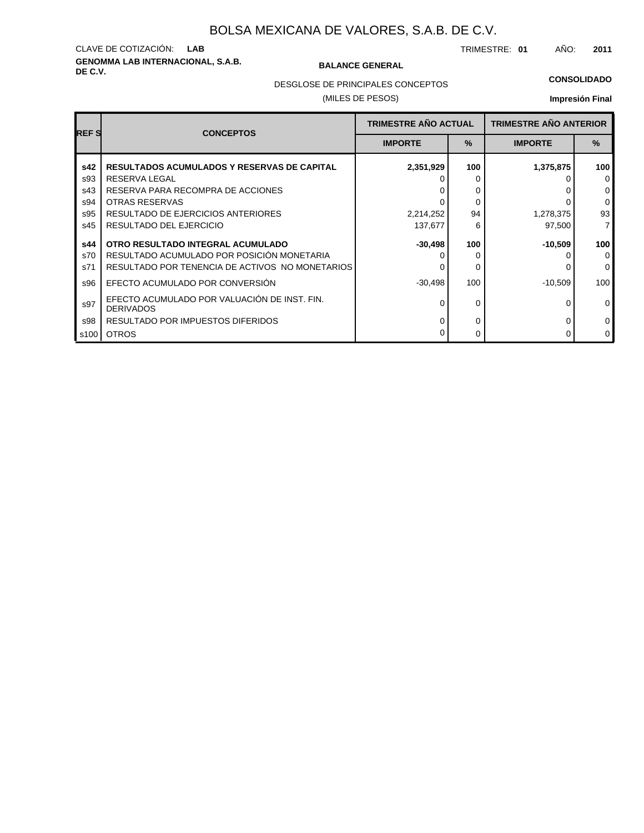# **GENOMMA LAB INTERNACIONAL, S.A.B. DE C.V. BALANCE GENERAL** CLAVE DE COTIZACIÓN: **LAB**

TRIMESTRE: **01** AÑO: **2011**

### **CONSOLIDADO**

DESGLOSE DE PRINCIPALES CONCEPTOS

### (MILES DE PESOS)

| <b>REFS</b> | <b>CONCEPTOS</b>                                                 | <b>TRIMESTRE AÑO ACTUAL</b> |      | <b>TRIMESTRE AÑO ANTERIOR</b> |                |
|-------------|------------------------------------------------------------------|-----------------------------|------|-------------------------------|----------------|
|             |                                                                  | <b>IMPORTE</b>              | $\%$ | <b>IMPORTE</b>                | $\%$           |
| s42         | <b>RESULTADOS ACUMULADOS Y RESERVAS DE CAPITAL</b>               | 2,351,929                   | 100  | 1,375,875                     | 100            |
| s93         | <b>RESERVA LEGAL</b>                                             |                             |      |                               | $\mathbf 0$    |
| s43         | RESERVA PARA RECOMPRA DE ACCIONES                                |                             | o    |                               | $\mathbf 0$    |
| s94         | OTRAS RESERVAS                                                   |                             | 0    |                               | $\mathbf 0$    |
| s95         | RESULTADO DE EJERCICIOS ANTERIORES                               | 2,214,252                   | 94   | 1,278,375                     | 93             |
| s45         | RESULTADO DEL EJERCICIO                                          | 137,677                     | 6    | 97,500                        | $\overline{7}$ |
| s44         | OTRO RESULTADO INTEGRAL ACUMULADO                                | $-30,498$                   | 100  | $-10,509$                     | 100            |
| s70         | RESULTADO ACUMULADO POR POSICIÓN MONETARIA                       |                             |      |                               | $\mathbf 0$    |
| s71         | RESULTADO POR TENENCIA DE ACTIVOS NO MONETARIOS                  |                             | 0    |                               | $\Omega$       |
| s96         | EFECTO ACUMULADO POR CONVERSIÓN                                  | $-30,498$                   | 100  | $-10,509$                     | 100            |
| s97         | EFECTO ACUMULADO POR VALUACIÓN DE INST. FIN.<br><b>DERIVADOS</b> |                             | 0    | O                             | $\mathbf 0$    |
| s98         | RESULTADO POR IMPUESTOS DIFERIDOS                                |                             | 0    |                               | $\mathbf 0$    |
| s100        | <b>OTROS</b>                                                     |                             | 0    |                               | $\mathbf 0$    |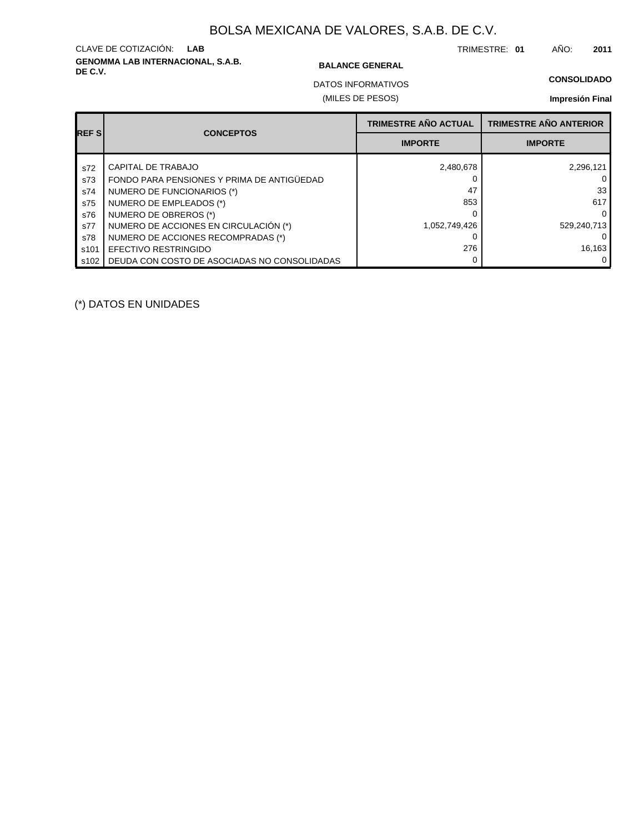# **GENOMMA LAB INTERNACIONAL, S.A.B. DE C.V. BALANCE GENERAL** CLAVE DE COTIZACIÓN: **LAB**

TRIMESTRE: **01** AÑO: **2011**

**CONSOLIDADO**

DATOS INFORMATIVOS

### (MILES DE PESOS)

### **Impresión Final**

|             |                                              | <b>TRIMESTRE AÑO ACTUAL</b> | <b>TRIMESTRE AÑO ANTERIOR</b> |
|-------------|----------------------------------------------|-----------------------------|-------------------------------|
| <b>REFS</b> | <b>CONCEPTOS</b>                             | <b>IMPORTE</b>              | <b>IMPORTE</b>                |
| s72         | CAPITAL DE TRABAJO                           | 2,480,678                   | 2,296,121                     |
| s73         | FONDO PARA PENSIONES Y PRIMA DE ANTIGÜEDAD   |                             |                               |
| s74         | NUMERO DE FUNCIONARIOS (*)                   | 47                          | 33                            |
| s75         | NUMERO DE EMPLEADOS (*)                      | 853                         | 617                           |
| s76         | NUMERO DE OBREROS (*)                        |                             | $^{(1)}$                      |
| s77         | NUMERO DE ACCIONES EN CIRCULACIÓN (*)        | 1,052,749,426               | 529.240.713                   |
| s78         | NUMERO DE ACCIONES RECOMPRADAS (*)           |                             |                               |
| s101        | <b>EFECTIVO RESTRINGIDO</b>                  | 276                         | 16,163                        |
| s102        | DEUDA CON COSTO DE ASOCIADAS NO CONSOLIDADAS |                             |                               |

(\*) DATOS EN UNIDADES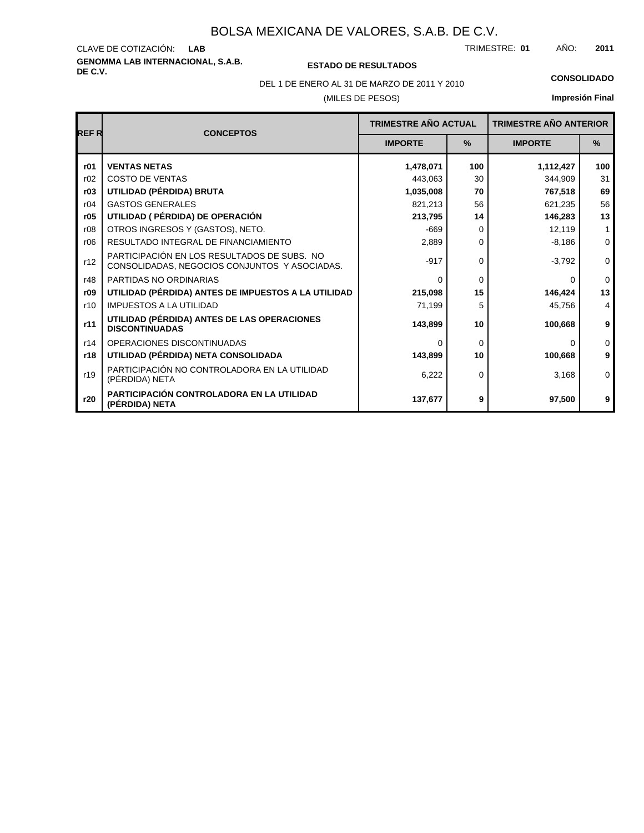# **GENOMMA LAB INTERNACIONAL, S.A.B.** CLAVE DE COTIZACIÓN:

**DE C.V. ESTADO DE RESULTADOS**

TRIMESTRE: AÑO: **LAB 01 2011**

# DEL 1 DE ENERO AL 31 DE MARZO DE 2011 Y 2010 **CONSOLIDADO**

(MILES DE PESOS)

| <b>REFR</b> | <b>CONCEPTOS</b>                                                                             | <b>TRIMESTRE AÑO ACTUAL</b> |          | <b>TRIMESTRE AÑO ANTERIOR</b> |               |
|-------------|----------------------------------------------------------------------------------------------|-----------------------------|----------|-------------------------------|---------------|
|             |                                                                                              | <b>IMPORTE</b>              | %        | <b>IMPORTE</b>                | $\frac{9}{6}$ |
| r01         | <b>VENTAS NETAS</b>                                                                          | 1,478,071                   | 100      | 1,112,427                     | 100           |
| r02         | <b>COSTO DE VENTAS</b>                                                                       | 443,063                     | 30       | 344,909                       | 31            |
| r03         | UTILIDAD (PÉRDIDA) BRUTA                                                                     | 1,035,008                   | 70       | 767,518                       | 69            |
| r04         | <b>GASTOS GENERALES</b>                                                                      | 821,213                     | 56       | 621,235                       | 56            |
| r05         | UTILIDAD ( PÉRDIDA) DE OPERACIÓN                                                             | 213,795                     | 14       | 146,283                       | 13            |
| r08         | OTROS INGRESOS Y (GASTOS), NETO.                                                             | $-669$                      | $\Omega$ | 12,119                        | $\mathbf{1}$  |
| r06         | RESULTADO INTEGRAL DE FINANCIAMIENTO                                                         | 2,889                       | $\Omega$ | $-8,186$                      | $\mathbf 0$   |
| r12         | PARTICIPACIÓN EN LOS RESULTADOS DE SUBS. NO<br>CONSOLIDADAS, NEGOCIOS CONJUNTOS Y ASOCIADAS. | $-917$                      | $\Omega$ | $-3,792$                      | $\mathbf 0$   |
| r48         | PARTIDAS NO ORDINARIAS                                                                       | $\Omega$                    | $\Omega$ | $\Omega$                      | $\mathbf 0$   |
| r09         | UTILIDAD (PÉRDIDA) ANTES DE IMPUESTOS A LA UTILIDAD                                          | 215,098                     | 15       | 146,424                       | 13            |
| r10         | <b>IMPUESTOS A LA UTILIDAD</b>                                                               | 71.199                      | 5        | 45,756                        | 4             |
| r11         | UTILIDAD (PÉRDIDA) ANTES DE LAS OPERACIONES<br><b>DISCONTINUADAS</b>                         | 143,899                     | 10       | 100,668                       | 9             |
| r14         | OPERACIONES DISCONTINUADAS                                                                   | $\Omega$                    | $\Omega$ | $\Omega$                      | $\mathbf 0$   |
| r18         | UTILIDAD (PÉRDIDA) NETA CONSOLIDADA                                                          | 143,899                     | 10       | 100,668                       | 9             |
| r19         | PARTICIPACIÓN NO CONTROLADORA EN LA UTILIDAD<br>(PÉRDIDA) NETA                               | 6,222                       | 0        | 3,168                         | $\mathbf 0$   |
| r20         | <b>PARTICIPACIÓN CONTROLADORA EN LA UTILIDAD</b><br>(PÉRDIDA) NETA                           | 137,677                     | 9        | 97,500                        | 9             |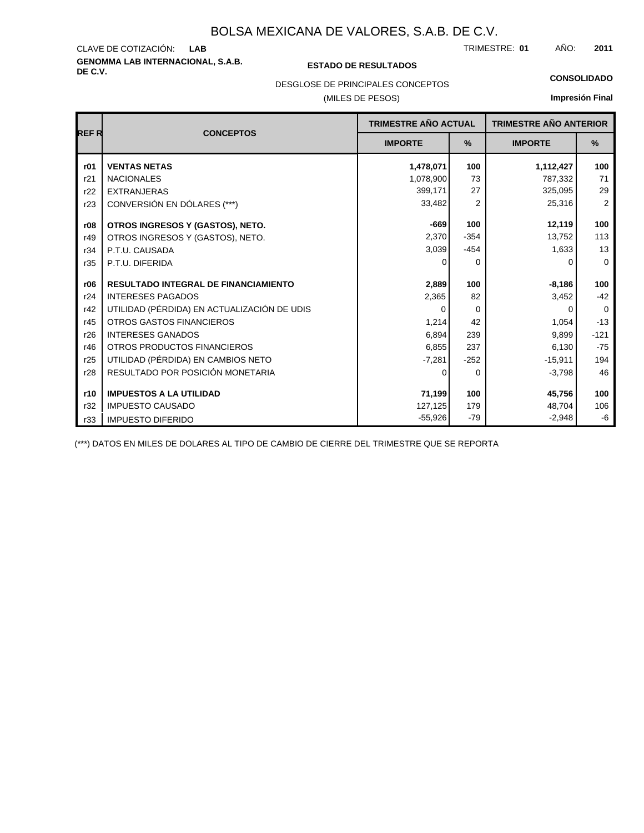# **GENOMMA LAB INTERNACIONAL, S.A.B. DE C.V. ESTADO DE RESULTADOS** CLAVE DE COTIZACIÓN:

TRIMESTRE: AÑO: **LAB 01 2011**

### DESGLOSE DE PRINCIPALES CONCEPTOS

### (MILES DE PESOS)

# **CONSOLIDADO**

**Impresión Final**

|             |                                             |                | <b>TRIMESTRE AÑO ACTUAL</b> |                | <b>TRIMESTRE AÑO ANTERIOR</b> |  |
|-------------|---------------------------------------------|----------------|-----------------------------|----------------|-------------------------------|--|
| <b>REFR</b> | <b>CONCEPTOS</b>                            | <b>IMPORTE</b> | %                           | <b>IMPORTE</b> | %                             |  |
| r01         | <b>VENTAS NETAS</b>                         | 1,478,071      | 100                         | 1,112,427      | 100                           |  |
| r21         | <b>NACIONALES</b>                           | 1,078,900      | 73                          | 787,332        | 71                            |  |
| r22         | <b>EXTRANJERAS</b>                          | 399,171        | 27                          | 325,095        | 29                            |  |
| r23         | CONVERSIÓN EN DÓLARES (***)                 | 33,482         | 2                           | 25,316         | 2                             |  |
| r08         | OTROS INGRESOS Y (GASTOS), NETO.            | $-669$         | 100                         | 12,119         | 100                           |  |
| r49         | OTROS INGRESOS Y (GASTOS), NETO.            | 2,370          | $-354$                      | 13.752         | 113                           |  |
| r34         | P.T.U. CAUSADA                              | 3,039          | $-454$                      | 1,633          | 13                            |  |
| r35         | P.T.U. DIFERIDA                             | 0              | 0                           | <sup>0</sup>   | $\mathbf 0$                   |  |
| r06         | RESULTADO INTEGRAL DE FINANCIAMIENTO        | 2,889          | 100                         | $-8,186$       | 100                           |  |
| r24         | <b>INTERESES PAGADOS</b>                    | 2,365          | 82                          | 3,452          | $-42$                         |  |
| r42         | UTILIDAD (PÉRDIDA) EN ACTUALIZACIÓN DE UDIS | U              | 0                           | <sup>0</sup>   | $\Omega$                      |  |
| r45         | <b>OTROS GASTOS FINANCIEROS</b>             | 1,214          | 42                          | 1,054          | $-13$                         |  |
| r26         | <b>INTERESES GANADOS</b>                    | 6,894          | 239                         | 9,899          | $-121$                        |  |
| r46         | OTROS PRODUCTOS FINANCIEROS                 | 6,855          | 237                         | 6,130          | $-75$                         |  |
| r25         | UTILIDAD (PÉRDIDA) EN CAMBIOS NETO          | $-7,281$       | $-252$                      | $-15,911$      | 194                           |  |
| r28         | RESULTADO POR POSICIÓN MONETARIA            | 0              | $\Omega$                    | $-3,798$       | 46                            |  |
| r10         | <b>IMPUESTOS A LA UTILIDAD</b>              | 71,199         | 100                         | 45,756         | 100                           |  |
| r32         | <b>IMPUESTO CAUSADO</b>                     | 127,125        | 179                         | 48,704         | 106                           |  |
| r33         | <b>IMPUESTO DIFERIDO</b>                    | $-55,926$      | $-79$                       | $-2,948$       | -6                            |  |

(\*\*\*) DATOS EN MILES DE DOLARES AL TIPO DE CAMBIO DE CIERRE DEL TRIMESTRE QUE SE REPORTA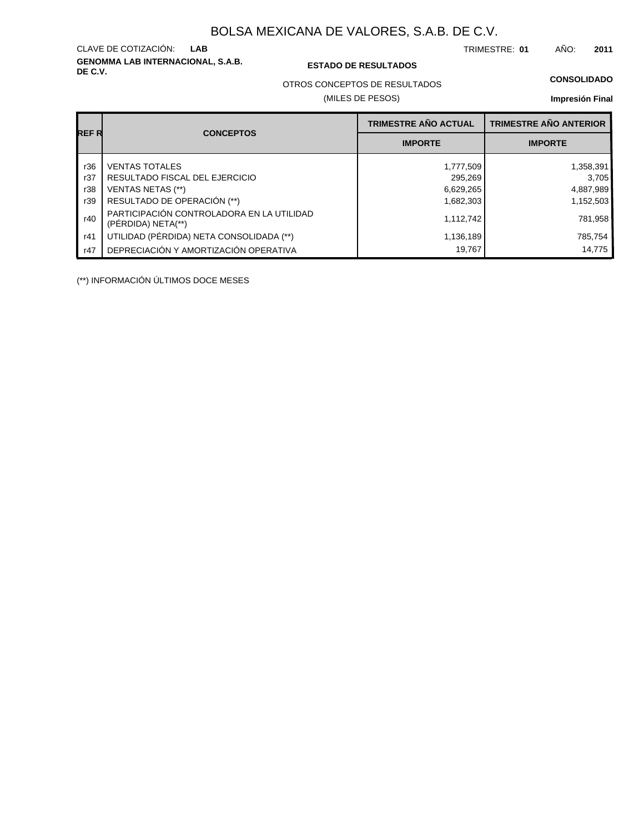**GENOMMA LAB INTERNACIONAL, S.A.B.** CLAVE DE COTIZACIÓN:

### **DE C.V. ESTADO DE RESULTADOS**

TRIMESTRE: AÑO: **LAB 01 2011**

### **CONSOLIDADO**

OTROS CONCEPTOS DE RESULTADOS

### (MILES DE PESOS)

### **Impresión Final**

|       |                                                                 | <b>TRIMESTRE AÑO ACTUAL</b> | <b>TRIMESTRE AÑO ANTERIOR</b> |
|-------|-----------------------------------------------------------------|-----------------------------|-------------------------------|
| REF R | <b>CONCEPTOS</b>                                                | <b>IMPORTE</b>              | <b>IMPORTE</b>                |
| r36   | <b>VENTAS TOTALES</b>                                           | 1,777,509                   | 1,358,391                     |
| r37   | RESULTADO FISCAL DEL EJERCICIO                                  | 295,269                     | 3,705                         |
| r38   | <b>VENTAS NETAS (**)</b>                                        | 6,629,265                   | 4,887,989                     |
| r39   | RESULTADO DE OPERACIÓN (**)                                     | 1,682,303                   | 1,152,503                     |
| r40   | PARTICIPACIÓN CONTROLADORA EN LA UTILIDAD<br>(PÉRDIDA) NETA(**) | 1,112,742                   | 781,958                       |
| r41   | UTILIDAD (PÉRDIDA) NETA CONSOLIDADA (**)                        | 1,136,189                   | 785,754                       |
| r47   | DEPRECIACIÓN Y AMORTIZACIÓN OPERATIVA                           | 19,767                      | 14.775                        |

(\*\*) INFORMACIÓN ÚLTIMOS DOCE MESES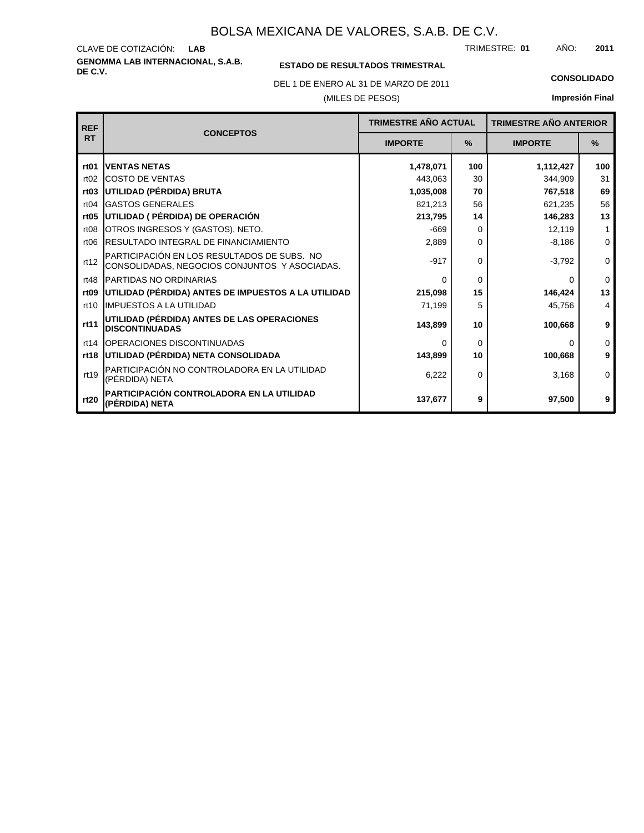**GENOMMA LAB INTERNACIONAL, S.A.B.** CLAVE DE COTIZACIÓN: TRIMESTRE: AÑO: **LAB 01 2011**

### **ESTADO DE RESULTADOS TRIMESTRAL**

DEL 1 DE ENERO AL 31 DE MARZO DE 2011 **CONSOLIDADO**

(MILES DE PESOS)

| <b>REF</b>       | <b>CONCEPTOS</b>                                                                             | <b>TRIMESTRE AÑO ACTUAL</b> |          | <b>TRIMESTRE AÑO ANTERIOR</b> |               |
|------------------|----------------------------------------------------------------------------------------------|-----------------------------|----------|-------------------------------|---------------|
| <b>RT</b>        |                                                                                              | <b>IMPORTE</b>              | $\%$     | <b>IMPORTE</b>                | $\frac{9}{6}$ |
| rt <sub>01</sub> | <b>IVENTAS NETAS</b>                                                                         | 1,478,071                   | 100      | 1,112,427                     | 100           |
| rt02             | <b>ICOSTO DE VENTAS</b>                                                                      | 443,063                     | 30       | 344,909                       | 31            |
| rt03             | UTILIDAD (PÉRDIDA) BRUTA                                                                     | 1,035,008                   | 70       | 767,518                       | 69            |
| rt04             | <b>GASTOS GENERALES</b>                                                                      | 821,213                     | 56       | 621,235                       | 56            |
| rt05             | UTILIDAD ( PÉRDIDA) DE OPERACIÓN                                                             | 213,795                     | 14       | 146,283                       | 13            |
| rt <sub>08</sub> | OTROS INGRESOS Y (GASTOS), NETO.                                                             | $-669$                      | 0        | 12,119                        | 1             |
| rt06             | <b>RESULTADO INTEGRAL DE FINANCIAMIENTO</b>                                                  | 2,889                       | $\Omega$ | $-8,186$                      | $\mathbf 0$   |
| rt12             | PARTICIPACIÓN EN LOS RESULTADOS DE SUBS. NO<br>CONSOLIDADAS, NEGOCIOS CONJUNTOS Y ASOCIADAS. | $-917$                      | 0        | $-3,792$                      | 0             |
| rt48             | <b>IPARTIDAS NO ORDINARIAS</b>                                                               | $\Omega$                    | $\Omega$ | 0                             | $\Omega$      |
| rt <sub>09</sub> | UTILIDAD (PÉRDIDA) ANTES DE IMPUESTOS A LA UTILIDAD                                          | 215,098                     | 15       | 146,424                       | 13            |
| rt10             | <b>IIMPUESTOS A LA UTILIDAD</b>                                                              | 71,199                      | 5        | 45,756                        | 4             |
| rt11             | UTILIDAD (PÉRDIDA) ANTES DE LAS OPERACIONES<br><b>DISCONTINUADAS</b>                         | 143,899                     | 10       | 100,668                       | 9             |
| rt14             | <b>OPERACIONES DISCONTINUADAS</b>                                                            | 0                           | $\Omega$ | 0                             | 0             |
| rt18             | UTILIDAD (PÉRDIDA) NETA CONSOLIDADA                                                          | 143,899                     | 10       | 100,668                       | 9             |
| rt19             | PARTICIPACIÓN NO CONTROLADORA EN LA UTILIDAD<br>(PÉRDIDA) NETA                               | 6,222                       | 0        | 3,168                         | $\mathbf 0$   |
| rt20             | IPARTICIPACIÓN CONTROLADORA EN LA UTILIDAD<br>(PÉRDIDA) NETA                                 | 137,677                     | 9        | 97,500                        | 9             |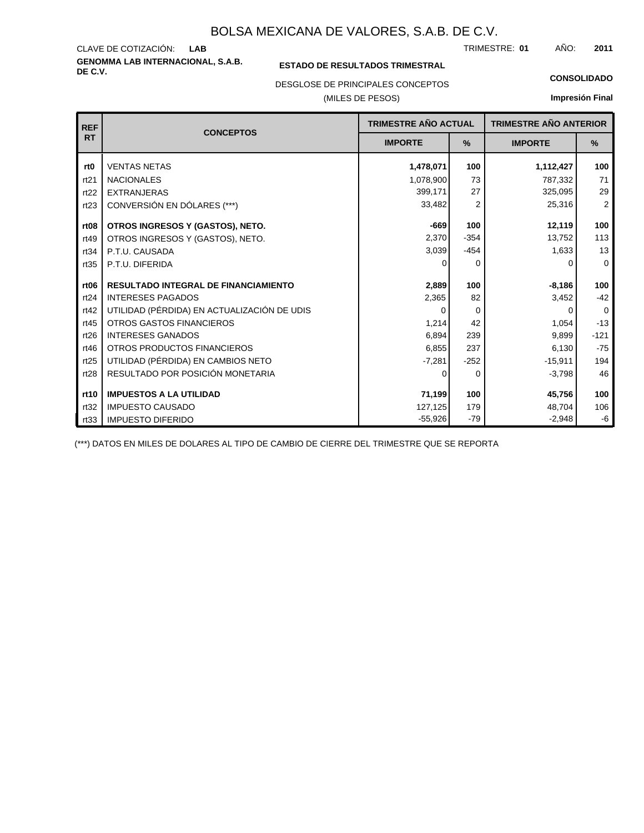**GENOMMA LAB INTERNACIONAL, S.A.B.** CLAVE DE COTIZACIÓN: TRIMESTRE: AÑO: **LAB 01 2011**

### **ESTADO DE RESULTADOS TRIMESTRAL**

DESGLOSE DE PRINCIPALES CONCEPTOS

(MILES DE PESOS)

#### **CONSOLIDADO**

**Impresión Final**

| <b>REF</b>       | <b>CONCEPTOS</b>                            | <b>TRIMESTRE AÑO ACTUAL</b> |                | <b>TRIMESTRE AÑO ANTERIOR</b> |          |
|------------------|---------------------------------------------|-----------------------------|----------------|-------------------------------|----------|
| <b>RT</b>        |                                             | <b>IMPORTE</b>              | $\frac{9}{6}$  |                               | %        |
| rt0              | <b>VENTAS NETAS</b>                         | 1,478,071                   | 100            | 1,112,427                     | 100      |
| rt21             | <b>NACIONALES</b>                           | 1,078,900                   | 73             | 787,332                       | 71       |
| rt22             | <b>EXTRANJERAS</b>                          | 399,171                     | 27             | 325,095                       | 29       |
| rt23             | CONVERSIÓN EN DÓLARES (***)                 | 33,482                      | $\overline{2}$ | 25,316                        | 2        |
| rt <sub>08</sub> | OTROS INGRESOS Y (GASTOS), NETO.            | $-669$                      | 100            | 12,119                        | 100      |
| rt49             | OTROS INGRESOS Y (GASTOS), NETO.            | 2,370                       | $-354$         | 13,752                        | 113      |
| rt34             | P.T.U. CAUSADA                              | 3,039                       | $-454$         | 1,633                         | 13       |
| rt35             | P.T.U. DIFERIDA                             | 0                           | 0              | O                             | $\Omega$ |
|                  |                                             |                             |                |                               |          |
| rt <sub>06</sub> | RESULTADO INTEGRAL DE FINANCIAMIENTO        | 2,889                       | 100            | $-8,186$                      | 100      |
| rt24             | <b>INTERESES PAGADOS</b>                    | 2,365                       | 82             | 3,452                         | $-42$    |
| rt42             | UTILIDAD (PÉRDIDA) EN ACTUALIZACIÓN DE UDIS | U                           | 0              | O                             | $\Omega$ |
| rt45             | OTROS GASTOS FINANCIEROS                    | 1,214                       | 42             | 1,054                         | $-13$    |
| rt26             | <b>INTERESES GANADOS</b>                    | 6,894                       | 239            | 9,899                         | $-121$   |
| rt46             | OTROS PRODUCTOS FINANCIEROS                 | 6,855                       | 237            | 6,130                         | $-75$    |
| rt25             | UTILIDAD (PÉRDIDA) EN CAMBIOS NETO          | $-7,281$                    | $-252$         | $-15,911$                     | 194      |
| rt28             | RESULTADO POR POSICIÓN MONETARIA            | 0                           | $\Omega$       | $-3,798$                      | 46       |
|                  |                                             |                             |                |                               |          |
| rt10             | <b>IMPUESTOS A LA UTILIDAD</b>              | 71,199                      | 100            | 45,756                        | 100      |
| rt32             | <b>IMPUESTO CAUSADO</b>                     | 127,125                     | 179            | 48,704                        | 106      |
| rt33             | <b>IMPUESTO DIFERIDO</b>                    | $-55,926$                   | $-79$          | $-2,948$                      | -6       |

(\*\*\*) DATOS EN MILES DE DOLARES AL TIPO DE CAMBIO DE CIERRE DEL TRIMESTRE QUE SE REPORTA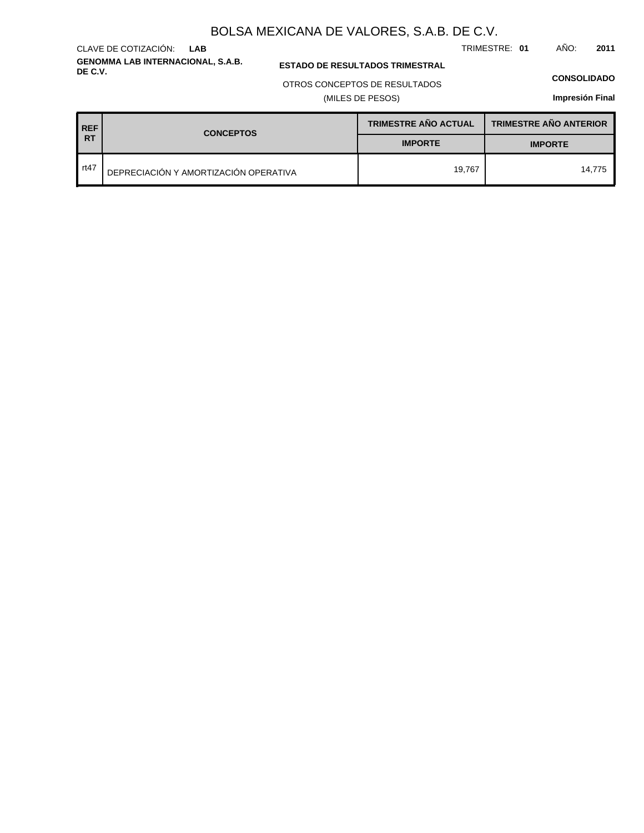**GENOMMA LAB INTERNACIONAL, S.A.B.** CLAVE DE COTIZACIÓN: **LAB**

**ESTADO DE RESULTADOS TRIMESTRAL** 

### OTROS CONCEPTOS DE RESULTADOS

(MILES DE PESOS)

### **CONSOLIDADO**

**Impresión Final**

| <b>REF</b> | <b>CONCEPTOS</b>                      | <b>TRIMESTRE AÑO ACTUAL</b> | <b>TRIMESTRE AÑO ANTERIOR</b> |
|------------|---------------------------------------|-----------------------------|-------------------------------|
| IRT        |                                       | <b>IMPORTE</b>              | <b>IMPORTE</b>                |
| $I$ rt47   | DEPRECIACIÓN Y AMORTIZACIÓN OPERATIVA | 19.767                      | 14.775                        |

TRIMESTRE: **01** AÑO: **2011**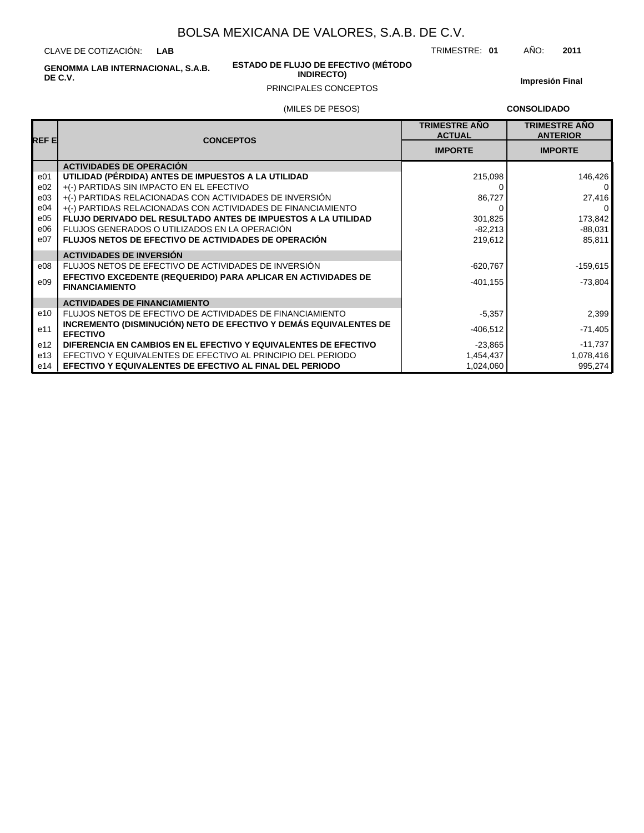CLAVE DE COTIZACIÓN: **LAB**

> **ESTADO DE FLUJO DE EFECTIVO (MÉTODO INDIRECTO)**

TRIMESTRE: **01** AÑO: **2011**

**GENOMMA LAB INTERNACIONAL, S.A.B. DE C.V.**

### PRINCIPALES CONCEPTOS

**Impresión Final**

### (MILES DE PESOS)

**CONSOLIDADO**

| REF E           | <b>CONCEPTOS</b>                                                                       | <b>TRIMESTRE AÑO</b><br><b>ACTUAL</b> | <b>TRIMESTRE AÑO</b><br><b>ANTERIOR</b> |
|-----------------|----------------------------------------------------------------------------------------|---------------------------------------|-----------------------------------------|
|                 |                                                                                        | <b>IMPORTE</b>                        | <b>IMPORTE</b>                          |
|                 | <b>ACTIVIDADES DE OPERACIÓN</b>                                                        |                                       |                                         |
| e01             | UTILIDAD (PÉRDIDA) ANTES DE IMPUESTOS A LA UTILIDAD                                    | 215,098                               | 146,426                                 |
| e02             | +(-) PARTIDAS SIN IMPACTO EN EL EFECTIVO                                               |                                       | 0                                       |
| e03             | +(-) PARTIDAS RELACIONADAS CON ACTIVIDADES DE INVERSIÓN                                | 86,727                                | 27,416                                  |
| e04             | +(-) PARTIDAS RELACIONADAS CON ACTIVIDADES DE FINANCIAMIENTO                           |                                       | 0                                       |
| e05             | FLUJO DERIVADO DEL RESULTADO ANTES DE IMPUESTOS A LA UTILIDAD                          | 301,825                               | 173,842                                 |
| e06             | FLUJOS GENERADOS O UTILIZADOS EN LA OPERACIÓN                                          | $-82,213$                             | $-88,031$                               |
| e07             | <b>FLUJOS NETOS DE EFECTIVO DE ACTIVIDADES DE OPERACIÓN</b>                            | 219,612                               | 85,811                                  |
|                 | <b>ACTIVIDADES DE INVERSIÓN</b>                                                        |                                       |                                         |
| e08             | FLUJOS NETOS DE EFECTIVO DE ACTIVIDADES DE INVERSIÓN                                   | $-620,767$                            | $-159,615$                              |
| e09             | EFECTIVO EXCEDENTE (REQUERIDO) PARA APLICAR EN ACTIVIDADES DE<br><b>FINANCIAMIENTO</b> | $-401, 155$                           | $-73,804$                               |
|                 | <b>ACTIVIDADES DE FINANCIAMIENTO</b>                                                   |                                       |                                         |
| e10             | FLUJOS NETOS DE EFECTIVO DE ACTIVIDADES DE FINANCIAMIENTO                              | $-5,357$                              | 2,399                                   |
| e11             | INCREMENTO (DISMINUCIÓN) NETO DE EFECTIVO Y DEMÁS EQUIVALENTES DE<br><b>EFECTIVO</b>   | $-406,512$                            | -71,405                                 |
| e <sub>12</sub> | DIFERENCIA EN CAMBIOS EN EL EFECTIVO Y EQUIVALENTES DE EFECTIVO                        | $-23,865$                             | $-11,737$                               |
| e13             | EFECTIVO Y EQUIVALENTES DE EFECTIVO AL PRINCIPIO DEL PERIODO                           | 1,454,437                             | 1,078,416                               |
| e14             | EFECTIVO Y EQUIVALENTES DE EFECTIVO AL FINAL DEL PERIODO                               | 1,024,060                             | 995,274                                 |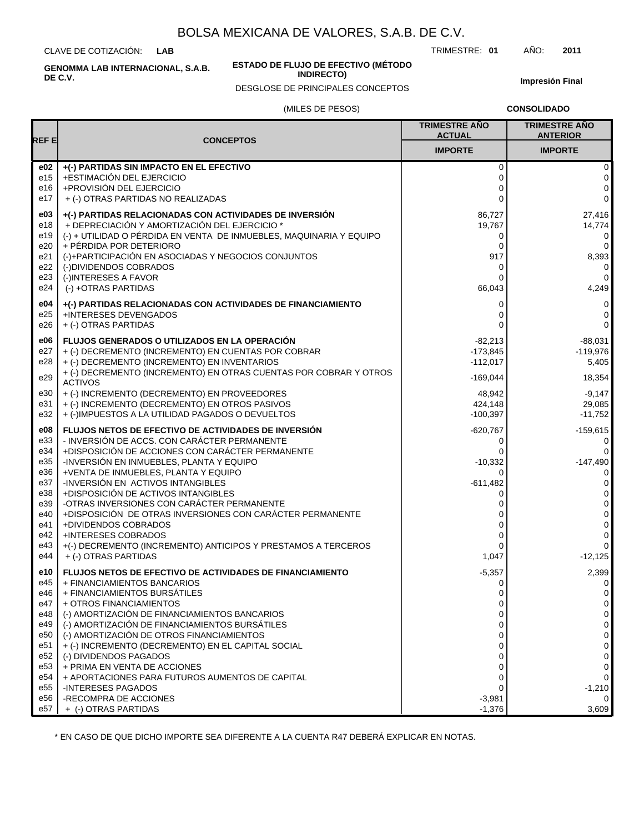CLAVE DE COTIZACIÓN: **LAB**

**DE C.V.**

**GENOMMA LAB INTERNACIONAL, S.A.B.**

**ESTADO DE FLUJO DE EFECTIVO (MÉTODO**

**INDIRECTO)** DESGLOSE DE PRINCIPALES CONCEPTOS TRIMESTRE: **01** AÑO: **2011**

**Impresión Final**

# (MILES DE PESOS)

**CONSOLIDADO**

|                                                                                         |                                                                                                                                                                                                                                                                                                                                                                                                                                                                                                                                                                                    | <b>TRIMESTRE AÑO</b><br><b>ACTUAL</b>                                                         | <b>TRIMESTRE ANO</b><br><b>ANTERIOR</b>                                                                                      |
|-----------------------------------------------------------------------------------------|------------------------------------------------------------------------------------------------------------------------------------------------------------------------------------------------------------------------------------------------------------------------------------------------------------------------------------------------------------------------------------------------------------------------------------------------------------------------------------------------------------------------------------------------------------------------------------|-----------------------------------------------------------------------------------------------|------------------------------------------------------------------------------------------------------------------------------|
| REF E                                                                                   | <b>CONCEPTOS</b>                                                                                                                                                                                                                                                                                                                                                                                                                                                                                                                                                                   | <b>IMPORTE</b>                                                                                | <b>IMPORTE</b>                                                                                                               |
| e02                                                                                     | +(-) PARTIDAS SIN IMPACTO EN EL EFECTIVO                                                                                                                                                                                                                                                                                                                                                                                                                                                                                                                                           | 0                                                                                             | 0                                                                                                                            |
| e15                                                                                     | +ESTIMACIÓN DEL EJERCICIO                                                                                                                                                                                                                                                                                                                                                                                                                                                                                                                                                          | 0                                                                                             | $\mathbf 0$                                                                                                                  |
| e16                                                                                     | +PROVISIÓN DEL EJERCICIO                                                                                                                                                                                                                                                                                                                                                                                                                                                                                                                                                           | 0                                                                                             | $\mathbf 0$                                                                                                                  |
| e17                                                                                     | + (-) OTRAS PARTIDAS NO REALIZADAS                                                                                                                                                                                                                                                                                                                                                                                                                                                                                                                                                 | 0                                                                                             | 0                                                                                                                            |
| e03                                                                                     | +(-) PARTIDAS RELACIONADAS CON ACTIVIDADES DE INVERSIÓN                                                                                                                                                                                                                                                                                                                                                                                                                                                                                                                            | 86,727                                                                                        | 27,416                                                                                                                       |
| e18                                                                                     | + DEPRECIACIÓN Y AMORTIZACIÓN DEL EJERCICIO *                                                                                                                                                                                                                                                                                                                                                                                                                                                                                                                                      | 19,767                                                                                        | 14,774                                                                                                                       |
| e19                                                                                     | (-) + UTILIDAD O PÉRDIDA EN VENTA DE INMUEBLES, MAQUINARIA Y EQUIPO                                                                                                                                                                                                                                                                                                                                                                                                                                                                                                                | 0                                                                                             | 0                                                                                                                            |
| e20                                                                                     | + PÉRDIDA POR DETERIORO                                                                                                                                                                                                                                                                                                                                                                                                                                                                                                                                                            | $\Omega$                                                                                      | $\mathbf 0$                                                                                                                  |
| e21                                                                                     | (-)+PARTICIPACIÓN EN ASOCIADAS Y NEGOCIOS CONJUNTOS                                                                                                                                                                                                                                                                                                                                                                                                                                                                                                                                | 917                                                                                           | 8,393                                                                                                                        |
| e22                                                                                     | (-)DIVIDENDOS COBRADOS                                                                                                                                                                                                                                                                                                                                                                                                                                                                                                                                                             | 0                                                                                             | 0                                                                                                                            |
| e23                                                                                     | (-)INTERESES A FAVOR                                                                                                                                                                                                                                                                                                                                                                                                                                                                                                                                                               | 0                                                                                             | $\mathbf 0$                                                                                                                  |
| e24                                                                                     | (-) +OTRAS PARTIDAS                                                                                                                                                                                                                                                                                                                                                                                                                                                                                                                                                                | 66,043                                                                                        | 4,249                                                                                                                        |
| e04                                                                                     | +(-) PARTIDAS RELACIONADAS CON ACTIVIDADES DE FINANCIAMIENTO                                                                                                                                                                                                                                                                                                                                                                                                                                                                                                                       | 0                                                                                             | $\mathbf 0$                                                                                                                  |
| e25                                                                                     | +INTERESES DEVENGADOS                                                                                                                                                                                                                                                                                                                                                                                                                                                                                                                                                              | 0                                                                                             | 0                                                                                                                            |
| e26                                                                                     | + (-) OTRAS PARTIDAS                                                                                                                                                                                                                                                                                                                                                                                                                                                                                                                                                               | 0                                                                                             | $\mathbf 0$                                                                                                                  |
| e06                                                                                     | FLUJOS GENERADOS O UTILIZADOS EN LA OPERACIÓN                                                                                                                                                                                                                                                                                                                                                                                                                                                                                                                                      | $-82,213$                                                                                     | $-88,031$                                                                                                                    |
| e27                                                                                     | + (-) DECREMENTO (INCREMENTO) EN CUENTAS POR COBRAR                                                                                                                                                                                                                                                                                                                                                                                                                                                                                                                                | $-173,845$                                                                                    | $-119,976$                                                                                                                   |
| e28                                                                                     | + (-) DECREMENTO (INCREMENTO) EN INVENTARIOS                                                                                                                                                                                                                                                                                                                                                                                                                                                                                                                                       | $-112,017$                                                                                    | 5,405                                                                                                                        |
| e29                                                                                     | + (-) DECREMENTO (INCREMENTO) EN OTRAS CUENTAS POR COBRAR Y OTROS                                                                                                                                                                                                                                                                                                                                                                                                                                                                                                                  | $-169,044$                                                                                    | 18,354                                                                                                                       |
| e30<br>e31<br>e32                                                                       | <b>ACTIVOS</b><br>+ (-) INCREMENTO (DECREMENTO) EN PROVEEDORES<br>+ (-) INCREMENTO (DECREMENTO) EN OTROS PASIVOS<br>+ (-)IMPUESTOS A LA UTILIDAD PAGADOS O DEVUELTOS                                                                                                                                                                                                                                                                                                                                                                                                               | 48,942<br>424.148<br>$-100,397$                                                               | $-9,147$<br>29,085<br>$-11.752$                                                                                              |
| e08<br>e33<br>e34<br>e35<br>e36<br>e37<br>e38<br>e39<br>e40<br>e41<br>e42<br>e43<br>e44 | <b>FLUJOS NETOS DE EFECTIVO DE ACTIVIDADES DE INVERSIÓN</b><br>- INVERSIÓN DE ACCS. CON CARÁCTER PERMANENTE<br>+DISPOSICIÓN DE ACCIONES CON CARÁCTER PERMANENTE<br>-INVERSIÓN EN INMUEBLES, PLANTA Y EQUIPO<br>+VENTA DE INMUEBLES, PLANTA Y EQUIPO<br>-INVERSIÓN EN ACTIVOS INTANGIBLES<br>+DISPOSICIÓN DE ACTIVOS INTANGIBLES<br>-OTRAS INVERSIONES CON CARÁCTER PERMANENTE<br>+DISPOSICIÓN DE OTRAS INVERSIONES CON CARÁCTER PERMANENTE<br>+DIVIDENDOS COBRADOS<br>+INTERESES COBRADOS<br>+(-) DECREMENTO (INCREMENTO) ANTICIPOS Y PRESTAMOS A TERCEROS<br>+ (-) OTRAS PARTIDAS | $-620,767$<br>0<br>0<br>$-10,332$<br>$\Omega$<br>$-611,482$<br>0<br>0<br>0<br>0<br>0<br>1,047 | $-159,615$<br>0<br>$\mathbf 0$<br>$-147,490$<br>0<br>0<br>0<br>$\mathbf 0$<br>0<br>0<br>$\mathbf 0$<br>$\Omega$<br>$-12,125$ |
| e10                                                                                     | <b>FLUJOS NETOS DE EFECTIVO DE ACTIVIDADES DE FINANCIAMIENTO</b>                                                                                                                                                                                                                                                                                                                                                                                                                                                                                                                   | $-5,357$                                                                                      | 2,399                                                                                                                        |
| e45                                                                                     | + FINANCIAMIENTOS BANCARIOS                                                                                                                                                                                                                                                                                                                                                                                                                                                                                                                                                        | 0                                                                                             | 0                                                                                                                            |
| e46                                                                                     | + FINANCIAMIENTOS BURSATILES                                                                                                                                                                                                                                                                                                                                                                                                                                                                                                                                                       | 0                                                                                             | 0                                                                                                                            |
| e47                                                                                     | + OTROS FINANCIAMIENTOS                                                                                                                                                                                                                                                                                                                                                                                                                                                                                                                                                            | 0                                                                                             | $\mathbf 0$                                                                                                                  |
| e48                                                                                     | (-) AMORTIZACIÓN DE FINANCIAMIENTOS BANCARIOS                                                                                                                                                                                                                                                                                                                                                                                                                                                                                                                                      | 0                                                                                             | 0                                                                                                                            |
| e49                                                                                     | (-) AMORTIZACIÓN DE FINANCIAMIENTOS BURSÁTILES                                                                                                                                                                                                                                                                                                                                                                                                                                                                                                                                     | 0                                                                                             | 0                                                                                                                            |
| e50                                                                                     | (-) AMORTIZACIÓN DE OTROS FINANCIAMIENTOS                                                                                                                                                                                                                                                                                                                                                                                                                                                                                                                                          | 0                                                                                             | 0                                                                                                                            |
| e51                                                                                     | + (-) INCREMENTO (DECREMENTO) EN EL CAPITAL SOCIAL                                                                                                                                                                                                                                                                                                                                                                                                                                                                                                                                 | 0                                                                                             | 0                                                                                                                            |
| e52                                                                                     | (-) DIVIDENDOS PAGADOS                                                                                                                                                                                                                                                                                                                                                                                                                                                                                                                                                             | 0                                                                                             | 0                                                                                                                            |
| e <sub>53</sub>                                                                         | + PRIMA EN VENTA DE ACCIONES                                                                                                                                                                                                                                                                                                                                                                                                                                                                                                                                                       | 0                                                                                             | 0                                                                                                                            |
| e54                                                                                     | + APORTACIONES PARA FUTUROS AUMENTOS DE CAPITAL                                                                                                                                                                                                                                                                                                                                                                                                                                                                                                                                    | 0                                                                                             | 0                                                                                                                            |
| e55                                                                                     | -INTERESES PAGADOS                                                                                                                                                                                                                                                                                                                                                                                                                                                                                                                                                                 | $\Omega$                                                                                      | $-1,210$                                                                                                                     |
| e56                                                                                     | -RECOMPRA DE ACCIONES                                                                                                                                                                                                                                                                                                                                                                                                                                                                                                                                                              | $-3,981$                                                                                      | $\Omega$                                                                                                                     |
| e57                                                                                     | + (-) OTRAS PARTIDAS                                                                                                                                                                                                                                                                                                                                                                                                                                                                                                                                                               | $-1,376$                                                                                      | 3,609                                                                                                                        |

\* EN CASO DE QUE DICHO IMPORTE SEA DIFERENTE A LA CUENTA R47 DEBERÁ EXPLICAR EN NOTAS.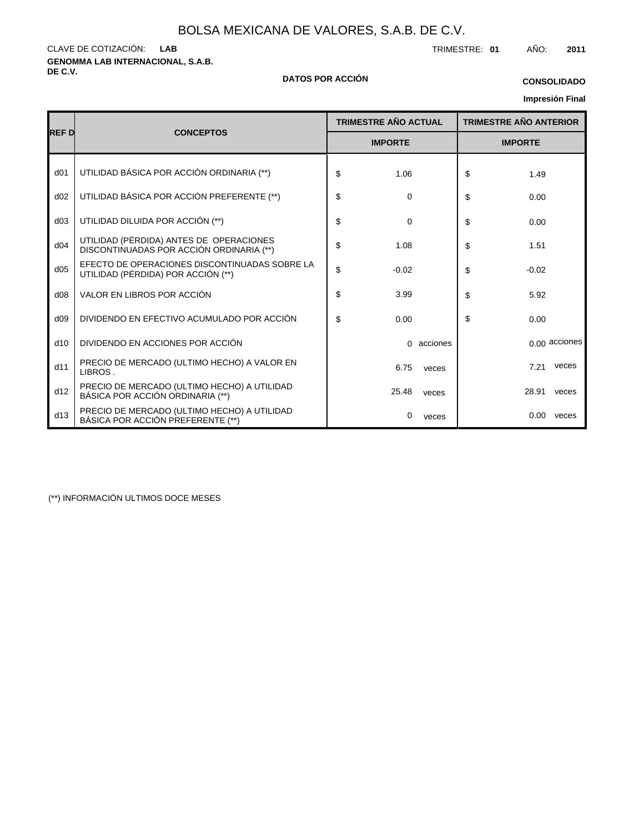**GENOMMA LAB INTERNACIONAL, S.A.B.** CLAVE DE COTIZACIÓN: TRIMESTRE: **01** AÑO: **2011 LAB**

### **DE C.V. DATOS POR ACCIÓN**

### **CONSOLIDADO**

## **Impresión Final**

|                 | <b>REF D</b><br><b>CONCEPTOS</b>                                                    |    | <b>TRIMESTRE AÑO ACTUAL</b> |            | <b>TRIMESTRE AÑO ANTERIOR</b> |         |                 |
|-----------------|-------------------------------------------------------------------------------------|----|-----------------------------|------------|-------------------------------|---------|-----------------|
|                 |                                                                                     |    | <b>IMPORTE</b>              |            | <b>IMPORTE</b>                |         |                 |
| d <sub>01</sub> | UTILIDAD BÁSICA POR ACCIÓN ORDINARIA (**)                                           | \$ | 1.06                        |            | \$                            | 1.49    |                 |
| d02             | UTILIDAD BÁSICA POR ACCIÓN PREFERENTE (**)                                          | \$ | $\mathbf 0$                 |            | \$                            | 0.00    |                 |
| d03             | UTILIDAD DILUIDA POR ACCIÓN (**)                                                    | \$ | $\mathbf 0$                 |            | \$                            | 0.00    |                 |
| d04             | UTILIDAD (PÉRDIDA) ANTES DE OPERACIONES<br>DISCONTINUADAS POR ACCIÓN ORDINARIA (**) | \$ | 1.08                        |            | \$                            | 1.51    |                 |
| d05             | EFECTO DE OPERACIONES DISCONTINUADAS SOBRE LA<br>UTILIDAD (PÉRDIDA) POR ACCIÓN (**) | \$ | $-0.02$                     |            | \$                            | $-0.02$ |                 |
| d08             | VALOR EN LIBROS POR ACCIÓN                                                          | \$ | 3.99                        |            | \$                            | 5.92    |                 |
| d09             | DIVIDENDO EN EFECTIVO ACUMULADO POR ACCIÓN                                          | \$ | 0.00                        |            | \$                            | 0.00    |                 |
| d10             | DIVIDENDO EN ACCIONES POR ACCIÓN                                                    |    |                             | 0 acciones |                               |         | $0.00$ acciones |
| d11             | PRECIO DE MERCADO (ULTIMO HECHO) A VALOR EN<br>LIBROS.                              |    | 6.75                        | veces      |                               | 7.21    | veces           |
| d12             | PRECIO DE MERCADO (ULTIMO HECHO) A UTILIDAD<br>BÁSICA POR ACCIÓN ORDINARIA (**)     |    | 25.48                       | veces      |                               | 28.91   | veces           |
| d13             | PRECIO DE MERCADO (ULTIMO HECHO) A UTILIDAD<br>BÁSICA POR ACCIÓN PREFERENTE (**)    |    | 0                           | veces      |                               | 0.00    | veces           |

(\*\*) INFORMACIÓN ULTIMOS DOCE MESES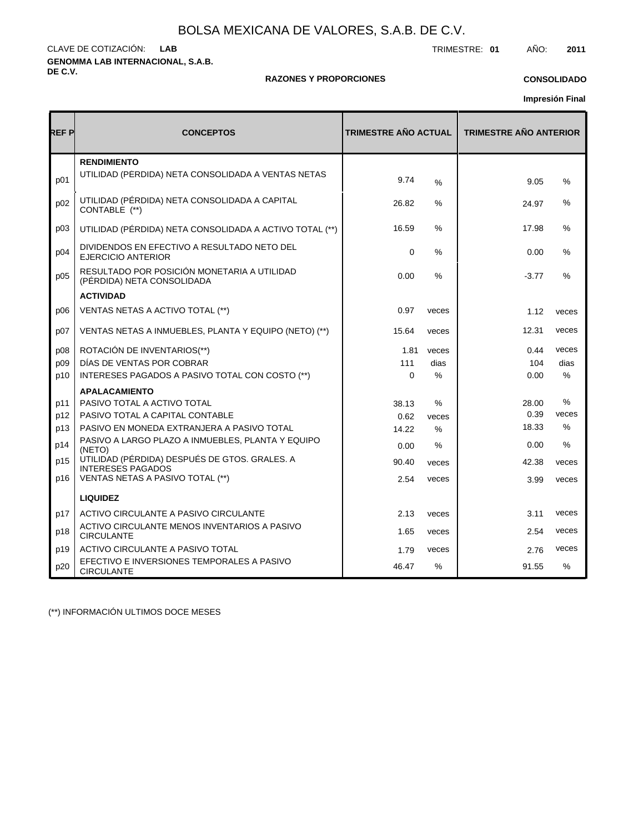**GENOMMA LAB INTERNACIONAL, S.A.B. DE C.V.** CLAVE DE COTIZACIÓN: TRIMESTRE: **01** AÑO: **2011 LAB**

### **RAZONES Y PROPORCIONES**

## **CONSOLIDADO**

**Impresión Final**

| REF P | <b>CONCEPTOS</b>                                                          | TRIMESTRE AÑO ACTUAL |               | <b>TRIMESTRE AÑO ANTERIOR</b> |               |
|-------|---------------------------------------------------------------------------|----------------------|---------------|-------------------------------|---------------|
| p01   | <b>RENDIMIENTO</b><br>UTILIDAD (PÉRDIDA) NETA CONSOLIDADA A VENTAS NETAS  | 9.74                 | $\%$          | 9.05                          | %             |
| p02   | UTILIDAD (PÉRDIDA) NETA CONSOLIDADA A CAPITAL<br>CONTABLE (**)            | 26.82                | $\%$          | 24.97                         | %             |
| p03   | UTILIDAD (PÉRDIDA) NETA CONSOLIDADA A ACTIVO TOTAL (**)                   | 16.59                | %             | 17.98                         | %             |
| p04   | DIVIDENDOS EN EFECTIVO A RESULTADO NETO DEL<br><b>EJERCICIO ANTERIOR</b>  | $\mathbf 0$          | %             | 0.00                          | %             |
| p05   | RESULTADO POR POSICIÓN MONETARIA A UTILIDAD<br>(PÉRDIDA) NETA CONSOLIDADA | 0.00                 | $\%$          | $-3.77$                       | $\%$          |
|       | <b>ACTIVIDAD</b>                                                          |                      |               |                               |               |
| p06   | VENTAS NETAS A ACTIVO TOTAL (**)                                          | 0.97                 | veces         | 1.12                          | veces         |
| p07   | VENTAS NETAS A INMUEBLES, PLANTA Y EQUIPO (NETO) (**)                     | 15.64                | veces         | 12.31                         | veces         |
| p08   | ROTACIÓN DE INVENTARIOS(**)                                               | 1.81                 | veces         | 0.44                          | veces         |
| p09   | DIAS DE VENTAS POR COBRAR                                                 | 111                  | dias          | 104                           | dias          |
| p10   | INTERESES PAGADOS A PASIVO TOTAL CON COSTO (**)                           | $\Omega$             | $\frac{0}{0}$ | 0.00                          | $\%$          |
|       | <b>APALACAMIENTO</b>                                                      |                      |               |                               |               |
| p11   | PASIVO TOTAL A ACTIVO TOTAL                                               | 38.13                | $\%$          | 28.00                         | %             |
| p12   | PASIVO TOTAL A CAPITAL CONTABLE                                           | 0.62                 | veces         | 0.39                          | veces         |
| p13   | PASIVO EN MONEDA EXTRANJERA A PASIVO TOTAL                                | 14.22                | %             | 18.33                         | $\%$          |
| p14   | PASIVO A LARGO PLAZO A INMUEBLES, PLANTA Y EQUIPO<br>(NETO)               | 0.00                 | %             | 0.00                          | $\frac{0}{0}$ |
| p15   | UTILIDAD (PÉRDIDA) DESPUÉS DE GTOS, GRALES, A<br><b>INTERESES PAGADOS</b> | 90.40                | veces         | 42.38                         | veces         |
| p16   | VENTAS NETAS A PASIVO TOTAL (**)                                          | 2.54                 | veces         | 3.99                          | veces         |
|       | <b>LIQUIDEZ</b>                                                           |                      |               |                               |               |
| p17   | ACTIVO CIRCULANTE A PASIVO CIRCULANTE                                     | 2.13                 | veces         | 3.11                          | veces         |
| p18   | ACTIVO CIRCULANTE MENOS INVENTARIOS A PASIVO<br><b>CIRCULANTE</b>         | 1.65                 | veces         | 2.54                          | veces         |
| p19   | ACTIVO CIRCULANTE A PASIVO TOTAL                                          | 1.79                 | veces         | 2.76                          | veces         |
| p20   | EFECTIVO E INVERSIONES TEMPORALES A PASIVO<br><b>CIRCULANTE</b>           | 46.47                | $\%$          | 91.55                         | $\%$          |

(\*\*) INFORMACIÓN ULTIMOS DOCE MESES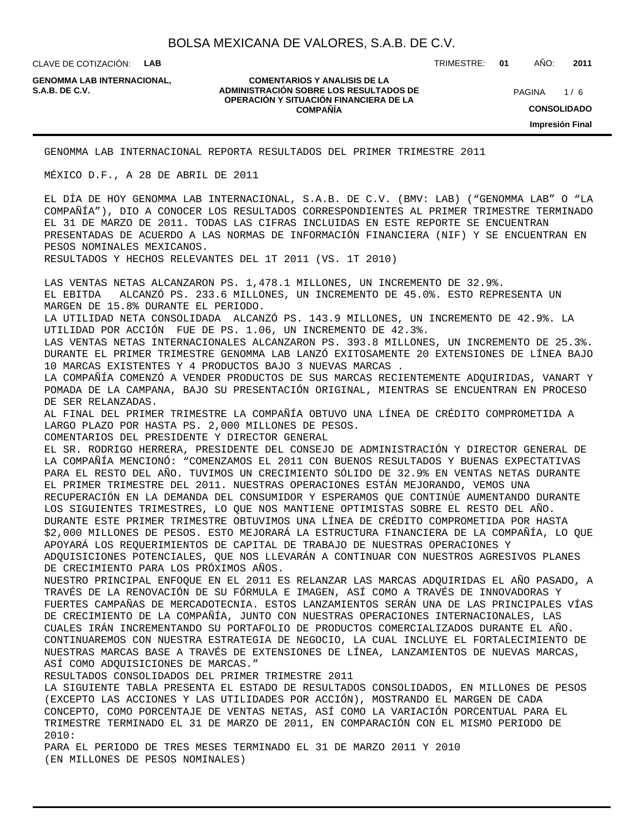CLAVE DE COTIZACIÓN: **LAB**

**GENOMMA LAB INTERNACIONAL,**

#### **COMENTARIOS Y ANALISIS DE LA ADMINISTRACIÓN SOBRE LOS RESULTADOS DE S.A.B. DE C.V.** PAGINA / 6 **OPERACIÓN Y SITUACIÓN FINANCIERA DE LA COMPAÑÍA**

 $1/6$ **CONSOLIDADO Impresión Final**

TRIMESTRE: **01** AÑO: **2011**

GENOMMA LAB INTERNACIONAL REPORTA RESULTADOS DEL PRIMER TRIMESTRE 2011

MÉXICO D.F., A 28 DE ABRIL DE 2011

EL DÍA DE HOY GENOMMA LAB INTERNACIONAL, S.A.B. DE C.V. (BMV: LAB) ("GENOMMA LAB" O "LA COMPAÑÍA"), DIO A CONOCER LOS RESULTADOS CORRESPONDIENTES AL PRIMER TRIMESTRE TERMINADO EL 31 DE MARZO DE 2011. TODAS LAS CIFRAS INCLUIDAS EN ESTE REPORTE SE ENCUENTRAN PRESENTADAS DE ACUERDO A LAS NORMAS DE INFORMACIÓN FINANCIERA (NIF) Y SE ENCUENTRAN EN PESOS NOMINALES MEXICANOS.

RESULTADOS Y HECHOS RELEVANTES DEL 1T 2011 (VS. 1T 2010)

 LAS VENTAS NETAS ALCANZARON PS. 1,478.1 MILLONES, UN INCREMENTO DE 32.9%. EL EBITDA ALCANZÓ PS. 233.6 MILLONES, UN INCREMENTO DE 45.0%. ESTO REPRESENTA UN MARGEN DE 15.8% DURANTE EL PERIODO.

 LA UTILIDAD NETA CONSOLIDADA ALCANZÓ PS. 143.9 MILLONES, UN INCREMENTO DE 42.9%. LA UTILIDAD POR ACCIÓN FUE DE PS. 1.06, UN INCREMENTO DE 42.3%.

 LAS VENTAS NETAS INTERNACIONALES ALCANZARON PS. 393.8 MILLONES, UN INCREMENTO DE 25.3%. DURANTE EL PRIMER TRIMESTRE GENOMMA LAB LANZÓ EXITOSAMENTE 20 EXTENSIONES DE LÍNEA BAJO 10 MARCAS EXISTENTES Y 4 PRODUCTOS BAJO 3 NUEVAS MARCAS .

 LA COMPAÑÍA COMENZÓ A VENDER PRODUCTOS DE SUS MARCAS RECIENTEMENTE ADQUIRIDAS, VANART Y POMADA DE LA CAMPANA, BAJO SU PRESENTACIÓN ORIGINAL, MIENTRAS SE ENCUENTRAN EN PROCESO DE SER RELANZADAS.

 AL FINAL DEL PRIMER TRIMESTRE LA COMPAÑÍA OBTUVO UNA LÍNEA DE CRÉDITO COMPROMETIDA A LARGO PLAZO POR HASTA PS. 2,000 MILLONES DE PESOS.

COMENTARIOS DEL PRESIDENTE Y DIRECTOR GENERAL

EL SR. RODRIGO HERRERA, PRESIDENTE DEL CONSEJO DE ADMINISTRACIÓN Y DIRECTOR GENERAL DE LA COMPAÑÍA MENCIONÓ: "COMENZAMOS EL 2011 CON BUENOS RESULTADOS Y BUENAS EXPECTATIVAS PARA EL RESTO DEL AÑO. TUVIMOS UN CRECIMIENTO SÓLIDO DE 32.9% EN VENTAS NETAS DURANTE EL PRIMER TRIMESTRE DEL 2011. NUESTRAS OPERACIONES ESTÁN MEJORANDO, VEMOS UNA RECUPERACIÓN EN LA DEMANDA DEL CONSUMIDOR Y ESPERAMOS QUE CONTINÚE AUMENTANDO DURANTE LOS SIGUIENTES TRIMESTRES, LO QUE NOS MANTIENE OPTIMISTAS SOBRE EL RESTO DEL AÑO. DURANTE ESTE PRIMER TRIMESTRE OBTUVIMOS UNA LÍNEA DE CRÉDITO COMPROMETIDA POR HASTA \$2,000 MILLONES DE PESOS. ESTO MEJORARÁ LA ESTRUCTURA FINANCIERA DE LA COMPAÑÍA, LO QUE APOYARÁ LOS REQUERIMIENTOS DE CAPITAL DE TRABAJO DE NUESTRAS OPERACIONES Y ADQUISICIONES POTENCIALES, QUE NOS LLEVARÁN A CONTINUAR CON NUESTROS AGRESIVOS PLANES DE CRECIMIENTO PARA LOS PRÓXIMOS AÑOS.

NUESTRO PRINCIPAL ENFOQUE EN EL 2011 ES RELANZAR LAS MARCAS ADQUIRIDAS EL AÑO PASADO, A TRAVÉS DE LA RENOVACIÓN DE SU FÓRMULA E IMAGEN, ASÍ COMO A TRAVÉS DE INNOVADORAS Y FUERTES CAMPAÑAS DE MERCADOTECNIA. ESTOS LANZAMIENTOS SERÁN UNA DE LAS PRINCIPALES VÍAS DE CRECIMIENTO DE LA COMPAÑÍA, JUNTO CON NUESTRAS OPERACIONES INTERNACIONALES, LAS CUALES IRÁN INCREMENTANDO SU PORTAFOLIO DE PRODUCTOS COMERCIALIZADOS DURANTE EL AÑO. CONTINUAREMOS CON NUESTRA ESTRATEGIA DE NEGOCIO, LA CUAL INCLUYE EL FORTALECIMIENTO DE NUESTRAS MARCAS BASE A TRAVÉS DE EXTENSIONES DE LÍNEA, LANZAMIENTOS DE NUEVAS MARCAS, ASÍ COMO ADQUISICIONES DE MARCAS."

RESULTADOS CONSOLIDADOS DEL PRIMER TRIMESTRE 2011

LA SIGUIENTE TABLA PRESENTA EL ESTADO DE RESULTADOS CONSOLIDADOS, EN MILLONES DE PESOS (EXCEPTO LAS ACCIONES Y LAS UTILIDADES POR ACCIÓN), MOSTRANDO EL MARGEN DE CADA CONCEPTO, COMO PORCENTAJE DE VENTAS NETAS, ASÍ COMO LA VARIACIÓN PORCENTUAL PARA EL TRIMESTRE TERMINADO EL 31 DE MARZO DE 2011, EN COMPARACIÓN CON EL MISMO PERIODO DE 2010:

PARA EL PERIODO DE TRES MESES TERMINADO EL 31 DE MARZO 2011 Y 2010 (EN MILLONES DE PESOS NOMINALES)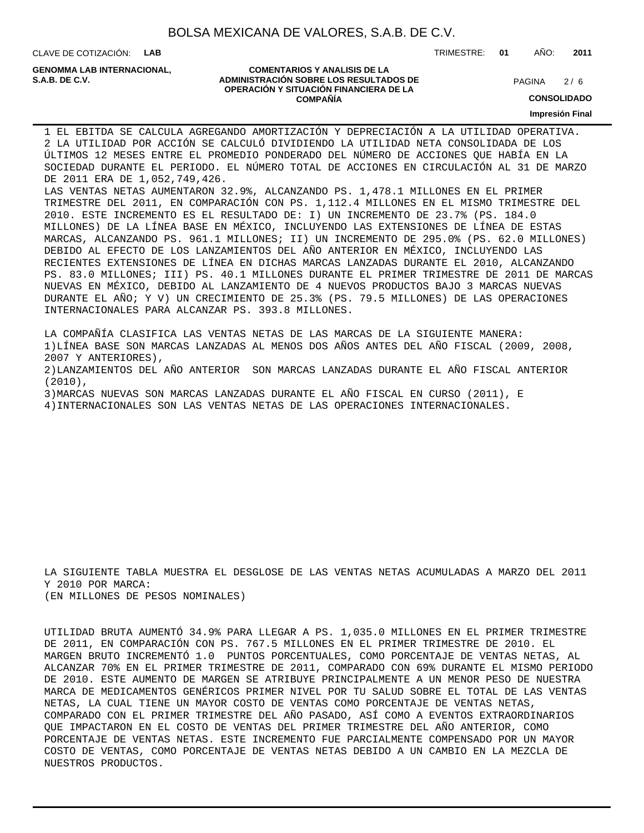CLAVE DE COTIZACIÓN: **LAB**

**GENOMMA LAB INTERNACIONAL,**

#### **COMENTARIOS Y ANALISIS DE LA ADMINISTRACIÓN SOBRE LOS RESULTADOS DE PAGINA 2/6** PAGINA 2/6 **OPERACIÓN Y SITUACIÓN FINANCIERA DE LA COMPAÑÍA**

 $2/6$ 

TRIMESTRE: **01** AÑO: **2011**

**CONSOLIDADO**

**Impresión Final**

1 EL EBITDA SE CALCULA AGREGANDO AMORTIZACIÓN Y DEPRECIACIÓN A LA UTILIDAD OPERATIVA. 2 LA UTILIDAD POR ACCIÓN SE CALCULÓ DIVIDIENDO LA UTILIDAD NETA CONSOLIDADA DE LOS ÚLTIMOS 12 MESES ENTRE EL PROMEDIO PONDERADO DEL NÚMERO DE ACCIONES QUE HABÍA EN LA SOCIEDAD DURANTE EL PERIODO. EL NÚMERO TOTAL DE ACCIONES EN CIRCULACIÓN AL 31 DE MARZO DE 2011 ERA DE 1,052,749,426.

LAS VENTAS NETAS AUMENTARON 32.9%, ALCANZANDO PS. 1,478.1 MILLONES EN EL PRIMER TRIMESTRE DEL 2011, EN COMPARACIÓN CON PS. 1,112.4 MILLONES EN EL MISMO TRIMESTRE DEL 2010. ESTE INCREMENTO ES EL RESULTADO DE: I) UN INCREMENTO DE 23.7% (PS. 184.0 MILLONES) DE LA LÍNEA BASE EN MÉXICO, INCLUYENDO LAS EXTENSIONES DE LÍNEA DE ESTAS MARCAS, ALCANZANDO PS. 961.1 MILLONES; II) UN INCREMENTO DE 295.0% (PS. 62.0 MILLONES) DEBIDO AL EFECTO DE LOS LANZAMIENTOS DEL AÑO ANTERIOR EN MÉXICO, INCLUYENDO LAS RECIENTES EXTENSIONES DE LÍNEA EN DICHAS MARCAS LANZADAS DURANTE EL 2010, ALCANZANDO PS. 83.0 MILLONES; III) PS. 40.1 MILLONES DURANTE EL PRIMER TRIMESTRE DE 2011 DE MARCAS NUEVAS EN MÉXICO, DEBIDO AL LANZAMIENTO DE 4 NUEVOS PRODUCTOS BAJO 3 MARCAS NUEVAS DURANTE EL AÑO; Y V) UN CRECIMIENTO DE 25.3% (PS. 79.5 MILLONES) DE LAS OPERACIONES INTERNACIONALES PARA ALCANZAR PS. 393.8 MILLONES.

LA COMPAÑÍA CLASIFICA LAS VENTAS NETAS DE LAS MARCAS DE LA SIGUIENTE MANERA: 1) LÍNEA BASE SON MARCAS LANZADAS AL MENOS DOS AÑOS ANTES DEL AÑO FISCAL (2009, 2008, 2007 Y ANTERIORES),

2) LANZAMIENTOS DEL AÑO ANTERIOR SON MARCAS LANZADAS DURANTE EL AÑO FISCAL ANTERIOR (2010),

3) MARCAS NUEVAS SON MARCAS LANZADAS DURANTE EL AÑO FISCAL EN CURSO (2011), E

4) INTERNACIONALES SON LAS VENTAS NETAS DE LAS OPERACIONES INTERNACIONALES.

LA SIGUIENTE TABLA MUESTRA EL DESGLOSE DE LAS VENTAS NETAS ACUMULADAS A MARZO DEL 2011 Y 2010 POR MARCA: (EN MILLONES DE PESOS NOMINALES)

UTILIDAD BRUTA AUMENTÓ 34.9% PARA LLEGAR A PS. 1,035.0 MILLONES EN EL PRIMER TRIMESTRE DE 2011, EN COMPARACIÓN CON PS. 767.5 MILLONES EN EL PRIMER TRIMESTRE DE 2010. EL MARGEN BRUTO INCREMENTÓ 1.0 PUNTOS PORCENTUALES, COMO PORCENTAJE DE VENTAS NETAS, AL ALCANZAR 70% EN EL PRIMER TRIMESTRE DE 2011, COMPARADO CON 69% DURANTE EL MISMO PERIODO DE 2010. ESTE AUMENTO DE MARGEN SE ATRIBUYE PRINCIPALMENTE A UN MENOR PESO DE NUESTRA MARCA DE MEDICAMENTOS GENÉRICOS PRIMER NIVEL POR TU SALUD SOBRE EL TOTAL DE LAS VENTAS NETAS, LA CUAL TIENE UN MAYOR COSTO DE VENTAS COMO PORCENTAJE DE VENTAS NETAS, COMPARADO CON EL PRIMER TRIMESTRE DEL AÑO PASADO, ASÍ COMO A EVENTOS EXTRAORDINARIOS QUE IMPACTARON EN EL COSTO DE VENTAS DEL PRIMER TRIMESTRE DEL AÑO ANTERIOR, COMO PORCENTAJE DE VENTAS NETAS. ESTE INCREMENTO FUE PARCIALMENTE COMPENSADO POR UN MAYOR COSTO DE VENTAS, COMO PORCENTAJE DE VENTAS NETAS DEBIDO A UN CAMBIO EN LA MEZCLA DE NUESTROS PRODUCTOS.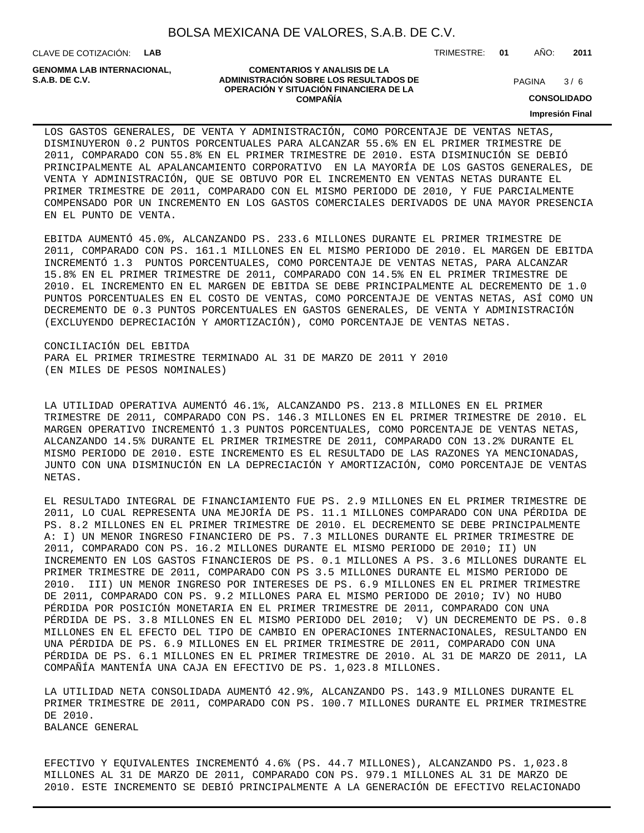CLAVE DE COTIZACIÓN: **LAB**

**GENOMMA LAB INTERNACIONAL,**

#### **COMENTARIOS Y ANALISIS DE LA ADMINISTRACIÓN SOBRE LOS RESULTADOS DE S.A.B. DE C.V.** PAGINA / 6 **OPERACIÓN Y SITUACIÓN FINANCIERA DE LA COMPAÑÍA**

 $3/6$ 

TRIMESTRE: **01** AÑO: **2011**

**CONSOLIDADO**

**Impresión Final**

LOS GASTOS GENERALES, DE VENTA Y ADMINISTRACIÓN, COMO PORCENTAJE DE VENTAS NETAS, DISMINUYERON 0.2 PUNTOS PORCENTUALES PARA ALCANZAR 55.6% EN EL PRIMER TRIMESTRE DE 2011, COMPARADO CON 55.8% EN EL PRIMER TRIMESTRE DE 2010. ESTA DISMINUCIÓN SE DEBIÓ PRINCIPALMENTE AL APALANCAMIENTO CORPORATIVO EN LA MAYORÍA DE LOS GASTOS GENERALES, DE VENTA Y ADMINISTRACIÓN, QUE SE OBTUVO POR EL INCREMENTO EN VENTAS NETAS DURANTE EL PRIMER TRIMESTRE DE 2011, COMPARADO CON EL MISMO PERIODO DE 2010, Y FUE PARCIALMENTE COMPENSADO POR UN INCREMENTO EN LOS GASTOS COMERCIALES DERIVADOS DE UNA MAYOR PRESENCIA EN EL PUNTO DE VENTA.

EBITDA AUMENTÓ 45.0%, ALCANZANDO PS. 233.6 MILLONES DURANTE EL PRIMER TRIMESTRE DE 2011, COMPARADO CON PS. 161.1 MILLONES EN EL MISMO PERIODO DE 2010. EL MARGEN DE EBITDA INCREMENTÓ 1.3 PUNTOS PORCENTUALES, COMO PORCENTAJE DE VENTAS NETAS, PARA ALCANZAR 15.8% EN EL PRIMER TRIMESTRE DE 2011, COMPARADO CON 14.5% EN EL PRIMER TRIMESTRE DE 2010. EL INCREMENTO EN EL MARGEN DE EBITDA SE DEBE PRINCIPALMENTE AL DECREMENTO DE 1.0 PUNTOS PORCENTUALES EN EL COSTO DE VENTAS, COMO PORCENTAJE DE VENTAS NETAS, ASÍ COMO UN DECREMENTO DE 0.3 PUNTOS PORCENTUALES EN GASTOS GENERALES, DE VENTA Y ADMINISTRACIÓN (EXCLUYENDO DEPRECIACIÓN Y AMORTIZACIÓN), COMO PORCENTAJE DE VENTAS NETAS.

CONCILIACIÓN DEL EBITDA PARA EL PRIMER TRIMESTRE TERMINADO AL 31 DE MARZO DE 2011 Y 2010 (EN MILES DE PESOS NOMINALES)

LA UTILIDAD OPERATIVA AUMENTÓ 46.1%, ALCANZANDO PS. 213.8 MILLONES EN EL PRIMER TRIMESTRE DE 2011, COMPARADO CON PS. 146.3 MILLONES EN EL PRIMER TRIMESTRE DE 2010. EL MARGEN OPERATIVO INCREMENTÓ 1.3 PUNTOS PORCENTUALES, COMO PORCENTAJE DE VENTAS NETAS, ALCANZANDO 14.5% DURANTE EL PRIMER TRIMESTRE DE 2011, COMPARADO CON 13.2% DURANTE EL MISMO PERIODO DE 2010. ESTE INCREMENTO ES EL RESULTADO DE LAS RAZONES YA MENCIONADAS, JUNTO CON UNA DISMINUCIÓN EN LA DEPRECIACIÓN Y AMORTIZACIÓN, COMO PORCENTAJE DE VENTAS NETAS.

EL RESULTADO INTEGRAL DE FINANCIAMIENTO FUE PS. 2.9 MILLONES EN EL PRIMER TRIMESTRE DE 2011, LO CUAL REPRESENTA UNA MEJORÍA DE PS. 11.1 MILLONES COMPARADO CON UNA PÉRDIDA DE PS. 8.2 MILLONES EN EL PRIMER TRIMESTRE DE 2010. EL DECREMENTO SE DEBE PRINCIPALMENTE A: I) UN MENOR INGRESO FINANCIERO DE PS. 7.3 MILLONES DURANTE EL PRIMER TRIMESTRE DE 2011, COMPARADO CON PS. 16.2 MILLONES DURANTE EL MISMO PERIODO DE 2010; II) UN INCREMENTO EN LOS GASTOS FINANCIEROS DE PS. 0.1 MILLONES A PS. 3.6 MILLONES DURANTE EL PRIMER TRIMESTRE DE 2011, COMPARADO CON PS 3.5 MILLONES DURANTE EL MISMO PERIODO DE 2010. III) UN MENOR INGRESO POR INTERESES DE PS. 6.9 MILLONES EN EL PRIMER TRIMESTRE DE 2011, COMPARADO CON PS. 9.2 MILLONES PARA EL MISMO PERIODO DE 2010; IV) NO HUBO PÉRDIDA POR POSICIÓN MONETARIA EN EL PRIMER TRIMESTRE DE 2011, COMPARADO CON UNA PÉRDIDA DE PS. 3.8 MILLONES EN EL MISMO PERIODO DEL 2010; V) UN DECREMENTO DE PS. 0.8 MILLONES EN EL EFECTO DEL TIPO DE CAMBIO EN OPERACIONES INTERNACIONALES, RESULTANDO EN UNA PÉRDIDA DE PS. 6.9 MILLONES EN EL PRIMER TRIMESTRE DE 2011, COMPARADO CON UNA PÉRDIDA DE PS. 6.1 MILLONES EN EL PRIMER TRIMESTRE DE 2010. AL 31 DE MARZO DE 2011, LA COMPAÑÍA MANTENÍA UNA CAJA EN EFECTIVO DE PS. 1,023.8 MILLONES.

LA UTILIDAD NETA CONSOLIDADA AUMENTÓ 42.9%, ALCANZANDO PS. 143.9 MILLONES DURANTE EL PRIMER TRIMESTRE DE 2011, COMPARADO CON PS. 100.7 MILLONES DURANTE EL PRIMER TRIMESTRE DE 2010. BALANCE GENERAL

EFECTIVO Y EQUIVALENTES INCREMENTÓ 4.6% (PS. 44.7 MILLONES), ALCANZANDO PS. 1,023.8 MILLONES AL 31 DE MARZO DE 2011, COMPARADO CON PS. 979.1 MILLONES AL 31 DE MARZO DE 2010. ESTE INCREMENTO SE DEBIÓ PRINCIPALMENTE A LA GENERACIÓN DE EFECTIVO RELACIONADO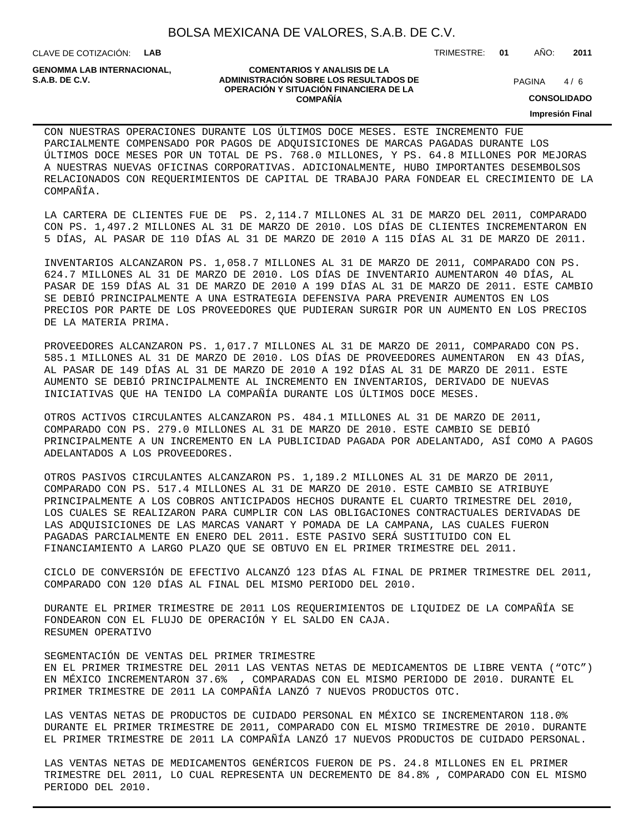CLAVE DE COTIZACIÓN: **LAB**

**GENOMMA LAB INTERNACIONAL,**

#### **COMENTARIOS Y ANALISIS DE LA ADMINISTRACIÓN SOBRE LOS RESULTADOS DE PAGINA 1/6** PAGINA 1/6 **OPERACIÓN Y SITUACIÓN FINANCIERA DE LA COMPAÑÍA**

 $4/6$ 

TRIMESTRE: **01** AÑO: **2011**

**CONSOLIDADO**

**Impresión Final**

### CON NUESTRAS OPERACIONES DURANTE LOS ÚLTIMOS DOCE MESES. ESTE INCREMENTO FUE PARCIALMENTE COMPENSADO POR PAGOS DE ADQUISICIONES DE MARCAS PAGADAS DURANTE LOS ÚLTIMOS DOCE MESES POR UN TOTAL DE PS. 768.0 MILLONES, Y PS. 64.8 MILLONES POR MEJORAS A NUESTRAS NUEVAS OFICINAS CORPORATIVAS. ADICIONALMENTE, HUBO IMPORTANTES DESEMBOLSOS RELACIONADOS CON REQUERIMIENTOS DE CAPITAL DE TRABAJO PARA FONDEAR EL CRECIMIENTO DE LA COMPAÑÍA.

LA CARTERA DE CLIENTES FUE DE PS. 2,114.7 MILLONES AL 31 DE MARZO DEL 2011, COMPARADO CON PS. 1,497.2 MILLONES AL 31 DE MARZO DE 2010. LOS DÍAS DE CLIENTES INCREMENTARON EN 5 DÍAS, AL PASAR DE 110 DÍAS AL 31 DE MARZO DE 2010 A 115 DÍAS AL 31 DE MARZO DE 2011.

INVENTARIOS ALCANZARON PS. 1,058.7 MILLONES AL 31 DE MARZO DE 2011, COMPARADO CON PS. 624.7 MILLONES AL 31 DE MARZO DE 2010. LOS DÍAS DE INVENTARIO AUMENTARON 40 DÍAS, AL PASAR DE 159 DÍAS AL 31 DE MARZO DE 2010 A 199 DÍAS AL 31 DE MARZO DE 2011. ESTE CAMBIO SE DEBIÓ PRINCIPALMENTE A UNA ESTRATEGIA DEFENSIVA PARA PREVENIR AUMENTOS EN LOS PRECIOS POR PARTE DE LOS PROVEEDORES QUE PUDIERAN SURGIR POR UN AUMENTO EN LOS PRECIOS DE LA MATERIA PRIMA.

PROVEEDORES ALCANZARON PS. 1,017.7 MILLONES AL 31 DE MARZO DE 2011, COMPARADO CON PS. 585.1 MILLONES AL 31 DE MARZO DE 2010. LOS DÍAS DE PROVEEDORES AUMENTARON EN 43 DÍAS, AL PASAR DE 149 DÍAS AL 31 DE MARZO DE 2010 A 192 DÍAS AL 31 DE MARZO DE 2011. ESTE AUMENTO SE DEBIÓ PRINCIPALMENTE AL INCREMENTO EN INVENTARIOS, DERIVADO DE NUEVAS INICIATIVAS QUE HA TENIDO LA COMPAÑÍA DURANTE LOS ÚLTIMOS DOCE MESES.

OTROS ACTIVOS CIRCULANTES ALCANZARON PS. 484.1 MILLONES AL 31 DE MARZO DE 2011, COMPARADO CON PS. 279.0 MILLONES AL 31 DE MARZO DE 2010. ESTE CAMBIO SE DEBIÓ PRINCIPALMENTE A UN INCREMENTO EN LA PUBLICIDAD PAGADA POR ADELANTADO, ASÍ COMO A PAGOS ADELANTADOS A LOS PROVEEDORES.

OTROS PASIVOS CIRCULANTES ALCANZARON PS. 1,189.2 MILLONES AL 31 DE MARZO DE 2011, COMPARADO CON PS. 517.4 MILLONES AL 31 DE MARZO DE 2010. ESTE CAMBIO SE ATRIBUYE PRINCIPALMENTE A LOS COBROS ANTICIPADOS HECHOS DURANTE EL CUARTO TRIMESTRE DEL 2010, LOS CUALES SE REALIZARON PARA CUMPLIR CON LAS OBLIGACIONES CONTRACTUALES DERIVADAS DE LAS ADQUISICIONES DE LAS MARCAS VANART Y POMADA DE LA CAMPANA, LAS CUALES FUERON PAGADAS PARCIALMENTE EN ENERO DEL 2011. ESTE PASIVO SERÁ SUSTITUIDO CON EL FINANCIAMIENTO A LARGO PLAZO QUE SE OBTUVO EN EL PRIMER TRIMESTRE DEL 2011.

CICLO DE CONVERSIÓN DE EFECTIVO ALCANZÓ 123 DÍAS AL FINAL DE PRIMER TRIMESTRE DEL 2011, COMPARADO CON 120 DÍAS AL FINAL DEL MISMO PERIODO DEL 2010.

DURANTE EL PRIMER TRIMESTRE DE 2011 LOS REQUERIMIENTOS DE LIQUIDEZ DE LA COMPAÑÍA SE FONDEARON CON EL FLUJO DE OPERACIÓN Y EL SALDO EN CAJA. RESUMEN OPERATIVO

### SEGMENTACIÓN DE VENTAS DEL PRIMER TRIMESTRE EN EL PRIMER TRIMESTRE DEL 2011 LAS VENTAS NETAS DE MEDICAMENTOS DE LIBRE VENTA ("OTC") EN MÉXICO INCREMENTARON 37.6% , COMPARADAS CON EL MISMO PERIODO DE 2010. DURANTE EL PRIMER TRIMESTRE DE 2011 LA COMPAÑÍA LANZÓ 7 NUEVOS PRODUCTOS OTC.

LAS VENTAS NETAS DE PRODUCTOS DE CUIDADO PERSONAL EN MÉXICO SE INCREMENTARON 118.0% DURANTE EL PRIMER TRIMESTRE DE 2011, COMPARADO CON EL MISMO TRIMESTRE DE 2010. DURANTE EL PRIMER TRIMESTRE DE 2011 LA COMPAÑÍA LANZÓ 17 NUEVOS PRODUCTOS DE CUIDADO PERSONAL.

LAS VENTAS NETAS DE MEDICAMENTOS GENÉRICOS FUERON DE PS. 24.8 MILLONES EN EL PRIMER TRIMESTRE DEL 2011, LO CUAL REPRESENTA UN DECREMENTO DE 84.8% , COMPARADO CON EL MISMO PERIODO DEL 2010.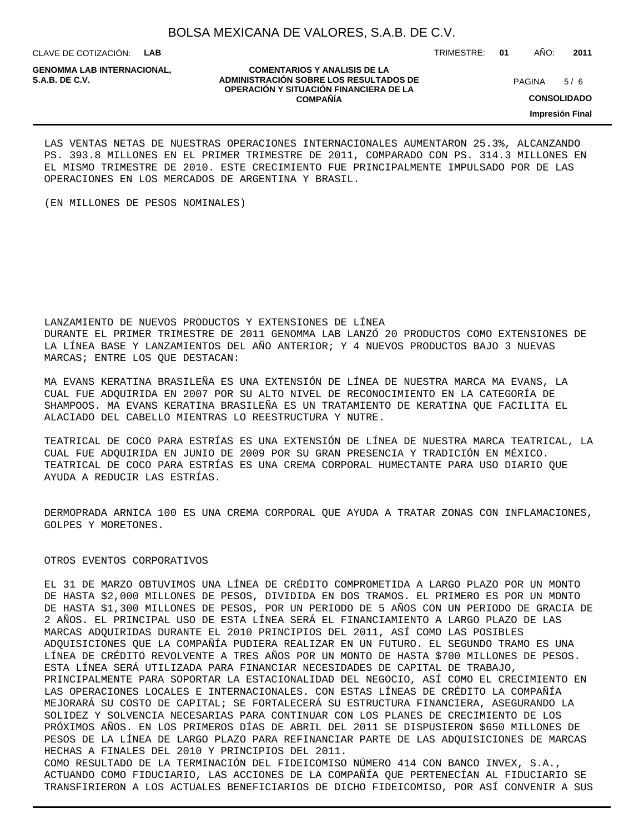CLAVE DE COTIZACIÓN: **LAB**

**GENOMMA LAB INTERNACIONAL,**

**COMENTARIOS Y ANALISIS DE LA ADMINISTRACIÓN SOBRE LOS RESULTADOS DE S.A.B. DE C.V.** PAGINA / 6 **OPERACIÓN Y SITUACIÓN FINANCIERA DE LA COMPAÑÍA**

 $5/6$ 

TRIMESTRE: **01** AÑO: **2011**

**CONSOLIDADO**

**Impresión Final**

LAS VENTAS NETAS DE NUESTRAS OPERACIONES INTERNACIONALES AUMENTARON 25.3%, ALCANZANDO PS. 393.8 MILLONES EN EL PRIMER TRIMESTRE DE 2011, COMPARADO CON PS. 314.3 MILLONES EN EL MISMO TRIMESTRE DE 2010. ESTE CRECIMIENTO FUE PRINCIPALMENTE IMPULSADO POR DE LAS OPERACIONES EN LOS MERCADOS DE ARGENTINA Y BRASIL.

(EN MILLONES DE PESOS NOMINALES)

LANZAMIENTO DE NUEVOS PRODUCTOS Y EXTENSIONES DE LÍNEA DURANTE EL PRIMER TRIMESTRE DE 2011 GENOMMA LAB LANZÓ 20 PRODUCTOS COMO EXTENSIONES DE LA LÍNEA BASE Y LANZAMIENTOS DEL AÑO ANTERIOR; Y 4 NUEVOS PRODUCTOS BAJO 3 NUEVAS MARCAS; ENTRE LOS QUE DESTACAN:

MA EVANS KERATINA BRASILEÑA ES UNA EXTENSIÓN DE LÍNEA DE NUESTRA MARCA MA EVANS, LA CUAL FUE ADQUIRIDA EN 2007 POR SU ALTO NIVEL DE RECONOCIMIENTO EN LA CATEGORÍA DE SHAMPOOS. MA EVANS KERATINA BRASILEÑA ES UN TRATAMIENTO DE KERATINA QUE FACILITA EL ALACIADO DEL CABELLO MIENTRAS LO REESTRUCTURA Y NUTRE.

TEATRICAL DE COCO PARA ESTRÍAS ES UNA EXTENSIÓN DE LÍNEA DE NUESTRA MARCA TEATRICAL, LA CUAL FUE ADQUIRIDA EN JUNIO DE 2009 POR SU GRAN PRESENCIA Y TRADICIÓN EN MÉXICO. TEATRICAL DE COCO PARA ESTRÍAS ES UNA CREMA CORPORAL HUMECTANTE PARA USO DIARIO QUE AYUDA A REDUCIR LAS ESTRÍAS.

DERMOPRADA ARNICA 100 ES UNA CREMA CORPORAL QUE AYUDA A TRATAR ZONAS CON INFLAMACIONES, GOLPES Y MORETONES.

#### OTROS EVENTOS CORPORATIVOS

 EL 31 DE MARZO OBTUVIMOS UNA LÍNEA DE CRÉDITO COMPROMETIDA A LARGO PLAZO POR UN MONTO DE HASTA \$2,000 MILLONES DE PESOS, DIVIDIDA EN DOS TRAMOS. EL PRIMERO ES POR UN MONTO DE HASTA \$1,300 MILLONES DE PESOS, POR UN PERIODO DE 5 AÑOS CON UN PERIODO DE GRACIA DE 2 AÑOS. EL PRINCIPAL USO DE ESTA LÍNEA SERÁ EL FINANCIAMIENTO A LARGO PLAZO DE LAS MARCAS ADQUIRIDAS DURANTE EL 2010 PRINCIPIOS DEL 2011, ASÍ COMO LAS POSIBLES ADQUISICIONES QUE LA COMPAÑÍA PUDIERA REALIZAR EN UN FUTURO. EL SEGUNDO TRAMO ES UNA LÍNEA DE CRÉDITO REVOLVENTE A TRES AÑOS POR UN MONTO DE HASTA \$700 MILLONES DE PESOS. ESTA LÍNEA SERÁ UTILIZADA PARA FINANCIAR NECESIDADES DE CAPITAL DE TRABAJO, PRINCIPALMENTE PARA SOPORTAR LA ESTACIONALIDAD DEL NEGOCIO, ASÍ COMO EL CRECIMIENTO EN LAS OPERACIONES LOCALES E INTERNACIONALES. CON ESTAS LÍNEAS DE CRÉDITO LA COMPAÑÍA MEJORARÁ SU COSTO DE CAPITAL; SE FORTALECERÁ SU ESTRUCTURA FINANCIERA, ASEGURANDO LA SOLIDEZ Y SOLVENCIA NECESARIAS PARA CONTINUAR CON LOS PLANES DE CRECIMIENTO DE LOS PRÓXIMOS AÑOS. EN LOS PRIMEROS DÍAS DE ABRIL DEL 2011 SE DISPUSIERON \$650 MILLONES DE PESOS DE LA LÍNEA DE LARGO PLAZO PARA REFINANCIAR PARTE DE LAS ADQUISICIONES DE MARCAS HECHAS A FINALES DEL 2010 Y PRINCIPIOS DEL 2011.

 COMO RESULTADO DE LA TERMINACIÓN DEL FIDEICOMISO NÚMERO 414 CON BANCO INVEX, S.A., ACTUANDO COMO FIDUCIARIO, LAS ACCIONES DE LA COMPAÑÍA QUE PERTENECÍAN AL FIDUCIARIO SE TRANSFIRIERON A LOS ACTUALES BENEFICIARIOS DE DICHO FIDEICOMISO, POR ASÍ CONVENIR A SUS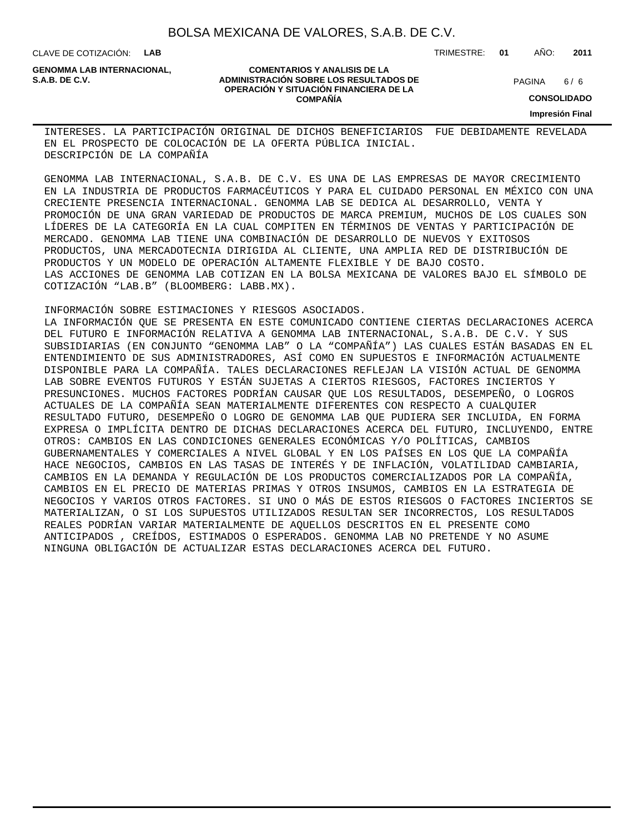CLAVE DE COTIZACIÓN: **LAB**

**GENOMMA LAB INTERNACIONAL,**

#### **COMENTARIOS Y ANALISIS DE LA ADMINISTRACIÓN SOBRE LOS RESULTADOS DE S.A.B. DE C.V.** PAGINA / 6 **OPERACIÓN Y SITUACIÓN FINANCIERA DE LA COMPAÑÍA**

TRIMESTRE: **01** AÑO: **2011**

 $6/6$ 

**CONSOLIDADO**

**Impresión Final**

INTERESES. LA PARTICIPACIÓN ORIGINAL DE DICHOS BENEFICIARIOS FUE DEBIDAMENTE REVELADA EN EL PROSPECTO DE COLOCACIÓN DE LA OFERTA PÚBLICA INICIAL. DESCRIPCIÓN DE LA COMPAÑÍA

GENOMMA LAB INTERNACIONAL, S.A.B. DE C.V. ES UNA DE LAS EMPRESAS DE MAYOR CRECIMIENTO EN LA INDUSTRIA DE PRODUCTOS FARMACÉUTICOS Y PARA EL CUIDADO PERSONAL EN MÉXICO CON UNA CRECIENTE PRESENCIA INTERNACIONAL. GENOMMA LAB SE DEDICA AL DESARROLLO, VENTA Y PROMOCIÓN DE UNA GRAN VARIEDAD DE PRODUCTOS DE MARCA PREMIUM, MUCHOS DE LOS CUALES SON LÍDERES DE LA CATEGORÍA EN LA CUAL COMPITEN EN TÉRMINOS DE VENTAS Y PARTICIPACIÓN DE MERCADO. GENOMMA LAB TIENE UNA COMBINACIÓN DE DESARROLLO DE NUEVOS Y EXITOSOS PRODUCTOS, UNA MERCADOTECNIA DIRIGIDA AL CLIENTE, UNA AMPLIA RED DE DISTRIBUCIÓN DE PRODUCTOS Y UN MODELO DE OPERACIÓN ALTAMENTE FLEXIBLE Y DE BAJO COSTO. LAS ACCIONES DE GENOMMA LAB COTIZAN EN LA BOLSA MEXICANA DE VALORES BAJO EL SÍMBOLO DE COTIZACIÓN "LAB.B" (BLOOMBERG: LABB.MX).

INFORMACIÓN SOBRE ESTIMACIONES Y RIESGOS ASOCIADOS.

LA INFORMACIÓN QUE SE PRESENTA EN ESTE COMUNICADO CONTIENE CIERTAS DECLARACIONES ACERCA DEL FUTURO E INFORMACIÓN RELATIVA A GENOMMA LAB INTERNACIONAL, S.A.B. DE C.V. Y SUS SUBSIDIARIAS (EN CONJUNTO "GENOMMA LAB" O LA "COMPAÑÍA") LAS CUALES ESTÁN BASADAS EN EL ENTENDIMIENTO DE SUS ADMINISTRADORES, ASÍ COMO EN SUPUESTOS E INFORMACIÓN ACTUALMENTE DISPONIBLE PARA LA COMPAÑÍA. TALES DECLARACIONES REFLEJAN LA VISIÓN ACTUAL DE GENOMMA LAB SOBRE EVENTOS FUTUROS Y ESTÁN SUJETAS A CIERTOS RIESGOS, FACTORES INCIERTOS Y PRESUNCIONES. MUCHOS FACTORES PODRÍAN CAUSAR QUE LOS RESULTADOS, DESEMPEÑO, O LOGROS ACTUALES DE LA COMPAÑÍA SEAN MATERIALMENTE DIFERENTES CON RESPECTO A CUALQUIER RESULTADO FUTURO, DESEMPEÑO O LOGRO DE GENOMMA LAB QUE PUDIERA SER INCLUIDA, EN FORMA EXPRESA O IMPLÍCITA DENTRO DE DICHAS DECLARACIONES ACERCA DEL FUTURO, INCLUYENDO, ENTRE OTROS: CAMBIOS EN LAS CONDICIONES GENERALES ECONÓMICAS Y/O POLÍTICAS, CAMBIOS GUBERNAMENTALES Y COMERCIALES A NIVEL GLOBAL Y EN LOS PAÍSES EN LOS QUE LA COMPAÑÍA HACE NEGOCIOS, CAMBIOS EN LAS TASAS DE INTERÉS Y DE INFLACIÓN, VOLATILIDAD CAMBIARIA, CAMBIOS EN LA DEMANDA Y REGULACIÓN DE LOS PRODUCTOS COMERCIALIZADOS POR LA COMPAÑÍA, CAMBIOS EN EL PRECIO DE MATERIAS PRIMAS Y OTROS INSUMOS, CAMBIOS EN LA ESTRATEGIA DE NEGOCIOS Y VARIOS OTROS FACTORES. SI UNO O MÁS DE ESTOS RIESGOS O FACTORES INCIERTOS SE MATERIALIZAN, O SI LOS SUPUESTOS UTILIZADOS RESULTAN SER INCORRECTOS, LOS RESULTADOS REALES PODRÍAN VARIAR MATERIALMENTE DE AQUELLOS DESCRITOS EN EL PRESENTE COMO ANTICIPADOS , CREÍDOS, ESTIMADOS O ESPERADOS. GENOMMA LAB NO PRETENDE Y NO ASUME NINGUNA OBLIGACIÓN DE ACTUALIZAR ESTAS DECLARACIONES ACERCA DEL FUTURO.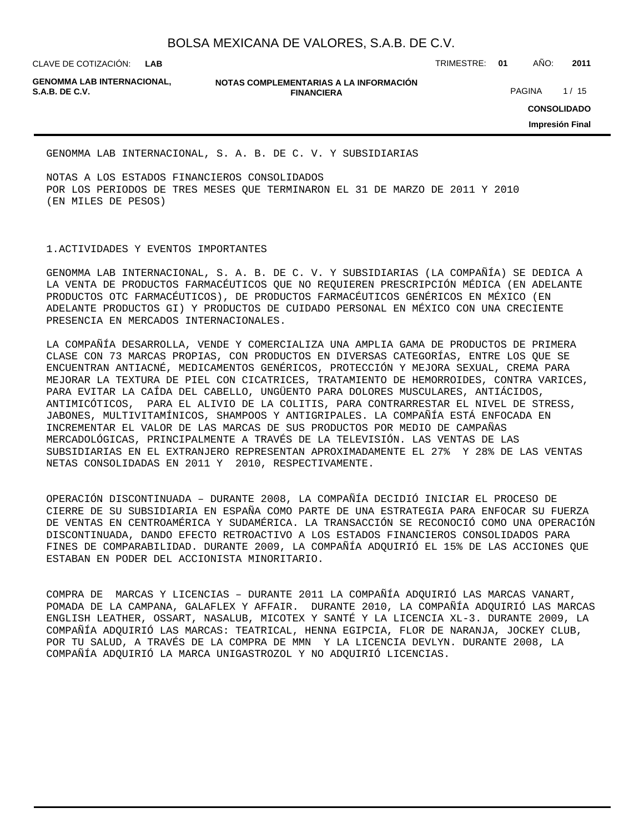**LAB GENOMMA LAB INTERNACIONAL,**

**NOTAS COMPLEMENTARIAS A LA INFORMACIÓN FINANCIERA S.A.B. DE C.V.** PAGINA 1/15

CLAVE DE COTIZACIÓN: TRIMESTRE: **01** AÑO: **2011**

**CONSOLIDADO**

**Impresión Final**

GENOMMA LAB INTERNACIONAL, S. A. B. DE C. V. Y SUBSIDIARIAS

NOTAS A LOS ESTADOS FINANCIEROS CONSOLIDADOS POR LOS PERIODOS DE TRES MESES QUE TERMINARON EL 31 DE MARZO DE 2011 Y 2010 (EN MILES DE PESOS)

#### 1. ACTIVIDADES Y EVENTOS IMPORTANTES

GENOMMA LAB INTERNACIONAL, S. A. B. DE C. V. Y SUBSIDIARIAS (LA COMPAÑÍA) SE DEDICA A LA VENTA DE PRODUCTOS FARMACÉUTICOS QUE NO REQUIEREN PRESCRIPCIÓN MÉDICA (EN ADELANTE PRODUCTOS OTC FARMACÉUTICOS), DE PRODUCTOS FARMACÉUTICOS GENÉRICOS EN MÉXICO (EN ADELANTE PRODUCTOS GI) Y PRODUCTOS DE CUIDADO PERSONAL EN MÉXICO CON UNA CRECIENTE PRESENCIA EN MERCADOS INTERNACIONALES.

LA COMPAÑÍA DESARROLLA, VENDE Y COMERCIALIZA UNA AMPLIA GAMA DE PRODUCTOS DE PRIMERA CLASE CON 73 MARCAS PROPIAS, CON PRODUCTOS EN DIVERSAS CATEGORÍAS, ENTRE LOS QUE SE ENCUENTRAN ANTIACNÉ, MEDICAMENTOS GENÉRICOS, PROTECCIÓN Y MEJORA SEXUAL, CREMA PARA MEJORAR LA TEXTURA DE PIEL CON CICATRICES, TRATAMIENTO DE HEMORROIDES, CONTRA VARICES, PARA EVITAR LA CAÍDA DEL CABELLO, UNGÜENTO PARA DOLORES MUSCULARES, ANTIÁCIDOS, ANTIMICÓTICOS, PARA EL ALIVIO DE LA COLITIS, PARA CONTRARRESTAR EL NIVEL DE STRESS, JABONES, MULTIVITAMÍNICOS, SHAMPOOS Y ANTIGRIPALES. LA COMPAÑÍA ESTÁ ENFOCADA EN INCREMENTAR EL VALOR DE LAS MARCAS DE SUS PRODUCTOS POR MEDIO DE CAMPAÑAS MERCADOLÓGICAS, PRINCIPALMENTE A TRAVÉS DE LA TELEVISIÓN. LAS VENTAS DE LAS SUBSIDIARIAS EN EL EXTRANJERO REPRESENTAN APROXIMADAMENTE EL 27% Y 28% DE LAS VENTAS NETAS CONSOLIDADAS EN 2011 Y 2010, RESPECTIVAMENTE.

OPERACIÓN DISCONTINUADA – DURANTE 2008, LA COMPAÑÍA DECIDIÓ INICIAR EL PROCESO DE CIERRE DE SU SUBSIDIARIA EN ESPAÑA COMO PARTE DE UNA ESTRATEGIA PARA ENFOCAR SU FUERZA DE VENTAS EN CENTROAMÉRICA Y SUDAMÉRICA. LA TRANSACCIÓN SE RECONOCIÓ COMO UNA OPERACIÓN DISCONTINUADA, DANDO EFECTO RETROACTIVO A LOS ESTADOS FINANCIEROS CONSOLIDADOS PARA FINES DE COMPARABILIDAD. DURANTE 2009, LA COMPAÑÍA ADQUIRIÓ EL 15% DE LAS ACCIONES QUE ESTABAN EN PODER DEL ACCIONISTA MINORITARIO.

COMPRA DE MARCAS Y LICENCIAS – DURANTE 2011 LA COMPAÑÍA ADQUIRIÓ LAS MARCAS VANART, POMADA DE LA CAMPANA, GALAFLEX Y AFFAIR. DURANTE 2010, LA COMPAÑÍA ADQUIRIÓ LAS MARCAS ENGLISH LEATHER, OSSART, NASALUB, MICOTEX Y SANTÉ Y LA LICENCIA XL-3. DURANTE 2009, LA COMPAÑÍA ADQUIRIÓ LAS MARCAS: TEATRICAL, HENNA EGIPCIA, FLOR DE NARANJA, JOCKEY CLUB, POR TU SALUD, A TRAVÉS DE LA COMPRA DE MMN Y LA LICENCIA DEVLYN. DURANTE 2008, LA COMPAÑÍA ADQUIRIÓ LA MARCA UNIGASTROZOL Y NO ADQUIRIÓ LICENCIAS.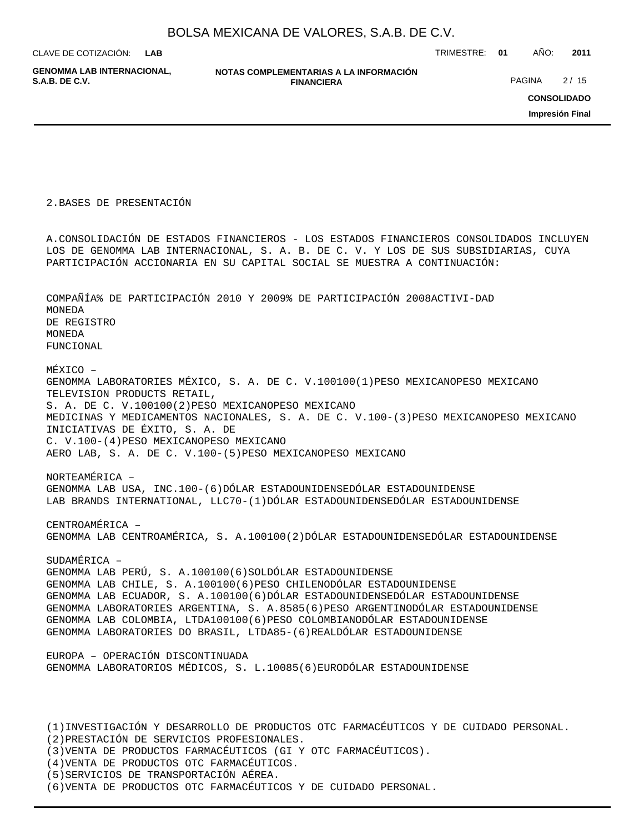| BOLSA MEXICANA DE VALORES, S.A.B. DE C.V. |  |  |
|-------------------------------------------|--|--|
|-------------------------------------------|--|--|

**LAB**

CLAVE DE COTIZACIÓN: TRIMESTRE: **01** AÑO: **2011**

**GENOMMA LAB INTERNACIONAL,**

**NOTAS COMPLEMENTARIAS A LA INFORMACIÓN FINANCIERA S.A.B. DE C.V.** PAGINA 2 / 15

**CONSOLIDADO**

**Impresión Final**

2. BASES DE PRESENTACIÓN

A. CONSOLIDACIÓN DE ESTADOS FINANCIEROS - LOS ESTADOS FINANCIEROS CONSOLIDADOS INCLUYEN LOS DE GENOMMA LAB INTERNACIONAL, S. A. B. DE C. V. Y LOS DE SUS SUBSIDIARIAS, CUYA PARTICIPACIÓN ACCIONARIA EN SU CAPITAL SOCIAL SE MUESTRA A CONTINUACIÓN:

COMPAÑÍA % DE PARTICIPACIÓN 2010 Y 2009 % DE PARTICIPACIÓN 2008 ACTIVI-DAD MONEDA DE REGISTRO MONEDA FUNCIONAL MÉXICO – GENOMMA LABORATORIES MÉXICO, S. A. DE C. V. 100 100 (1) PESO MEXICANO PESO MEXICANO TELEVISION PRODUCTS RETAIL, S. A. DE C. V. 100 100 (2) PESO MEXICANO PESO MEXICANO MEDICINAS Y MEDICAMENTOS NACIONALES, S. A. DE C. V. 100 - (3) PESO MEXICANO PESO MEXICANO INICIATIVAS DE ÉXITO, S. A. DE C. V. 100 - (4) PESO MEXICANO PESO MEXICANO

AERO LAB, S. A. DE C. V. 100 - (5) PESO MEXICANO PESO MEXICANO

NORTEAMÉRICA – GENOMMA LAB USA, INC. 100 - (6) DÓLAR ESTADOUNIDENSE DÓLAR ESTADOUNIDENSE LAB BRANDS INTERNATIONAL, LLC 70 - (1) DÓLAR ESTADOUNIDENSE DÓLAR ESTADOUNIDENSE

CENTROAMÉRICA – GENOMMA LAB CENTROAMÉRICA, S. A. 100 100 (2) DÓLAR ESTADOUNIDENSE DÓLAR ESTADOUNIDENSE

SUDAMÉRICA – GENOMMA LAB PERÚ, S. A. 100 100 (6) SOL DÓLAR ESTADOUNIDENSE GENOMMA LAB CHILE, S. A. 100 100 (6) PESO CHILENO DÓLAR ESTADOUNIDENSE GENOMMA LAB ECUADOR, S. A. 100 100 (6) DÓLAR ESTADOUNIDENSE DÓLAR ESTADOUNIDENSE GENOMMA LABORATORIES ARGENTINA, S. A. 85 85 (6) PESO ARGENTINO DÓLAR ESTADOUNIDENSE GENOMMA LAB COLOMBIA, LTDA 100 100 (6) PESO COLOMBIANO DÓLAR ESTADOUNIDENSE GENOMMA LABORATORIES DO BRASIL, LTDA 85 - (6) REAL DÓLAR ESTADOUNIDENSE

EUROPA – OPERACIÓN DISCONTINUADA GENOMMA LABORATORIOS MÉDICOS, S. L. 100 85 (6) EURO DÓLAR ESTADOUNIDENSE

(1) INVESTIGACIÓN Y DESARROLLO DE PRODUCTOS OTC FARMACÉUTICOS Y DE CUIDADO PERSONAL.

(2) PRESTACIÓN DE SERVICIOS PROFESIONALES.

(3) VENTA DE PRODUCTOS FARMACÉUTICOS (GI Y OTC FARMACÉUTICOS).

- (4) VENTA DE PRODUCTOS OTC FARMACÉUTICOS.
- (5) SERVICIOS DE TRANSPORTACIÓN AÉREA.

(6) VENTA DE PRODUCTOS OTC FARMACÉUTICOS Y DE CUIDADO PERSONAL.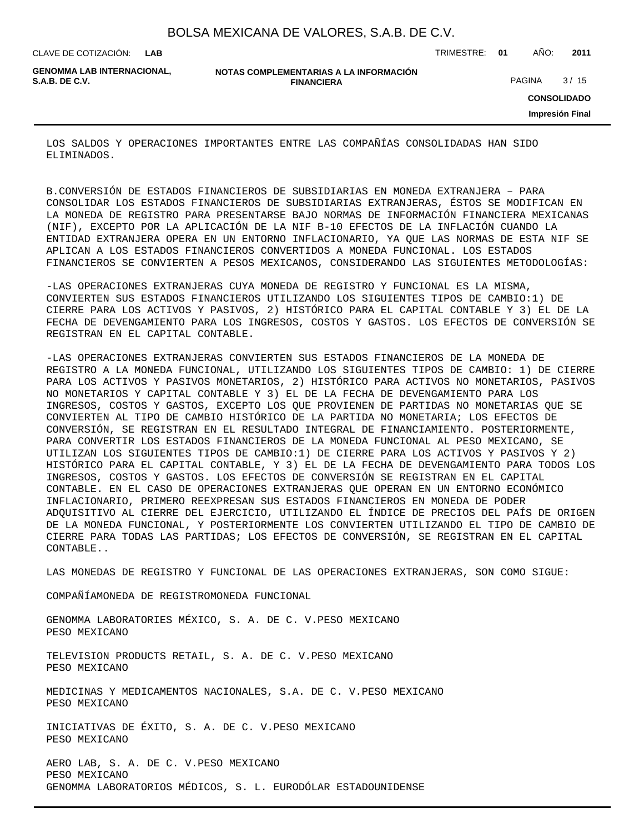**LAB**

CLAVE DE COTIZACIÓN: TRIMESTRE: **01** AÑO: **2011**

**GENOMMA LAB INTERNACIONAL,**

**NOTAS COMPLEMENTARIAS A LA INFORMACIÓN FINANCIERA S.A.B. DE C.V.** PAGINA 2 / 15

**CONSOLIDADO**

**Impresión Final**

LOS SALDOS Y OPERACIONES IMPORTANTES ENTRE LAS COMPAÑÍAS CONSOLIDADAS HAN SIDO ELIMINADOS.

B. CONVERSIÓN DE ESTADOS FINANCIEROS DE SUBSIDIARIAS EN MONEDA EXTRANJERA – PARA CONSOLIDAR LOS ESTADOS FINANCIEROS DE SUBSIDIARIAS EXTRANJERAS, ÉSTOS SE MODIFICAN EN LA MONEDA DE REGISTRO PARA PRESENTARSE BAJO NORMAS DE INFORMACIÓN FINANCIERA MEXICANAS (NIF), EXCEPTO POR LA APLICACIÓN DE LA NIF B-10 EFECTOS DE LA INFLACIÓN CUANDO LA ENTIDAD EXTRANJERA OPERA EN UN ENTORNO INFLACIONARIO, YA QUE LAS NORMAS DE ESTA NIF SE APLICAN A LOS ESTADOS FINANCIEROS CONVERTIDOS A MONEDA FUNCIONAL. LOS ESTADOS FINANCIEROS SE CONVIERTEN A PESOS MEXICANOS, CONSIDERANDO LAS SIGUIENTES METODOLOGÍAS:

- LAS OPERACIONES EXTRANJERAS CUYA MONEDA DE REGISTRO Y FUNCIONAL ES LA MISMA, CONVIERTEN SUS ESTADOS FINANCIEROS UTILIZANDO LOS SIGUIENTES TIPOS DE CAMBIO:1) DE CIERRE PARA LOS ACTIVOS Y PASIVOS, 2) HISTÓRICO PARA EL CAPITAL CONTABLE Y 3) EL DE LA FECHA DE DEVENGAMIENTO PARA LOS INGRESOS, COSTOS Y GASTOS. LOS EFECTOS DE CONVERSIÓN SE REGISTRAN EN EL CAPITAL CONTABLE.

- LAS OPERACIONES EXTRANJERAS CONVIERTEN SUS ESTADOS FINANCIEROS DE LA MONEDA DE REGISTRO A LA MONEDA FUNCIONAL, UTILIZANDO LOS SIGUIENTES TIPOS DE CAMBIO: 1) DE CIERRE PARA LOS ACTIVOS Y PASIVOS MONETARIOS, 2) HISTÓRICO PARA ACTIVOS NO MONETARIOS, PASIVOS NO MONETARIOS Y CAPITAL CONTABLE Y 3) EL DE LA FECHA DE DEVENGAMIENTO PARA LOS INGRESOS, COSTOS Y GASTOS, EXCEPTO LOS QUE PROVIENEN DE PARTIDAS NO MONETARIAS QUE SE CONVIERTEN AL TIPO DE CAMBIO HISTÓRICO DE LA PARTIDA NO MONETARIA; LOS EFECTOS DE CONVERSIÓN, SE REGISTRAN EN EL RESULTADO INTEGRAL DE FINANCIAMIENTO. POSTERIORMENTE, PARA CONVERTIR LOS ESTADOS FINANCIEROS DE LA MONEDA FUNCIONAL AL PESO MEXICANO, SE UTILIZAN LOS SIGUIENTES TIPOS DE CAMBIO:1) DE CIERRE PARA LOS ACTIVOS Y PASIVOS Y 2) HISTÓRICO PARA EL CAPITAL CONTABLE, Y 3) EL DE LA FECHA DE DEVENGAMIENTO PARA TODOS LOS INGRESOS, COSTOS Y GASTOS. LOS EFECTOS DE CONVERSIÓN SE REGISTRAN EN EL CAPITAL CONTABLE. EN EL CASO DE OPERACIONES EXTRANJERAS QUE OPERAN EN UN ENTORNO ECONÓMICO INFLACIONARIO, PRIMERO REEXPRESAN SUS ESTADOS FINANCIEROS EN MONEDA DE PODER ADQUISITIVO AL CIERRE DEL EJERCICIO, UTILIZANDO EL ÍNDICE DE PRECIOS DEL PAÍS DE ORIGEN DE LA MONEDA FUNCIONAL, Y POSTERIORMENTE LOS CONVIERTEN UTILIZANDO EL TIPO DE CAMBIO DE CIERRE PARA TODAS LAS PARTIDAS; LOS EFECTOS DE CONVERSIÓN, SE REGISTRAN EN EL CAPITAL CONTABLE..

LAS MONEDAS DE REGISTRO Y FUNCIONAL DE LAS OPERACIONES EXTRANJERAS, SON COMO SIGUE:

COMPAÑÍA MONEDA DE REGISTRO MONEDA FUNCIONAL

GENOMMA LABORATORIES MÉXICO, S. A. DE C. V. PESO MEXICANO PESO MEXICANO

TELEVISION PRODUCTS RETAIL, S. A. DE C. V. PESO MEXICANO PESO MEXICANO

MEDICINAS Y MEDICAMENTOS NACIONALES, S.A. DE C. V. PESO MEXICANO PESO MEXICANO

INICIATIVAS DE ÉXITO, S. A. DE C. V. PESO MEXICANO PESO MEXICANO

AERO LAB, S. A. DE C. V. PESO MEXICANO PESO MEXICANO GENOMMA LABORATORIOS MÉDICOS, S. L. EURO DÓLAR ESTADOUNIDENSE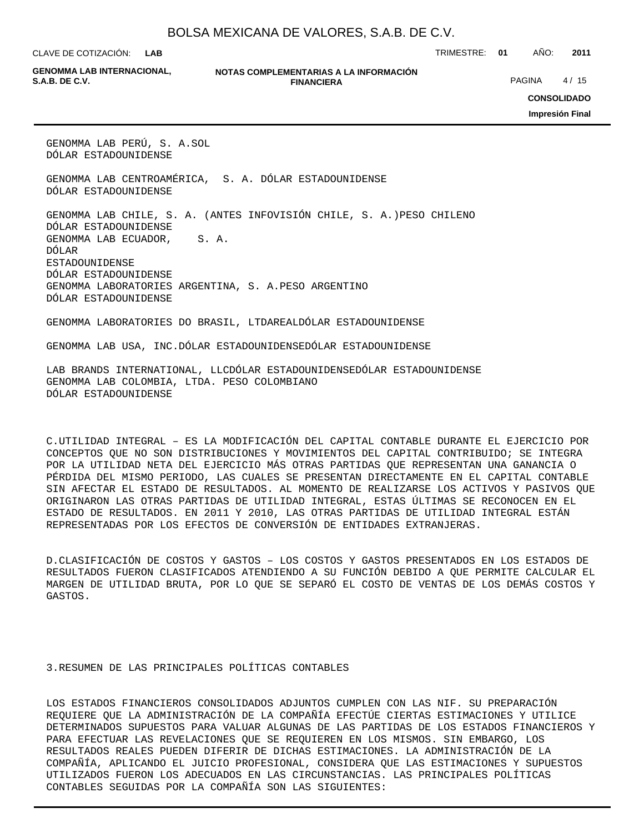**LAB**

CLAVE DE COTIZACIÓN: TRIMESTRE: **01** AÑO: **2011**

**GENOMMA LAB INTERNACIONAL,**

#### **NOTAS COMPLEMENTARIAS A LA INFORMACIÓN FINANCIERA S.A.B. DE C.V.** PAGINA 2 / 15

**CONSOLIDADO**

**Impresión Final**

GENOMMA LAB PERÚ, S. A. SOL DÓLAR ESTADOUNIDENSE

GENOMMA LAB CENTROAMÉRICA, S. A. DÓLAR ESTADOUNIDENSE DÓLAR ESTADOUNIDENSE

GENOMMA LAB CHILE, S. A. (ANTES INFOVISIÓN CHILE, S. A.) PESO CHILENO DÓLAR ESTADOUNIDENSE GENOMMA LAB ECUADOR, S. A. DÓLAR ESTADOUNIDENSE DÓLAR ESTADOUNIDENSE GENOMMA LABORATORIES ARGENTINA, S. A. PESO ARGENTINO DÓLAR ESTADOUNIDENSE

GENOMMA LABORATORIES DO BRASIL, LTDA REAL DÓLAR ESTADOUNIDENSE

GENOMMA LAB USA, INC. DÓLAR ESTADOUNIDENSE DÓLAR ESTADOUNIDENSE

LAB BRANDS INTERNATIONAL, LLC DÓLAR ESTADOUNIDENSE DÓLAR ESTADOUNIDENSE GENOMMA LAB COLOMBIA, LTDA. PESO COLOMBIANO DÓLAR ESTADOUNIDENSE

C. UTILIDAD INTEGRAL – ES LA MODIFICACIÓN DEL CAPITAL CONTABLE DURANTE EL EJERCICIO POR CONCEPTOS QUE NO SON DISTRIBUCIONES Y MOVIMIENTOS DEL CAPITAL CONTRIBUIDO; SE INTEGRA POR LA UTILIDAD NETA DEL EJERCICIO MÁS OTRAS PARTIDAS QUE REPRESENTAN UNA GANANCIA O PÉRDIDA DEL MISMO PERIODO, LAS CUALES SE PRESENTAN DIRECTAMENTE EN EL CAPITAL CONTABLE SIN AFECTAR EL ESTADO DE RESULTADOS. AL MOMENTO DE REALIZARSE LOS ACTIVOS Y PASIVOS QUE ORIGINARON LAS OTRAS PARTIDAS DE UTILIDAD INTEGRAL, ESTAS ÚLTIMAS SE RECONOCEN EN EL ESTADO DE RESULTADOS. EN 2011 Y 2010, LAS OTRAS PARTIDAS DE UTILIDAD INTEGRAL ESTÁN REPRESENTADAS POR LOS EFECTOS DE CONVERSIÓN DE ENTIDADES EXTRANJERAS.

D. CLASIFICACIÓN DE COSTOS Y GASTOS – LOS COSTOS Y GASTOS PRESENTADOS EN LOS ESTADOS DE RESULTADOS FUERON CLASIFICADOS ATENDIENDO A SU FUNCIÓN DEBIDO A QUE PERMITE CALCULAR EL MARGEN DE UTILIDAD BRUTA, POR LO QUE SE SEPARÓ EL COSTO DE VENTAS DE LOS DEMÁS COSTOS Y GASTOS.

#### 3. RESUMEN DE LAS PRINCIPALES POLÍTICAS CONTABLES

LOS ESTADOS FINANCIEROS CONSOLIDADOS ADJUNTOS CUMPLEN CON LAS NIF. SU PREPARACIÓN REQUIERE QUE LA ADMINISTRACIÓN DE LA COMPAÑÍA EFECTÚE CIERTAS ESTIMACIONES Y UTILICE DETERMINADOS SUPUESTOS PARA VALUAR ALGUNAS DE LAS PARTIDAS DE LOS ESTADOS FINANCIEROS Y PARA EFECTUAR LAS REVELACIONES QUE SE REQUIEREN EN LOS MISMOS. SIN EMBARGO, LOS RESULTADOS REALES PUEDEN DIFERIR DE DICHAS ESTIMACIONES. LA ADMINISTRACIÓN DE LA COMPAÑÍA, APLICANDO EL JUICIO PROFESIONAL, CONSIDERA QUE LAS ESTIMACIONES Y SUPUESTOS UTILIZADOS FUERON LOS ADECUADOS EN LAS CIRCUNSTANCIAS. LAS PRINCIPALES POLÍTICAS CONTABLES SEGUIDAS POR LA COMPAÑÍA SON LAS SIGUIENTES: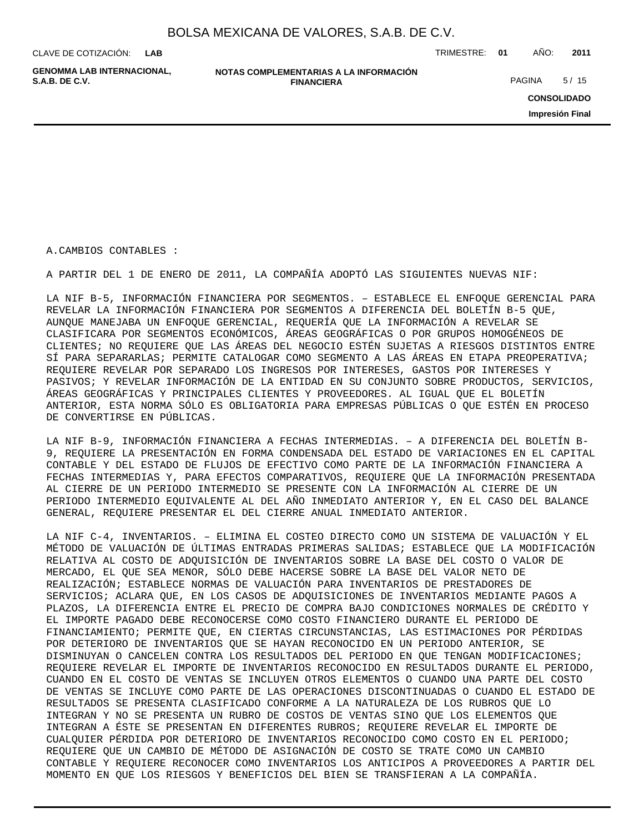| BOLSA MEXICANA DE VALORES, S.A.B. DE C.V. |  |  |
|-------------------------------------------|--|--|
|-------------------------------------------|--|--|

**LAB**

**GENOMMA LAB INTERNACIONAL,**

**NOTAS COMPLEMENTARIAS A LA INFORMACIÓN FINANCIERA S.A.B. DE C.V.** PAGINA 5/15

CLAVE DE COTIZACIÓN: TRIMESTRE: **01** AÑO: **2011**

**CONSOLIDADO**

**Impresión Final**

A. CAMBIOS CONTABLES :

A PARTIR DEL 1 DE ENERO DE 2011, LA COMPAÑÍA ADOPTÓ LAS SIGUIENTES NUEVAS NIF:

LA NIF B-5, INFORMACIÓN FINANCIERA POR SEGMENTOS. – ESTABLECE EL ENFOQUE GERENCIAL PARA REVELAR LA INFORMACIÓN FINANCIERA POR SEGMENTOS A DIFERENCIA DEL BOLETÍN B-5 QUE, AUNQUE MANEJABA UN ENFOQUE GERENCIAL, REQUERÍA QUE LA INFORMACIÓN A REVELAR SE CLASIFICARA POR SEGMENTOS ECONÓMICOS, ÁREAS GEOGRÁFICAS O POR GRUPOS HOMOGÉNEOS DE CLIENTES; NO REQUIERE QUE LAS ÁREAS DEL NEGOCIO ESTÉN SUJETAS A RIESGOS DISTINTOS ENTRE SÍ PARA SEPARARLAS; PERMITE CATALOGAR COMO SEGMENTO A LAS ÁREAS EN ETAPA PREOPERATIVA; REQUIERE REVELAR POR SEPARADO LOS INGRESOS POR INTERESES, GASTOS POR INTERESES Y PASIVOS; Y REVELAR INFORMACIÓN DE LA ENTIDAD EN SU CONJUNTO SOBRE PRODUCTOS, SERVICIOS, ÁREAS GEOGRÁFICAS Y PRINCIPALES CLIENTES Y PROVEEDORES. AL IGUAL QUE EL BOLETÍN ANTERIOR, ESTA NORMA SÓLO ES OBLIGATORIA PARA EMPRESAS PÚBLICAS O QUE ESTÉN EN PROCESO DE CONVERTIRSE EN PÚBLICAS.

LA NIF B-9, INFORMACIÓN FINANCIERA A FECHAS INTERMEDIAS. – A DIFERENCIA DEL BOLETÍN B-9, REQUIERE LA PRESENTACIÓN EN FORMA CONDENSADA DEL ESTADO DE VARIACIONES EN EL CAPITAL CONTABLE Y DEL ESTADO DE FLUJOS DE EFECTIVO COMO PARTE DE LA INFORMACIÓN FINANCIERA A FECHAS INTERMEDIAS Y, PARA EFECTOS COMPARATIVOS, REQUIERE QUE LA INFORMACIÓN PRESENTADA AL CIERRE DE UN PERIODO INTERMEDIO SE PRESENTE CON LA INFORMACIÓN AL CIERRE DE UN PERIODO INTERMEDIO EQUIVALENTE AL DEL AÑO INMEDIATO ANTERIOR Y, EN EL CASO DEL BALANCE GENERAL, REQUIERE PRESENTAR EL DEL CIERRE ANUAL INMEDIATO ANTERIOR.

LA NIF C-4, INVENTARIOS. – ELIMINA EL COSTEO DIRECTO COMO UN SISTEMA DE VALUACIÓN Y EL MÉTODO DE VALUACIÓN DE ÚLTIMAS ENTRADAS PRIMERAS SALIDAS; ESTABLECE QUE LA MODIFICACIÓN RELATIVA AL COSTO DE ADQUISICIÓN DE INVENTARIOS SOBRE LA BASE DEL COSTO O VALOR DE MERCADO, EL QUE SEA MENOR, SÓLO DEBE HACERSE SOBRE LA BASE DEL VALOR NETO DE REALIZACIÓN; ESTABLECE NORMAS DE VALUACIÓN PARA INVENTARIOS DE PRESTADORES DE SERVICIOS; ACLARA QUE, EN LOS CASOS DE ADQUISICIONES DE INVENTARIOS MEDIANTE PAGOS A PLAZOS, LA DIFERENCIA ENTRE EL PRECIO DE COMPRA BAJO CONDICIONES NORMALES DE CRÉDITO Y EL IMPORTE PAGADO DEBE RECONOCERSE COMO COSTO FINANCIERO DURANTE EL PERIODO DE FINANCIAMIENTO; PERMITE QUE, EN CIERTAS CIRCUNSTANCIAS, LAS ESTIMACIONES POR PÉRDIDAS POR DETERIORO DE INVENTARIOS QUE SE HAYAN RECONOCIDO EN UN PERIODO ANTERIOR, SE DISMINUYAN O CANCELEN CONTRA LOS RESULTADOS DEL PERIODO EN QUE TENGAN MODIFICACIONES; REQUIERE REVELAR EL IMPORTE DE INVENTARIOS RECONOCIDO EN RESULTADOS DURANTE EL PERIODO, CUANDO EN EL COSTO DE VENTAS SE INCLUYEN OTROS ELEMENTOS O CUANDO UNA PARTE DEL COSTO DE VENTAS SE INCLUYE COMO PARTE DE LAS OPERACIONES DISCONTINUADAS O CUANDO EL ESTADO DE RESULTADOS SE PRESENTA CLASIFICADO CONFORME A LA NATURALEZA DE LOS RUBROS QUE LO INTEGRAN Y NO SE PRESENTA UN RUBRO DE COSTOS DE VENTAS SINO QUE LOS ELEMENTOS QUE INTEGRAN A ÉSTE SE PRESENTAN EN DIFERENTES RUBROS; REQUIERE REVELAR EL IMPORTE DE CUALQUIER PÉRDIDA POR DETERIORO DE INVENTARIOS RECONOCIDO COMO COSTO EN EL PERIODO; REQUIERE QUE UN CAMBIO DE MÉTODO DE ASIGNACIÓN DE COSTO SE TRATE COMO UN CAMBIO CONTABLE Y REQUIERE RECONOCER COMO INVENTARIOS LOS ANTICIPOS A PROVEEDORES A PARTIR DEL MOMENTO EN QUE LOS RIESGOS Y BENEFICIOS DEL BIEN SE TRANSFIERAN A LA COMPAÑÍA.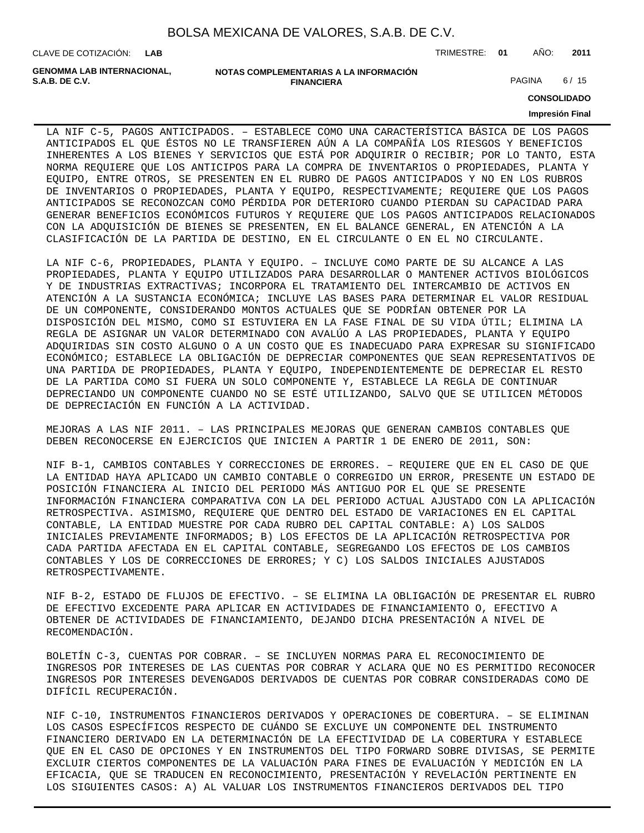CLAVE DE COTIZACIÓN: TRIMESTRE: **01** AÑO: **2011 LAB**

**GENOMMA LAB INTERNACIONAL,**

**NOTAS COMPLEMENTARIAS A LA INFORMACIÓN FINANCIERA S.A.B. DE C.V.** PAGINA 6/15

**CONSOLIDADO**

#### **Impresión Final**

LA NIF C-5, PAGOS ANTICIPADOS. – ESTABLECE COMO UNA CARACTERÍSTICA BÁSICA DE LOS PAGOS ANTICIPADOS EL QUE ÉSTOS NO LE TRANSFIEREN AÚN A LA COMPAÑÍA LOS RIESGOS Y BENEFICIOS INHERENTES A LOS BIENES Y SERVICIOS QUE ESTÁ POR ADQUIRIR O RECIBIR; POR LO TANTO, ESTA NORMA REQUIERE QUE LOS ANTICIPOS PARA LA COMPRA DE INVENTARIOS O PROPIEDADES, PLANTA Y EQUIPO, ENTRE OTROS, SE PRESENTEN EN EL RUBRO DE PAGOS ANTICIPADOS Y NO EN LOS RUBROS DE INVENTARIOS O PROPIEDADES, PLANTA Y EQUIPO, RESPECTIVAMENTE; REQUIERE QUE LOS PAGOS ANTICIPADOS SE RECONOZCAN COMO PÉRDIDA POR DETERIORO CUANDO PIERDAN SU CAPACIDAD PARA GENERAR BENEFICIOS ECONÓMICOS FUTUROS Y REQUIERE QUE LOS PAGOS ANTICIPADOS RELACIONADOS CON LA ADQUISICIÓN DE BIENES SE PRESENTEN, EN EL BALANCE GENERAL, EN ATENCIÓN A LA CLASIFICACIÓN DE LA PARTIDA DE DESTINO, EN EL CIRCULANTE O EN EL NO CIRCULANTE.

LA NIF C-6, PROPIEDADES, PLANTA Y EQUIPO. – INCLUYE COMO PARTE DE SU ALCANCE A LAS PROPIEDADES, PLANTA Y EQUIPO UTILIZADOS PARA DESARROLLAR O MANTENER ACTIVOS BIOLÓGICOS Y DE INDUSTRIAS EXTRACTIVAS; INCORPORA EL TRATAMIENTO DEL INTERCAMBIO DE ACTIVOS EN ATENCIÓN A LA SUSTANCIA ECONÓMICA; INCLUYE LAS BASES PARA DETERMINAR EL VALOR RESIDUAL DE UN COMPONENTE, CONSIDERANDO MONTOS ACTUALES QUE SE PODRÍAN OBTENER POR LA DISPOSICIÓN DEL MISMO, COMO SI ESTUVIERA EN LA FASE FINAL DE SU VIDA ÚTIL; ELIMINA LA REGLA DE ASIGNAR UN VALOR DETERMINADO CON AVALÚO A LAS PROPIEDADES, PLANTA Y EQUIPO ADQUIRIDAS SIN COSTO ALGUNO O A UN COSTO QUE ES INADECUADO PARA EXPRESAR SU SIGNIFICADO ECONÓMICO; ESTABLECE LA OBLIGACIÓN DE DEPRECIAR COMPONENTES QUE SEAN REPRESENTATIVOS DE UNA PARTIDA DE PROPIEDADES, PLANTA Y EQUIPO, INDEPENDIENTEMENTE DE DEPRECIAR EL RESTO DE LA PARTIDA COMO SI FUERA UN SOLO COMPONENTE Y, ESTABLECE LA REGLA DE CONTINUAR DEPRECIANDO UN COMPONENTE CUANDO NO SE ESTÉ UTILIZANDO, SALVO QUE SE UTILICEN MÉTODOS DE DEPRECIACIÓN EN FUNCIÓN A LA ACTIVIDAD.

MEJORAS A LAS NIF 2011. – LAS PRINCIPALES MEJORAS QUE GENERAN CAMBIOS CONTABLES QUE DEBEN RECONOCERSE EN EJERCICIOS QUE INICIEN A PARTIR 1 DE ENERO DE 2011, SON:

NIF B-1, CAMBIOS CONTABLES Y CORRECCIONES DE ERRORES. – REQUIERE QUE EN EL CASO DE QUE LA ENTIDAD HAYA APLICADO UN CAMBIO CONTABLE O CORREGIDO UN ERROR, PRESENTE UN ESTADO DE POSICIÓN FINANCIERA AL INICIO DEL PERIODO MÁS ANTIGUO POR EL QUE SE PRESENTE INFORMACIÓN FINANCIERA COMPARATIVA CON LA DEL PERIODO ACTUAL AJUSTADO CON LA APLICACIÓN RETROSPECTIVA. ASIMISMO, REQUIERE QUE DENTRO DEL ESTADO DE VARIACIONES EN EL CAPITAL CONTABLE, LA ENTIDAD MUESTRE POR CADA RUBRO DEL CAPITAL CONTABLE: A) LOS SALDOS INICIALES PREVIAMENTE INFORMADOS; B) LOS EFECTOS DE LA APLICACIÓN RETROSPECTIVA POR CADA PARTIDA AFECTADA EN EL CAPITAL CONTABLE, SEGREGANDO LOS EFECTOS DE LOS CAMBIOS CONTABLES Y LOS DE CORRECCIONES DE ERRORES; Y C) LOS SALDOS INICIALES AJUSTADOS RETROSPECTIVAMENTE.

NIF B-2, ESTADO DE FLUJOS DE EFECTIVO. – SE ELIMINA LA OBLIGACIÓN DE PRESENTAR EL RUBRO DE EFECTIVO EXCEDENTE PARA APLICAR EN ACTIVIDADES DE FINANCIAMIENTO O, EFECTIVO A OBTENER DE ACTIVIDADES DE FINANCIAMIENTO, DEJANDO DICHA PRESENTACIÓN A NIVEL DE RECOMENDACIÓN.

BOLETÍN C-3, CUENTAS POR COBRAR. – SE INCLUYEN NORMAS PARA EL RECONOCIMIENTO DE INGRESOS POR INTERESES DE LAS CUENTAS POR COBRAR Y ACLARA QUE NO ES PERMITIDO RECONOCER INGRESOS POR INTERESES DEVENGADOS DERIVADOS DE CUENTAS POR COBRAR CONSIDERADAS COMO DE DIFÍCIL RECUPERACIÓN.

NIF C-10, INSTRUMENTOS FINANCIEROS DERIVADOS Y OPERACIONES DE COBERTURA. – SE ELIMINAN LOS CASOS ESPECÍFICOS RESPECTO DE CUÁNDO SE EXCLUYE UN COMPONENTE DEL INSTRUMENTO FINANCIERO DERIVADO EN LA DETERMINACIÓN DE LA EFECTIVIDAD DE LA COBERTURA Y ESTABLECE QUE EN EL CASO DE OPCIONES Y EN INSTRUMENTOS DEL TIPO FORWARD SOBRE DIVISAS, SE PERMITE EXCLUIR CIERTOS COMPONENTES DE LA VALUACIÓN PARA FINES DE EVALUACIÓN Y MEDICIÓN EN LA EFICACIA, QUE SE TRADUCEN EN RECONOCIMIENTO, PRESENTACIÓN Y REVELACIÓN PERTINENTE EN LOS SIGUIENTES CASOS: A) AL VALUAR LOS INSTRUMENTOS FINANCIEROS DERIVADOS DEL TIPO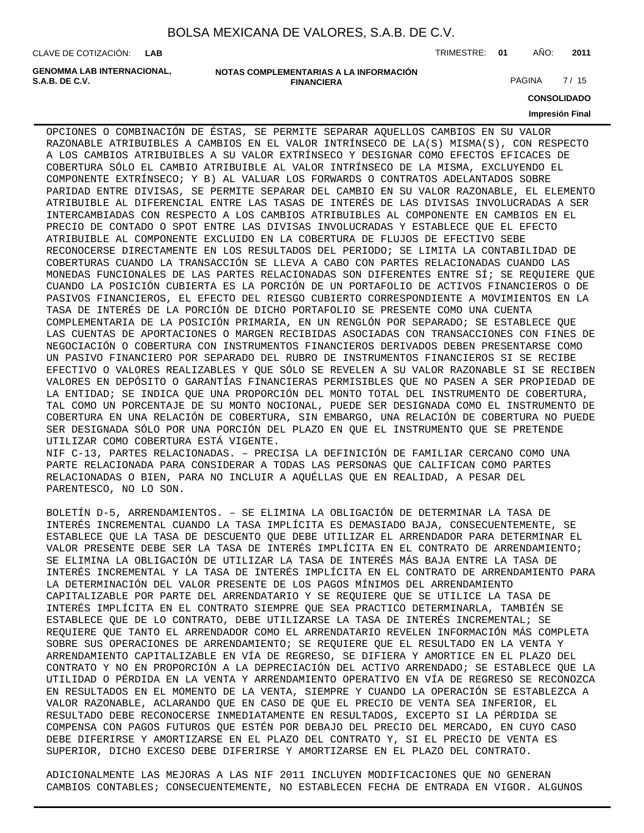CLAVE DE COTIZACIÓN: TRIMESTRE: **01** AÑO: **2011 LAB**

**GENOMMA LAB INTERNACIONAL,**

**NOTAS COMPLEMENTARIAS A LA INFORMACIÓN FINANCIERA S.A.B. DE C.V.** PAGINA 27 / 15

**CONSOLIDADO**

#### **Impresión Final**

OPCIONES O COMBINACIÓN DE ÉSTAS, SE PERMITE SEPARAR AQUELLOS CAMBIOS EN SU VALOR RAZONABLE ATRIBUIBLES A CAMBIOS EN EL VALOR INTRÍNSECO DE LA(S) MISMA(S), CON RESPECTO A LOS CAMBIOS ATRIBUIBLES A SU VALOR EXTRÍNSECO Y DESIGNAR COMO EFECTOS EFICACES DE COBERTURA SÓLO EL CAMBIO ATRIBUIBLE AL VALOR INTRÍNSECO DE LA MISMA, EXCLUYENDO EL COMPONENTE EXTRÍNSECO; Y B) AL VALUAR LOS FORWARDS O CONTRATOS ADELANTADOS SOBRE PARIDAD ENTRE DIVISAS, SE PERMITE SEPARAR DEL CAMBIO EN SU VALOR RAZONABLE, EL ELEMENTO ATRIBUIBLE AL DIFERENCIAL ENTRE LAS TASAS DE INTERÉS DE LAS DIVISAS INVOLUCRADAS A SER INTERCAMBIADAS CON RESPECTO A LOS CAMBIOS ATRIBUIBLES AL COMPONENTE EN CAMBIOS EN EL PRECIO DE CONTADO O SPOT ENTRE LAS DIVISAS INVOLUCRADAS Y ESTABLECE QUE EL EFECTO ATRIBUIBLE AL COMPONENTE EXCLUIDO EN LA COBERTURA DE FLUJOS DE EFECTIVO SEBE RECONOCERSE DIRECTAMENTE EN LOS RESULTADOS DEL PERIODO; SE LIMITA LA CONTABILIDAD DE COBERTURAS CUANDO LA TRANSACCIÓN SE LLEVA A CABO CON PARTES RELACIONADAS CUANDO LAS MONEDAS FUNCIONALES DE LAS PARTES RELACIONADAS SON DIFERENTES ENTRE SÍ; SE REQUIERE QUE CUANDO LA POSICIÓN CUBIERTA ES LA PORCIÓN DE UN PORTAFOLIO DE ACTIVOS FINANCIEROS O DE PASIVOS FINANCIEROS, EL EFECTO DEL RIESGO CUBIERTO CORRESPONDIENTE A MOVIMIENTOS EN LA TASA DE INTERÉS DE LA PORCIÓN DE DICHO PORTAFOLIO SE PRESENTE COMO UNA CUENTA COMPLEMENTARIA DE LA POSICIÓN PRIMARIA, EN UN RENGLÓN POR SEPARADO; SE ESTABLECE QUE LAS CUENTAS DE APORTACIONES O MARGEN RECIBIDAS ASOCIADAS CON TRANSACCIONES CON FINES DE NEGOCIACIÓN O COBERTURA CON INSTRUMENTOS FINANCIEROS DERIVADOS DEBEN PRESENTARSE COMO UN PASIVO FINANCIERO POR SEPARADO DEL RUBRO DE INSTRUMENTOS FINANCIEROS SI SE RECIBE EFECTIVO O VALORES REALIZABLES Y QUE SÓLO SE REVELEN A SU VALOR RAZONABLE SI SE RECIBEN VALORES EN DEPÓSITO O GARANTÍAS FINANCIERAS PERMISIBLES QUE NO PASEN A SER PROPIEDAD DE LA ENTIDAD; SE INDICA QUE UNA PROPORCIÓN DEL MONTO TOTAL DEL INSTRUMENTO DE COBERTURA, TAL COMO UN PORCENTAJE DE SU MONTO NOCIONAL, PUEDE SER DESIGNADA COMO EL INSTRUMENTO DE COBERTURA EN UNA RELACIÓN DE COBERTURA, SIN EMBARGO, UNA RELACIÓN DE COBERTURA NO PUEDE SER DESIGNADA SÓLO POR UNA PORCIÓN DEL PLAZO EN QUE EL INSTRUMENTO QUE SE PRETENDE UTILIZAR COMO COBERTURA ESTÁ VIGENTE.

NIF C-13, PARTES RELACIONADAS. – PRECISA LA DEFINICIÓN DE FAMILIAR CERCANO COMO UNA PARTE RELACIONADA PARA CONSIDERAR A TODAS LAS PERSONAS QUE CALIFICAN COMO PARTES RELACIONADAS O BIEN, PARA NO INCLUIR A AQUÉLLAS QUE EN REALIDAD, A PESAR DEL PARENTESCO, NO LO SON.

BOLETÍN D-5, ARRENDAMIENTOS. – SE ELIMINA LA OBLIGACIÓN DE DETERMINAR LA TASA DE INTERÉS INCREMENTAL CUANDO LA TASA IMPLÍCITA ES DEMASIADO BAJA, CONSECUENTEMENTE, SE ESTABLECE QUE LA TASA DE DESCUENTO QUE DEBE UTILIZAR EL ARRENDADOR PARA DETERMINAR EL VALOR PRESENTE DEBE SER LA TASA DE INTERÉS IMPLÍCITA EN EL CONTRATO DE ARRENDAMIENTO; SE ELIMINA LA OBLIGACIÓN DE UTILIZAR LA TASA DE INTERÉS MÁS BAJA ENTRE LA TASA DE INTERÉS INCREMENTAL Y LA TASA DE INTERÉS IMPLÍCITA EN EL CONTRATO DE ARRENDAMIENTO PARA LA DETERMINACIÓN DEL VALOR PRESENTE DE LOS PAGOS MÍNIMOS DEL ARRENDAMIENTO CAPITALIZABLE POR PARTE DEL ARRENDATARIO Y SE REQUIERE QUE SE UTILICE LA TASA DE INTERÉS IMPLÍCITA EN EL CONTRATO SIEMPRE QUE SEA PRACTICO DETERMINARLA, TAMBIÉN SE ESTABLECE QUE DE LO CONTRATO, DEBE UTILIZARSE LA TASA DE INTERÉS INCREMENTAL; SE REQUIERE QUE TANTO EL ARRENDADOR COMO EL ARRENDATARIO REVELEN INFORMACIÓN MÁS COMPLETA SOBRE SUS OPERACIONES DE ARRENDAMIENTO; SE REQUIERE QUE EL RESULTADO EN LA VENTA Y ARRENDAMIENTO CAPITALIZABLE EN VÍA DE REGRESO, SE DIFIERA Y AMORTICE EN EL PLAZO DEL CONTRATO Y NO EN PROPORCIÓN A LA DEPRECIACIÓN DEL ACTIVO ARRENDADO; SE ESTABLECE QUE LA UTILIDAD O PÉRDIDA EN LA VENTA Y ARRENDAMIENTO OPERATIVO EN VÍA DE REGRESO SE RECONOZCA EN RESULTADOS EN EL MOMENTO DE LA VENTA, SIEMPRE Y CUANDO LA OPERACIÓN SE ESTABLEZCA A VALOR RAZONABLE, ACLARANDO QUE EN CASO DE QUE EL PRECIO DE VENTA SEA INFERIOR, EL RESULTADO DEBE RECONOCERSE INMEDIATAMENTE EN RESULTADOS, EXCEPTO SI LA PÉRDIDA SE COMPENSA CON PAGOS FUTUROS QUE ESTÉN POR DEBAJO DEL PRECIO DEL MERCADO, EN CUYO CASO DEBE DIFERIRSE Y AMORTIZARSE EN EL PLAZO DEL CONTRATO Y, SI EL PRECIO DE VENTA ES SUPERIOR, DICHO EXCESO DEBE DIFERIRSE Y AMORTIZARSE EN EL PLAZO DEL CONTRATO.

ADICIONALMENTE LAS MEJORAS A LAS NIF 2011 INCLUYEN MODIFICACIONES QUE NO GENERAN CAMBIOS CONTABLES; CONSECUENTEMENTE, NO ESTABLECEN FECHA DE ENTRADA EN VIGOR. ALGUNOS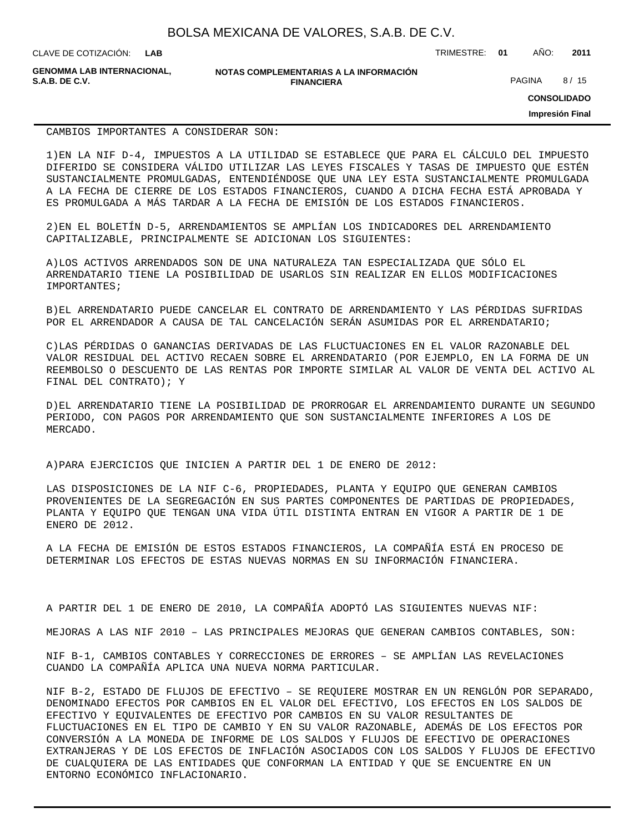CLAVE DE COTIZACIÓN: TRIMESTRE: **01** AÑO: **2011 LAB**

**GENOMMA LAB INTERNACIONAL,**

**NOTAS COMPLEMENTARIAS A LA INFORMACIÓN FINANCIERA S.A.B. DE C.V. EXAMPLE 2008 EXAMPLE 2008 EINANCIERA PAGINA** 8/15

**CONSOLIDADO**

**Impresión Final**

#### CAMBIOS IMPORTANTES A CONSIDERAR SON:

1) EN LA NIF D-4, IMPUESTOS A LA UTILIDAD SE ESTABLECE OUE PARA EL CÁLCULO DEL IMPUESTO DIFERIDO SE CONSIDERA VÁLIDO UTILIZAR LAS LEYES FISCALES Y TASAS DE IMPUESTO QUE ESTÉN SUSTANCIALMENTE PROMULGADAS, ENTENDIÉNDOSE QUE UNA LEY ESTA SUSTANCIALMENTE PROMULGADA A LA FECHA DE CIERRE DE LOS ESTADOS FINANCIEROS, CUANDO A DICHA FECHA ESTÁ APROBADA Y ES PROMULGADA A MÁS TARDAR A LA FECHA DE EMISIÓN DE LOS ESTADOS FINANCIEROS.

2) EN EL BOLETÍN D-5, ARRENDAMIENTOS SE AMPLÍAN LOS INDICADORES DEL ARRENDAMIENTO CAPITALIZABLE, PRINCIPALMENTE SE ADICIONAN LOS SIGUIENTES:

A) LOS ACTIVOS ARRENDADOS SON DE UNA NATURALEZA TAN ESPECIALIZADA QUE SÓLO EL ARRENDATARIO TIENE LA POSIBILIDAD DE USARLOS SIN REALIZAR EN ELLOS MODIFICACIONES IMPORTANTES;

B) EL ARRENDATARIO PUEDE CANCELAR EL CONTRATO DE ARRENDAMIENTO Y LAS PÉRDIDAS SUFRIDAS POR EL ARRENDADOR A CAUSA DE TAL CANCELACIÓN SERÁN ASUMIDAS POR EL ARRENDATARIO;

C) LAS PÉRDIDAS O GANANCIAS DERIVADAS DE LAS FLUCTUACIONES EN EL VALOR RAZONABLE DEL VALOR RESIDUAL DEL ACTIVO RECAEN SOBRE EL ARRENDATARIO (POR EJEMPLO, EN LA FORMA DE UN REEMBOLSO O DESCUENTO DE LAS RENTAS POR IMPORTE SIMILAR AL VALOR DE VENTA DEL ACTIVO AL FINAL DEL CONTRATO); Y

D) EL ARRENDATARIO TIENE LA POSIBILIDAD DE PRORROGAR EL ARRENDAMIENTO DURANTE UN SEGUNDO PERIODO, CON PAGOS POR ARRENDAMIENTO QUE SON SUSTANCIALMENTE INFERIORES A LOS DE MERCADO.

A) PARA EJERCICIOS QUE INICIEN A PARTIR DEL 1 DE ENERO DE 2012:

LAS DISPOSICIONES DE LA NIF C-6, PROPIEDADES, PLANTA Y EQUIPO QUE GENERAN CAMBIOS PROVENIENTES DE LA SEGREGACIÓN EN SUS PARTES COMPONENTES DE PARTIDAS DE PROPIEDADES, PLANTA Y EQUIPO QUE TENGAN UNA VIDA ÚTIL DISTINTA ENTRAN EN VIGOR A PARTIR DE 1 DE ENERO DE 2012.

A LA FECHA DE EMISIÓN DE ESTOS ESTADOS FINANCIEROS, LA COMPAÑÍA ESTÁ EN PROCESO DE DETERMINAR LOS EFECTOS DE ESTAS NUEVAS NORMAS EN SU INFORMACIÓN FINANCIERA.

A PARTIR DEL 1 DE ENERO DE 2010, LA COMPAÑÍA ADOPTÓ LAS SIGUIENTES NUEVAS NIF:

MEJORAS A LAS NIF 2010 – LAS PRINCIPALES MEJORAS QUE GENERAN CAMBIOS CONTABLES, SON:

NIF B-1, CAMBIOS CONTABLES Y CORRECCIONES DE ERRORES – SE AMPLÍAN LAS REVELACIONES CUANDO LA COMPAÑÍA APLICA UNA NUEVA NORMA PARTICULAR.

NIF B-2, ESTADO DE FLUJOS DE EFECTIVO – SE REQUIERE MOSTRAR EN UN RENGLÓN POR SEPARADO, DENOMINADO EFECTOS POR CAMBIOS EN EL VALOR DEL EFECTIVO, LOS EFECTOS EN LOS SALDOS DE EFECTIVO Y EQUIVALENTES DE EFECTIVO POR CAMBIOS EN SU VALOR RESULTANTES DE FLUCTUACIONES EN EL TIPO DE CAMBIO Y EN SU VALOR RAZONABLE, ADEMÁS DE LOS EFECTOS POR CONVERSIÓN A LA MONEDA DE INFORME DE LOS SALDOS Y FLUJOS DE EFECTIVO DE OPERACIONES EXTRANJERAS Y DE LOS EFECTOS DE INFLACIÓN ASOCIADOS CON LOS SALDOS Y FLUJOS DE EFECTIVO DE CUALQUIERA DE LAS ENTIDADES QUE CONFORMAN LA ENTIDAD Y QUE SE ENCUENTRE EN UN ENTORNO ECONÓMICO INFLACIONARIO.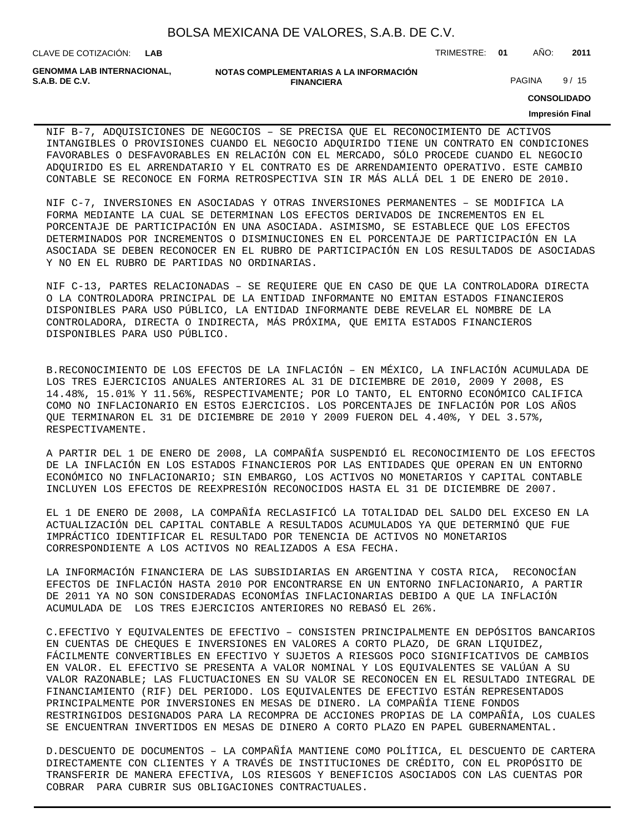| BOLSA MEXICANA DE VALORES, S.A.B. DE C.V. |  |  |  |  |  |
|-------------------------------------------|--|--|--|--|--|
|-------------------------------------------|--|--|--|--|--|

**LAB**

CLAVE DE COTIZACIÓN: TRIMESTRE: **01** AÑO: **2011**

**GENOMMA LAB INTERNACIONAL,**

#### **NOTAS COMPLEMENTARIAS A LA INFORMACIÓN FINANCIERA S.A.B. DE C.V.** PAGINA 9/15

**CONSOLIDADO**

#### **Impresión Final**

NIF B-7, ADQUISICIONES DE NEGOCIOS – SE PRECISA QUE EL RECONOCIMIENTO DE ACTIVOS INTANGIBLES O PROVISIONES CUANDO EL NEGOCIO ADQUIRIDO TIENE UN CONTRATO EN CONDICIONES FAVORABLES O DESFAVORABLES EN RELACIÓN CON EL MERCADO, SÓLO PROCEDE CUANDO EL NEGOCIO ADQUIRIDO ES EL ARRENDATARIO Y EL CONTRATO ES DE ARRENDAMIENTO OPERATIVO. ESTE CAMBIO CONTABLE SE RECONOCE EN FORMA RETROSPECTIVA SIN IR MÁS ALLÁ DEL 1 DE ENERO DE 2010.

NIF C-7, INVERSIONES EN ASOCIADAS Y OTRAS INVERSIONES PERMANENTES – SE MODIFICA LA FORMA MEDIANTE LA CUAL SE DETERMINAN LOS EFECTOS DERIVADOS DE INCREMENTOS EN EL PORCENTAJE DE PARTICIPACIÓN EN UNA ASOCIADA. ASIMISMO, SE ESTABLECE QUE LOS EFECTOS DETERMINADOS POR INCREMENTOS O DISMINUCIONES EN EL PORCENTAJE DE PARTICIPACIÓN EN LA ASOCIADA SE DEBEN RECONOCER EN EL RUBRO DE PARTICIPACIÓN EN LOS RESULTADOS DE ASOCIADAS Y NO EN EL RUBRO DE PARTIDAS NO ORDINARIAS.

NIF C-13, PARTES RELACIONADAS – SE REQUIERE QUE EN CASO DE QUE LA CONTROLADORA DIRECTA O LA CONTROLADORA PRINCIPAL DE LA ENTIDAD INFORMANTE NO EMITAN ESTADOS FINANCIEROS DISPONIBLES PARA USO PÚBLICO, LA ENTIDAD INFORMANTE DEBE REVELAR EL NOMBRE DE LA CONTROLADORA, DIRECTA O INDIRECTA, MÁS PRÓXIMA, QUE EMITA ESTADOS FINANCIEROS DISPONIBLES PARA USO PÚBLICO.

B. RECONOCIMIENTO DE LOS EFECTOS DE LA INFLACIÓN – EN MÉXICO, LA INFLACIÓN ACUMULADA DE LOS TRES EJERCICIOS ANUALES ANTERIORES AL 31 DE DICIEMBRE DE 2010, 2009 Y 2008, ES 14.48%, 15.01% Y 11.56%, RESPECTIVAMENTE; POR LO TANTO, EL ENTORNO ECONÓMICO CALIFICA COMO NO INFLACIONARIO EN ESTOS EJERCICIOS. LOS PORCENTAJES DE INFLACIÓN POR LOS AÑOS QUE TERMINARON EL 31 DE DICIEMBRE DE 2010 Y 2009 FUERON DEL 4.40%, Y DEL 3.57%, RESPECTIVAMENTE.

A PARTIR DEL 1 DE ENERO DE 2008, LA COMPAÑÍA SUSPENDIÓ EL RECONOCIMIENTO DE LOS EFECTOS DE LA INFLACIÓN EN LOS ESTADOS FINANCIEROS POR LAS ENTIDADES QUE OPERAN EN UN ENTORNO ECONÓMICO NO INFLACIONARIO; SIN EMBARGO, LOS ACTIVOS NO MONETARIOS Y CAPITAL CONTABLE INCLUYEN LOS EFECTOS DE REEXPRESIÓN RECONOCIDOS HASTA EL 31 DE DICIEMBRE DE 2007.

EL 1 DE ENERO DE 2008, LA COMPAÑÍA RECLASIFICÓ LA TOTALIDAD DEL SALDO DEL EXCESO EN LA ACTUALIZACIÓN DEL CAPITAL CONTABLE A RESULTADOS ACUMULADOS YA QUE DETERMINÓ QUE FUE IMPRÁCTICO IDENTIFICAR EL RESULTADO POR TENENCIA DE ACTIVOS NO MONETARIOS CORRESPONDIENTE A LOS ACTIVOS NO REALIZADOS A ESA FECHA.

LA INFORMACIÓN FINANCIERA DE LAS SUBSIDIARIAS EN ARGENTINA Y COSTA RICA, RECONOCÍAN EFECTOS DE INFLACIÓN HASTA 2010 POR ENCONTRARSE EN UN ENTORNO INFLACIONARIO, A PARTIR DE 2011 YA NO SON CONSIDERADAS ECONOMÍAS INFLACIONARIAS DEBIDO A QUE LA INFLACIÓN ACUMULADA DE LOS TRES EJERCICIOS ANTERIORES NO REBASÓ EL 26%.

C. EFECTIVO Y EQUIVALENTES DE EFECTIVO – CONSISTEN PRINCIPALMENTE EN DEPÓSITOS BANCARIOS EN CUENTAS DE CHEQUES E INVERSIONES EN VALORES A CORTO PLAZO, DE GRAN LIQUIDEZ, FÁCILMENTE CONVERTIBLES EN EFECTIVO Y SUJETOS A RIESGOS POCO SIGNIFICATIVOS DE CAMBIOS EN VALOR. EL EFECTIVO SE PRESENTA A VALOR NOMINAL Y LOS EQUIVALENTES SE VALÚAN A SU VALOR RAZONABLE; LAS FLUCTUACIONES EN SU VALOR SE RECONOCEN EN EL RESULTADO INTEGRAL DE FINANCIAMIENTO (RIF) DEL PERIODO. LOS EQUIVALENTES DE EFECTIVO ESTÁN REPRESENTADOS PRINCIPALMENTE POR INVERSIONES EN MESAS DE DINERO. LA COMPAÑÍA TIENE FONDOS RESTRINGIDOS DESIGNADOS PARA LA RECOMPRA DE ACCIONES PROPIAS DE LA COMPAÑÍA, LOS CUALES SE ENCUENTRAN INVERTIDOS EN MESAS DE DINERO A CORTO PLAZO EN PAPEL GUBERNAMENTAL.

D. DESCUENTO DE DOCUMENTOS – LA COMPAÑÍA MANTIENE COMO POLÍTICA, EL DESCUENTO DE CARTERA DIRECTAMENTE CON CLIENTES Y A TRAVÉS DE INSTITUCIONES DE CRÉDITO, CON EL PROPÓSITO DE TRANSFERIR DE MANERA EFECTIVA, LOS RIESGOS Y BENEFICIOS ASOCIADOS CON LAS CUENTAS POR COBRAR PARA CUBRIR SUS OBLIGACIONES CONTRACTUALES.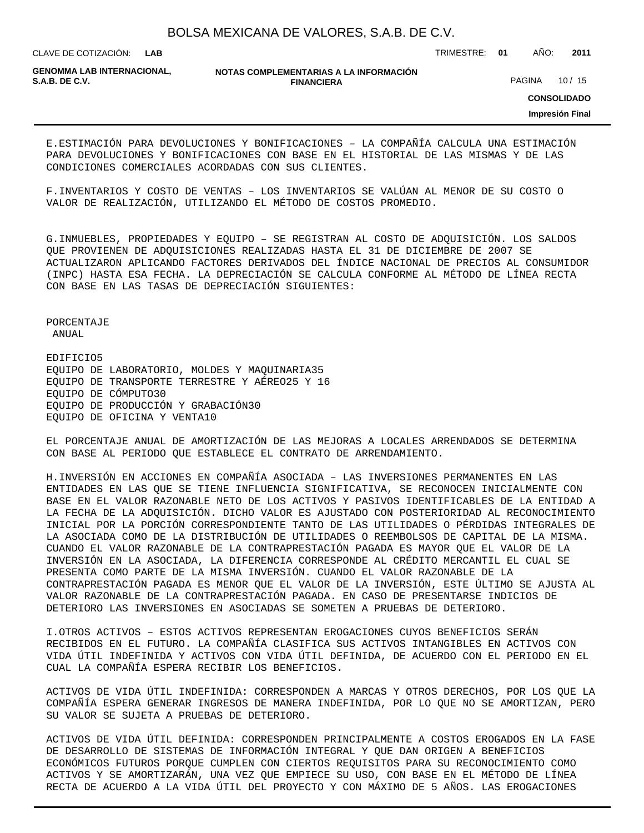**LAB**

CLAVE DE COTIZACIÓN: TRIMESTRE: **01** AÑO: **2011**

**GENOMMA LAB INTERNACIONAL,**

**NOTAS COMPLEMENTARIAS A LA INFORMACIÓN FINANCIERA**

PAGINA 10 / 15

**CONSOLIDADO**

**Impresión Final**

E. ESTIMACIÓN PARA DEVOLUCIONES Y BONIFICACIONES – LA COMPAÑÍA CALCULA UNA ESTIMACIÓN PARA DEVOLUCIONES Y BONIFICACIONES CON BASE EN EL HISTORIAL DE LAS MISMAS Y DE LAS CONDICIONES COMERCIALES ACORDADAS CON SUS CLIENTES.

F. INVENTARIOS Y COSTO DE VENTAS – LOS INVENTARIOS SE VALÚAN AL MENOR DE SU COSTO O VALOR DE REALIZACIÓN, UTILIZANDO EL MÉTODO DE COSTOS PROMEDIO.

G. INMUEBLES, PROPIEDADES Y EQUIPO – SE REGISTRAN AL COSTO DE ADQUISICIÓN. LOS SALDOS QUE PROVIENEN DE ADQUISICIONES REALIZADAS HASTA EL 31 DE DICIEMBRE DE 2007 SE ACTUALIZARON APLICANDO FACTORES DERIVADOS DEL ÍNDICE NACIONAL DE PRECIOS AL CONSUMIDOR (INPC) HASTA ESA FECHA. LA DEPRECIACIÓN SE CALCULA CONFORME AL MÉTODO DE LÍNEA RECTA CON BASE EN LAS TASAS DE DEPRECIACIÓN SIGUIENTES:

PORCENTAJE ANUAL

EDIFICIO<sub>5</sub> EQUIPO DE LABORATORIO, MOLDES Y MAQUINARIA 35 EQUIPO DE TRANSPORTE TERRESTRE Y AÉREO 25 Y 16 EQUIPO DE CÓMPUTO 30 EQUIPO DE PRODUCCIÓN Y GRABACIÓN 30 EQUIPO DE OFICINA Y VENTA 10

EL PORCENTAJE ANUAL DE AMORTIZACIÓN DE LAS MEJORAS A LOCALES ARRENDADOS SE DETERMINA CON BASE AL PERIODO QUE ESTABLECE EL CONTRATO DE ARRENDAMIENTO.

H. INVERSIÓN EN ACCIONES EN COMPAÑÍA ASOCIADA - LAS INVERSIONES PERMANENTES EN LAS ENTIDADES EN LAS QUE SE TIENE INFLUENCIA SIGNIFICATIVA, SE RECONOCEN INICIALMENTE CON BASE EN EL VALOR RAZONABLE NETO DE LOS ACTIVOS Y PASIVOS IDENTIFICABLES DE LA ENTIDAD A LA FECHA DE LA ADQUISICIÓN. DICHO VALOR ES AJUSTADO CON POSTERIORIDAD AL RECONOCIMIENTO INICIAL POR LA PORCIÓN CORRESPONDIENTE TANTO DE LAS UTILIDADES O PÉRDIDAS INTEGRALES DE LA ASOCIADA COMO DE LA DISTRIBUCIÓN DE UTILIDADES O REEMBOLSOS DE CAPITAL DE LA MISMA. CUANDO EL VALOR RAZONABLE DE LA CONTRAPRESTACIÓN PAGADA ES MAYOR QUE EL VALOR DE LA INVERSIÓN EN LA ASOCIADA, LA DIFERENCIA CORRESPONDE AL CRÉDITO MERCANTIL EL CUAL SE PRESENTA COMO PARTE DE LA MISMA INVERSIÓN. CUANDO EL VALOR RAZONABLE DE LA CONTRAPRESTACIÓN PAGADA ES MENOR QUE EL VALOR DE LA INVERSIÓN, ESTE ÚLTIMO SE AJUSTA AL VALOR RAZONABLE DE LA CONTRAPRESTACIÓN PAGADA. EN CASO DE PRESENTARSE INDICIOS DE DETERIORO LAS INVERSIONES EN ASOCIADAS SE SOMETEN A PRUEBAS DE DETERIORO.

I. OTROS ACTIVOS - ESTOS ACTIVOS REPRESENTAN EROGACIONES CUYOS BENEFICIOS SERÁN RECIBIDOS EN EL FUTURO. LA COMPAÑÍA CLASIFICA SUS ACTIVOS INTANGIBLES EN ACTIVOS CON VIDA ÚTIL INDEFINIDA Y ACTIVOS CON VIDA ÚTIL DEFINIDA, DE ACUERDO CON EL PERIODO EN EL CUAL LA COMPAÑÍA ESPERA RECIBIR LOS BENEFICIOS.

ACTIVOS DE VIDA ÚTIL INDEFINIDA: CORRESPONDEN A MARCAS Y OTROS DERECHOS, POR LOS QUE LA COMPAÑÍA ESPERA GENERAR INGRESOS DE MANERA INDEFINIDA, POR LO QUE NO SE AMORTIZAN, PERO SU VALOR SE SUJETA A PRUEBAS DE DETERIORO.

ACTIVOS DE VIDA ÚTIL DEFINIDA: CORRESPONDEN PRINCIPALMENTE A COSTOS EROGADOS EN LA FASE DE DESARROLLO DE SISTEMAS DE INFORMACIÓN INTEGRAL Y QUE DAN ORIGEN A BENEFICIOS ECONÓMICOS FUTUROS PORQUE CUMPLEN CON CIERTOS REQUISITOS PARA SU RECONOCIMIENTO COMO ACTIVOS Y SE AMORTIZARÁN, UNA VEZ QUE EMPIECE SU USO, CON BASE EN EL MÉTODO DE LÍNEA RECTA DE ACUERDO A LA VIDA ÚTIL DEL PROYECTO Y CON MÁXIMO DE 5 AÑOS. LAS EROGACIONES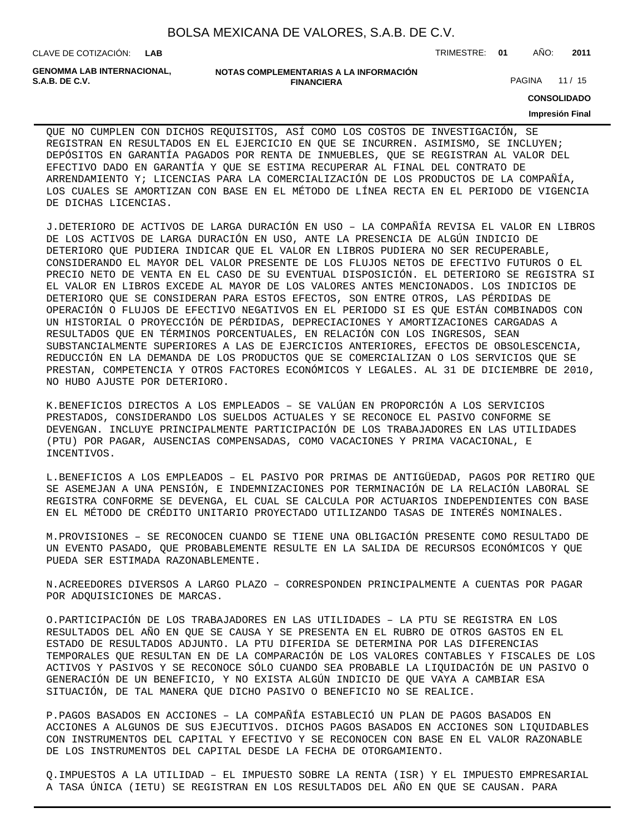**LAB**

CLAVE DE COTIZACIÓN: TRIMESTRE: **01** AÑO: **2011**

**GENOMMA LAB INTERNACIONAL,**

**NOTAS COMPLEMENTARIAS A LA INFORMACIÓN FINANCIERA**

PAGINA 11 / 15

**CONSOLIDADO**

#### **Impresión Final**

QUE NO CUMPLEN CON DICHOS REQUISITOS, ASÍ COMO LOS COSTOS DE INVESTIGACIÓN, SE REGISTRAN EN RESULTADOS EN EL EJERCICIO EN QUE SE INCURREN. ASIMISMO, SE INCLUYEN; DEPÓSITOS EN GARANTÍA PAGADOS POR RENTA DE INMUEBLES, QUE SE REGISTRAN AL VALOR DEL EFECTIVO DADO EN GARANTÍA Y QUE SE ESTIMA RECUPERAR AL FINAL DEL CONTRATO DE ARRENDAMIENTO Y; LICENCIAS PARA LA COMERCIALIZACIÓN DE LOS PRODUCTOS DE LA COMPAÑÍA, LOS CUALES SE AMORTIZAN CON BASE EN EL MÉTODO DE LÍNEA RECTA EN EL PERIODO DE VIGENCIA DE DICHAS LICENCIAS.

J. DETERIORO DE ACTIVOS DE LARGA DURACIÓN EN USO – LA COMPAÑÍA REVISA EL VALOR EN LIBROS DE LOS ACTIVOS DE LARGA DURACIÓN EN USO, ANTE LA PRESENCIA DE ALGÚN INDICIO DE DETERIORO QUE PUDIERA INDICAR QUE EL VALOR EN LIBROS PUDIERA NO SER RECUPERABLE, CONSIDERANDO EL MAYOR DEL VALOR PRESENTE DE LOS FLUJOS NETOS DE EFECTIVO FUTUROS O EL PRECIO NETO DE VENTA EN EL CASO DE SU EVENTUAL DISPOSICIÓN. EL DETERIORO SE REGISTRA SI EL VALOR EN LIBROS EXCEDE AL MAYOR DE LOS VALORES ANTES MENCIONADOS. LOS INDICIOS DE DETERIORO QUE SE CONSIDERAN PARA ESTOS EFECTOS, SON ENTRE OTROS, LAS PÉRDIDAS DE OPERACIÓN O FLUJOS DE EFECTIVO NEGATIVOS EN EL PERIODO SI ES QUE ESTÁN COMBINADOS CON UN HISTORIAL O PROYECCIÓN DE PÉRDIDAS, DEPRECIACIONES Y AMORTIZACIONES CARGADAS A RESULTADOS QUE EN TÉRMINOS PORCENTUALES, EN RELACIÓN CON LOS INGRESOS, SEAN SUBSTANCIALMENTE SUPERIORES A LAS DE EJERCICIOS ANTERIORES, EFECTOS DE OBSOLESCENCIA, REDUCCIÓN EN LA DEMANDA DE LOS PRODUCTOS QUE SE COMERCIALIZAN O LOS SERVICIOS QUE SE PRESTAN, COMPETENCIA Y OTROS FACTORES ECONÓMICOS Y LEGALES. AL 31 DE DICIEMBRE DE 2010, NO HUBO AJUSTE POR DETERIORO.

K. BENEFICIOS DIRECTOS A LOS EMPLEADOS - SE VALÚAN EN PROPORCIÓN A LOS SERVICIOS PRESTADOS, CONSIDERANDO LOS SUELDOS ACTUALES Y SE RECONOCE EL PASIVO CONFORME SE DEVENGAN. INCLUYE PRINCIPALMENTE PARTICIPACIÓN DE LOS TRABAJADORES EN LAS UTILIDADES (PTU) POR PAGAR, AUSENCIAS COMPENSADAS, COMO VACACIONES Y PRIMA VACACIONAL, E INCENTIVOS.

L. BENEFICIOS A LOS EMPLEADOS - EL PASIVO POR PRIMAS DE ANTIGÜEDAD, PAGOS POR RETIRO QUE SE ASEMEJAN A UNA PENSIÓN, E INDEMNIZACIONES POR TERMINACIÓN DE LA RELACIÓN LABORAL SE REGISTRA CONFORME SE DEVENGA, EL CUAL SE CALCULA POR ACTUARIOS INDEPENDIENTES CON BASE EN EL MÉTODO DE CRÉDITO UNITARIO PROYECTADO UTILIZANDO TASAS DE INTERÉS NOMINALES.

M. PROVISIONES – SE RECONOCEN CUANDO SE TIENE UNA OBLIGACIÓN PRESENTE COMO RESULTADO DE UN EVENTO PASADO, QUE PROBABLEMENTE RESULTE EN LA SALIDA DE RECURSOS ECONÓMICOS Y QUE PUEDA SER ESTIMADA RAZONABLEMENTE.

N. ACREEDORES DIVERSOS A LARGO PLAZO – CORRESPONDEN PRINCIPALMENTE A CUENTAS POR PAGAR POR ADQUISICIONES DE MARCAS.

O. PARTICIPACIÓN DE LOS TRABAJADORES EN LAS UTILIDADES – LA PTU SE REGISTRA EN LOS RESULTADOS DEL AÑO EN QUE SE CAUSA Y SE PRESENTA EN EL RUBRO DE OTROS GASTOS EN EL ESTADO DE RESULTADOS ADJUNTO. LA PTU DIFERIDA SE DETERMINA POR LAS DIFERENCIAS TEMPORALES QUE RESULTAN EN DE LA COMPARACIÓN DE LOS VALORES CONTABLES Y FISCALES DE LOS ACTIVOS Y PASIVOS Y SE RECONOCE SÓLO CUANDO SEA PROBABLE LA LIQUIDACIÓN DE UN PASIVO O GENERACIÓN DE UN BENEFICIO, Y NO EXISTA ALGÚN INDICIO DE QUE VAYA A CAMBIAR ESA SITUACIÓN, DE TAL MANERA QUE DICHO PASIVO O BENEFICIO NO SE REALICE.

P. PAGOS BASADOS EN ACCIONES – LA COMPAÑÍA ESTABLECIÓ UN PLAN DE PAGOS BASADOS EN ACCIONES A ALGUNOS DE SUS EJECUTIVOS. DICHOS PAGOS BASADOS EN ACCIONES SON LIQUIDABLES CON INSTRUMENTOS DEL CAPITAL Y EFECTIVO Y SE RECONOCEN CON BASE EN EL VALOR RAZONABLE DE LOS INSTRUMENTOS DEL CAPITAL DESDE LA FECHA DE OTORGAMIENTO.

Q. IMPUESTOS A LA UTILIDAD – EL IMPUESTO SOBRE LA RENTA (ISR) Y EL IMPUESTO EMPRESARIAL A TASA ÚNICA (IETU) SE REGISTRAN EN LOS RESULTADOS DEL AÑO EN QUE SE CAUSAN. PARA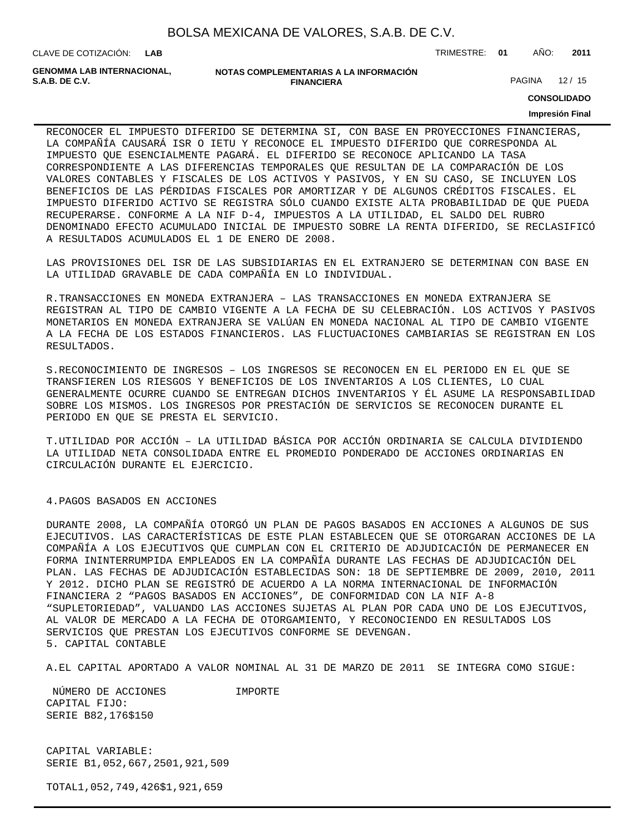**LAB**

CLAVE DE COTIZACIÓN: TRIMESTRE: **01** AÑO: **2011**

**GENOMMA LAB INTERNACIONAL,**

| NOTAS COMPLEMENTARIAS A LA INFORMACIÓN |
|----------------------------------------|
| <b>FINANCIERA</b>                      |

PAGINA 12 / 15

**CONSOLIDADO**

#### **Impresión Final**

RECONOCER EL IMPUESTO DIFERIDO SE DETERMINA SI, CON BASE EN PROYECCIONES FINANCIERAS, LA COMPAÑÍA CAUSARÁ ISR O IETU Y RECONOCE EL IMPUESTO DIFERIDO QUE CORRESPONDA AL IMPUESTO QUE ESENCIALMENTE PAGARÁ. EL DIFERIDO SE RECONOCE APLICANDO LA TASA CORRESPONDIENTE A LAS DIFERENCIAS TEMPORALES QUE RESULTAN DE LA COMPARACIÓN DE LOS VALORES CONTABLES Y FISCALES DE LOS ACTIVOS Y PASIVOS, Y EN SU CASO, SE INCLUYEN LOS BENEFICIOS DE LAS PÉRDIDAS FISCALES POR AMORTIZAR Y DE ALGUNOS CRÉDITOS FISCALES. EL IMPUESTO DIFERIDO ACTIVO SE REGISTRA SÓLO CUANDO EXISTE ALTA PROBABILIDAD DE QUE PUEDA RECUPERARSE. CONFORME A LA NIF D-4, IMPUESTOS A LA UTILIDAD, EL SALDO DEL RUBRO DENOMINADO EFECTO ACUMULADO INICIAL DE IMPUESTO SOBRE LA RENTA DIFERIDO, SE RECLASIFICÓ A RESULTADOS ACUMULADOS EL 1 DE ENERO DE 2008.

LAS PROVISIONES DEL ISR DE LAS SUBSIDIARIAS EN EL EXTRANJERO SE DETERMINAN CON BASE EN LA UTILIDAD GRAVABLE DE CADA COMPAÑÍA EN LO INDIVIDUAL.

R. TRANSACCIONES EN MONEDA EXTRANJERA - LAS TRANSACCIONES EN MONEDA EXTRANJERA SE REGISTRAN AL TIPO DE CAMBIO VIGENTE A LA FECHA DE SU CELEBRACIÓN. LOS ACTIVOS Y PASIVOS MONETARIOS EN MONEDA EXTRANJERA SE VALÚAN EN MONEDA NACIONAL AL TIPO DE CAMBIO VIGENTE A LA FECHA DE LOS ESTADOS FINANCIEROS. LAS FLUCTUACIONES CAMBIARIAS SE REGISTRAN EN LOS RESULTADOS.

S. RECONOCIMIENTO DE INGRESOS - LOS INGRESOS SE RECONOCEN EN EL PERIODO EN EL QUE SE TRANSFIEREN LOS RIESGOS Y BENEFICIOS DE LOS INVENTARIOS A LOS CLIENTES, LO CUAL GENERALMENTE OCURRE CUANDO SE ENTREGAN DICHOS INVENTARIOS Y ÉL ASUME LA RESPONSABILIDAD SOBRE LOS MISMOS. LOS INGRESOS POR PRESTACIÓN DE SERVICIOS SE RECONOCEN DURANTE EL PERIODO EN QUE SE PRESTA EL SERVICIO.

T. UTILIDAD POR ACCIÓN – LA UTILIDAD BÁSICA POR ACCIÓN ORDINARIA SE CALCULA DIVIDIENDO LA UTILIDAD NETA CONSOLIDADA ENTRE EL PROMEDIO PONDERADO DE ACCIONES ORDINARIAS EN CIRCULACIÓN DURANTE EL EJERCICIO.

#### 4. PAGOS BASADOS EN ACCIONES

DURANTE 2008, LA COMPAÑÍA OTORGÓ UN PLAN DE PAGOS BASADOS EN ACCIONES A ALGUNOS DE SUS EJECUTIVOS. LAS CARACTERÍSTICAS DE ESTE PLAN ESTABLECEN QUE SE OTORGARAN ACCIONES DE LA COMPAÑÍA A LOS EJECUTIVOS QUE CUMPLAN CON EL CRITERIO DE ADJUDICACIÓN DE PERMANECER EN FORMA ININTERRUMPIDA EMPLEADOS EN LA COMPAÑÍA DURANTE LAS FECHAS DE ADJUDICACIÓN DEL PLAN. LAS FECHAS DE ADJUDICACIÓN ESTABLECIDAS SON: 18 DE SEPTIEMBRE DE 2009, 2010, 2011 Y 2012. DICHO PLAN SE REGISTRÓ DE ACUERDO A LA NORMA INTERNACIONAL DE INFORMACIÓN FINANCIERA 2 "PAGOS BASADOS EN ACCIONES", DE CONFORMIDAD CON LA NIF A-8 "SUPLETORIEDAD", VALUANDO LAS ACCIONES SUJETAS AL PLAN POR CADA UNO DE LOS EJECUTIVOS, AL VALOR DE MERCADO A LA FECHA DE OTORGAMIENTO, Y RECONOCIENDO EN RESULTADOS LOS SERVICIOS QUE PRESTAN LOS EJECUTIVOS CONFORME SE DEVENGAN. 5. CAPITAL CONTABLE

A. EL CAPITAL APORTADO A VALOR NOMINAL AL 31 DE MARZO DE 2011 SE INTEGRA COMO SIGUE:

 NÚMERO DE ACCIONES IMPORTE CAPITAL FIJO: SERIE B 82,176 \$150

CAPITAL VARIABLE: SERIE B 1,052,667,250 1,921,509

TOTAL 1,052,749,426 \$1,921,659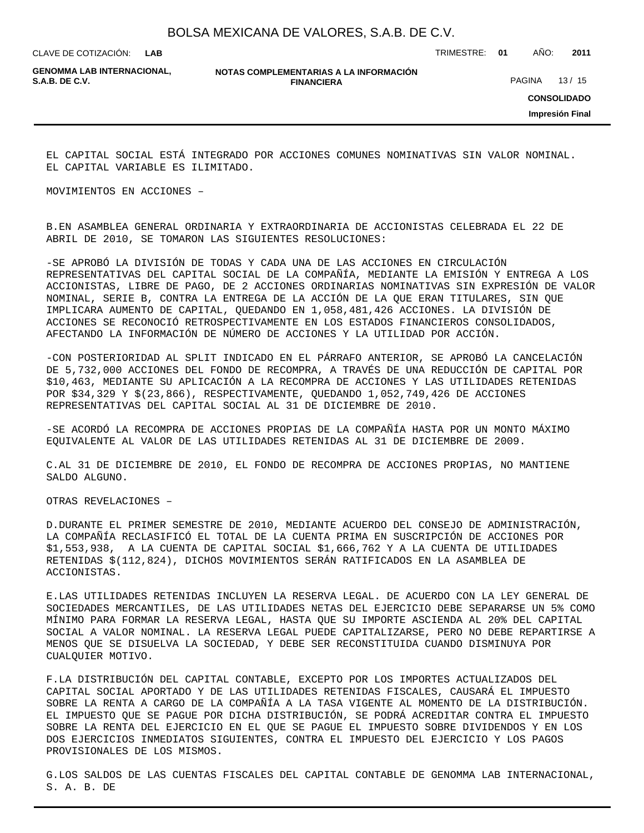**LAB**

CLAVE DE COTIZACIÓN: TRIMESTRE: **01** AÑO: **2011**

**GENOMMA LAB INTERNACIONAL,**

**NOTAS COMPLEMENTARIAS A LA INFORMACIÓN FINANCIERA**

PAGINA 13/15

**CONSOLIDADO**

**Impresión Final**

EL CAPITAL SOCIAL ESTÁ INTEGRADO POR ACCIONES COMUNES NOMINATIVAS SIN VALOR NOMINAL. EL CAPITAL VARIABLE ES ILIMITADO.

MOVIMIENTOS EN ACCIONES –

B. EN ASAMBLEA GENERAL ORDINARIA Y EXTRAORDINARIA DE ACCIONISTAS CELEBRADA EL 22 DE ABRIL DE 2010, SE TOMARON LAS SIGUIENTES RESOLUCIONES:

- SE APROBÓ LA DIVISIÓN DE TODAS Y CADA UNA DE LAS ACCIONES EN CIRCULACIÓN REPRESENTATIVAS DEL CAPITAL SOCIAL DE LA COMPAÑÍA, MEDIANTE LA EMISIÓN Y ENTREGA A LOS ACCIONISTAS, LIBRE DE PAGO, DE 2 ACCIONES ORDINARIAS NOMINATIVAS SIN EXPRESIÓN DE VALOR NOMINAL, SERIE B, CONTRA LA ENTREGA DE LA ACCIÓN DE LA QUE ERAN TITULARES, SIN QUE IMPLICARA AUMENTO DE CAPITAL, QUEDANDO EN 1,058,481,426 ACCIONES. LA DIVISIÓN DE ACCIONES SE RECONOCIÓ RETROSPECTIVAMENTE EN LOS ESTADOS FINANCIEROS CONSOLIDADOS, AFECTANDO LA INFORMACIÓN DE NÚMERO DE ACCIONES Y LA UTILIDAD POR ACCIÓN.

- CON POSTERIORIDAD AL SPLIT INDICADO EN EL PÁRRAFO ANTERIOR, SE APROBÓ LA CANCELACIÓN DE 5,732,000 ACCIONES DEL FONDO DE RECOMPRA, A TRAVÉS DE UNA REDUCCIÓN DE CAPITAL POR \$10,463, MEDIANTE SU APLICACIÓN A LA RECOMPRA DE ACCIONES Y LAS UTILIDADES RETENIDAS POR \$34,329 Y \$(23,866), RESPECTIVAMENTE, QUEDANDO 1,052,749,426 DE ACCIONES REPRESENTATIVAS DEL CAPITAL SOCIAL AL 31 DE DICIEMBRE DE 2010.

- SE ACORDÓ LA RECOMPRA DE ACCIONES PROPIAS DE LA COMPAÑÍA HASTA POR UN MONTO MÁXIMO EQUIVALENTE AL VALOR DE LAS UTILIDADES RETENIDAS AL 31 DE DICIEMBRE DE 2009.

C. AL 31 DE DICIEMBRE DE 2010, EL FONDO DE RECOMPRA DE ACCIONES PROPIAS, NO MANTIENE SALDO ALGUNO.

OTRAS REVELACIONES –

D. DURANTE EL PRIMER SEMESTRE DE 2010, MEDIANTE ACUERDO DEL CONSEJO DE ADMINISTRACIÓN, LA COMPAÑÍA RECLASIFICÓ EL TOTAL DE LA CUENTA PRIMA EN SUSCRIPCIÓN DE ACCIONES POR \$1,553,938, A LA CUENTA DE CAPITAL SOCIAL \$1,666,762 Y A LA CUENTA DE UTILIDADES RETENIDAS \$(112,824), DICHOS MOVIMIENTOS SERÁN RATIFICADOS EN LA ASAMBLEA DE ACCIONISTAS.

E. LAS UTILIDADES RETENIDAS INCLUYEN LA RESERVA LEGAL. DE ACUERDO CON LA LEY GENERAL DE SOCIEDADES MERCANTILES, DE LAS UTILIDADES NETAS DEL EJERCICIO DEBE SEPARARSE UN 5% COMO MÍNIMO PARA FORMAR LA RESERVA LEGAL, HASTA QUE SU IMPORTE ASCIENDA AL 20% DEL CAPITAL SOCIAL A VALOR NOMINAL. LA RESERVA LEGAL PUEDE CAPITALIZARSE, PERO NO DEBE REPARTIRSE A MENOS QUE SE DISUELVA LA SOCIEDAD, Y DEBE SER RECONSTITUIDA CUANDO DISMINUYA POR CUALQUIER MOTIVO.

F. LA DISTRIBUCIÓN DEL CAPITAL CONTABLE, EXCEPTO POR LOS IMPORTES ACTUALIZADOS DEL CAPITAL SOCIAL APORTADO Y DE LAS UTILIDADES RETENIDAS FISCALES, CAUSARÁ EL IMPUESTO SOBRE LA RENTA A CARGO DE LA COMPAÑÍA A LA TASA VIGENTE AL MOMENTO DE LA DISTRIBUCIÓN. EL IMPUESTO QUE SE PAGUE POR DICHA DISTRIBUCIÓN, SE PODRÁ ACREDITAR CONTRA EL IMPUESTO SOBRE LA RENTA DEL EJERCICIO EN EL QUE SE PAGUE EL IMPUESTO SOBRE DIVIDENDOS Y EN LOS DOS EJERCICIOS INMEDIATOS SIGUIENTES, CONTRA EL IMPUESTO DEL EJERCICIO Y LOS PAGOS PROVISIONALES DE LOS MISMOS.

G. LOS SALDOS DE LAS CUENTAS FISCALES DEL CAPITAL CONTABLE DE GENOMMA LAB INTERNACIONAL, S. A. B. DE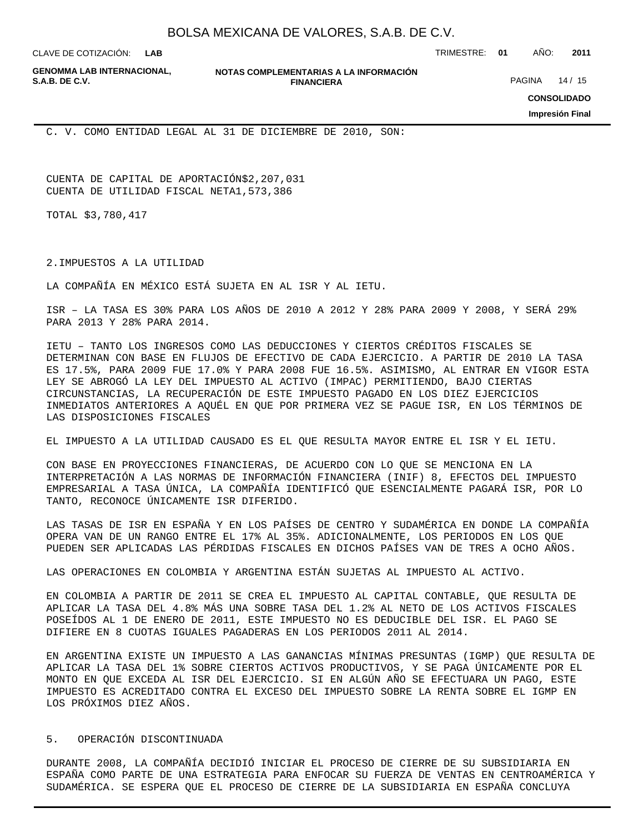| BOLSA MEXICANA DE VALORES, S.A.B. DE C.V. |  |  |
|-------------------------------------------|--|--|
|-------------------------------------------|--|--|

**LAB**

CLAVE DE COTIZACIÓN: TRIMESTRE: **01** AÑO: **2011**

**GENOMMA LAB INTERNACIONAL,**

**NOTAS COMPLEMENTARIAS A LA INFORMACIÓN FINANCIERA**

PAGINA 14 / 15

**CONSOLIDADO**

**Impresión Final**

C. V. COMO ENTIDAD LEGAL AL 31 DE DICIEMBRE DE 2010, SON:

CUENTA DE CAPITAL DE APORTACIÓN \$ 2,207,031 CUENTA DE UTILIDAD FISCAL NETA 1,573,386

TOTAL \$ 3,780,417

2. IMPUESTOS A LA UTILIDAD

LA COMPAÑÍA EN MÉXICO ESTÁ SUJETA EN AL ISR Y AL IETU.

ISR – LA TASA ES 30% PARA LOS AÑOS DE 2010 A 2012 Y 28% PARA 2009 Y 2008, Y SERÁ 29% PARA 2013 Y 28% PARA 2014.

IETU – TANTO LOS INGRESOS COMO LAS DEDUCCIONES Y CIERTOS CRÉDITOS FISCALES SE DETERMINAN CON BASE EN FLUJOS DE EFECTIVO DE CADA EJERCICIO. A PARTIR DE 2010 LA TASA ES 17.5%, PARA 2009 FUE 17.0% Y PARA 2008 FUE 16.5%. ASIMISMO, AL ENTRAR EN VIGOR ESTA LEY SE ABROGÓ LA LEY DEL IMPUESTO AL ACTIVO (IMPAC) PERMITIENDO, BAJO CIERTAS CIRCUNSTANCIAS, LA RECUPERACIÓN DE ESTE IMPUESTO PAGADO EN LOS DIEZ EJERCICIOS INMEDIATOS ANTERIORES A AQUÉL EN QUE POR PRIMERA VEZ SE PAGUE ISR, EN LOS TÉRMINOS DE LAS DISPOSICIONES FISCALES

EL IMPUESTO A LA UTILIDAD CAUSADO ES EL QUE RESULTA MAYOR ENTRE EL ISR Y EL IETU.

CON BASE EN PROYECCIONES FINANCIERAS, DE ACUERDO CON LO QUE SE MENCIONA EN LA INTERPRETACIÓN A LAS NORMAS DE INFORMACIÓN FINANCIERA (INIF) 8, EFECTOS DEL IMPUESTO EMPRESARIAL A TASA ÚNICA, LA COMPAÑÍA IDENTIFICÓ QUE ESENCIALMENTE PAGARÁ ISR, POR LO TANTO, RECONOCE ÚNICAMENTE ISR DIFERIDO.

LAS TASAS DE ISR EN ESPAÑA Y EN LOS PAÍSES DE CENTRO Y SUDAMÉRICA EN DONDE LA COMPAÑÍA OPERA VAN DE UN RANGO ENTRE EL 17% AL 35%. ADICIONALMENTE, LOS PERIODOS EN LOS QUE PUEDEN SER APLICADAS LAS PÉRDIDAS FISCALES EN DICHOS PAÍSES VAN DE TRES A OCHO AÑOS.

LAS OPERACIONES EN COLOMBIA Y ARGENTINA ESTÁN SUJETAS AL IMPUESTO AL ACTIVO.

EN COLOMBIA A PARTIR DE 2011 SE CREA EL IMPUESTO AL CAPITAL CONTABLE, QUE RESULTA DE APLICAR LA TASA DEL 4.8% MÁS UNA SOBRE TASA DEL 1.2% AL NETO DE LOS ACTIVOS FISCALES POSEÍDOS AL 1 DE ENERO DE 2011, ESTE IMPUESTO NO ES DEDUCIBLE DEL ISR. EL PAGO SE DIFIERE EN 8 CUOTAS IGUALES PAGADERAS EN LOS PERIODOS 2011 AL 2014.

EN ARGENTINA EXISTE UN IMPUESTO A LAS GANANCIAS MÍNIMAS PRESUNTAS (IGMP) QUE RESULTA DE APLICAR LA TASA DEL 1% SOBRE CIERTOS ACTIVOS PRODUCTIVOS, Y SE PAGA ÚNICAMENTE POR EL MONTO EN QUE EXCEDA AL ISR DEL EJERCICIO. SI EN ALGÚN AÑO SE EFECTUARA UN PAGO, ESTE IMPUESTO ES ACREDITADO CONTRA EL EXCESO DEL IMPUESTO SOBRE LA RENTA SOBRE EL IGMP EN LOS PRÓXIMOS DIEZ AÑOS.

#### 5. OPERACIÓN DISCONTINUADA

DURANTE 2008, LA COMPAÑÍA DECIDIÓ INICIAR EL PROCESO DE CIERRE DE SU SUBSIDIARIA EN ESPAÑA COMO PARTE DE UNA ESTRATEGIA PARA ENFOCAR SU FUERZA DE VENTAS EN CENTROAMÉRICA Y SUDAMÉRICA. SE ESPERA QUE EL PROCESO DE CIERRE DE LA SUBSIDIARIA EN ESPAÑA CONCLUYA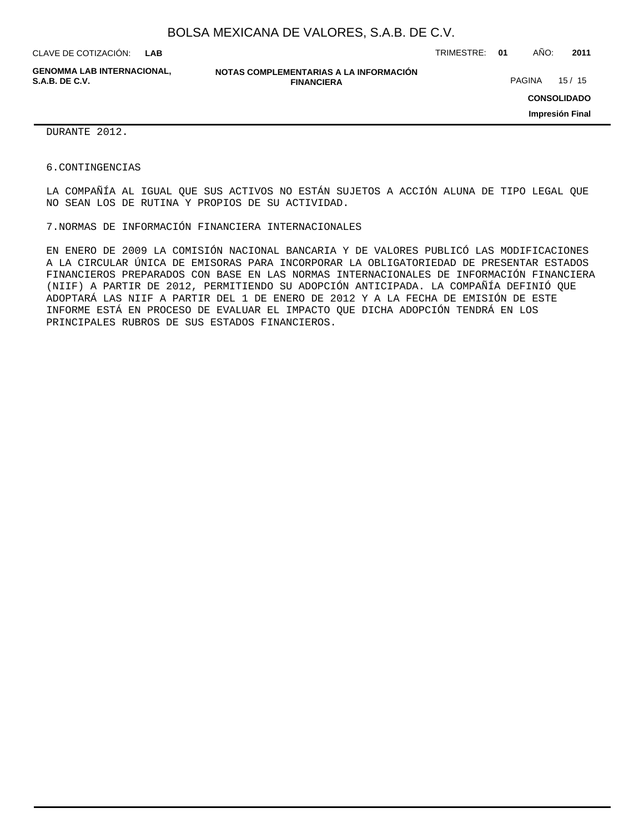CLAVE DE COTIZACIÓN: TRIMESTRE: **01** AÑO: **2011 LAB**

**GENOMMA LAB INTERNACIONAL,**

**NOTAS COMPLEMENTARIAS A LA INFORMACIÓN FINANCIERA S.A.B. DE C.V.** PAGINA 15 / 15

**CONSOLIDADO**

**Impresión Final**

DURANTE 2012.

#### 6. CONTINGENCIAS

LA COMPAÑÍA AL IGUAL QUE SUS ACTIVOS NO ESTÁN SUJETOS A ACCIÓN ALUNA DE TIPO LEGAL QUE NO SEAN LOS DE RUTINA Y PROPIOS DE SU ACTIVIDAD.

7. NORMAS DE INFORMACIÓN FINANCIERA INTERNACIONALES

EN ENERO DE 2009 LA COMISIÓN NACIONAL BANCARIA Y DE VALORES PUBLICÓ LAS MODIFICACIONES A LA CIRCULAR ÚNICA DE EMISORAS PARA INCORPORAR LA OBLIGATORIEDAD DE PRESENTAR ESTADOS FINANCIEROS PREPARADOS CON BASE EN LAS NORMAS INTERNACIONALES DE INFORMACIÓN FINANCIERA (NIIF) A PARTIR DE 2012, PERMITIENDO SU ADOPCIÓN ANTICIPADA. LA COMPAÑÍA DEFINIÓ QUE ADOPTARÁ LAS NIIF A PARTIR DEL 1 DE ENERO DE 2012 Y A LA FECHA DE EMISIÓN DE ESTE INFORME ESTÁ EN PROCESO DE EVALUAR EL IMPACTO QUE DICHA ADOPCIÓN TENDRÁ EN LOS PRINCIPALES RUBROS DE SUS ESTADOS FINANCIEROS.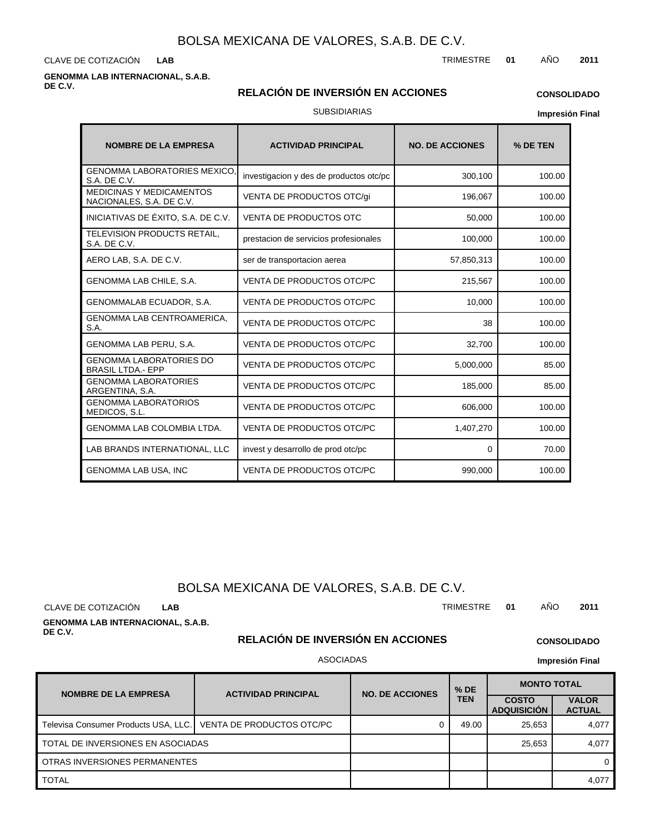**LAB**

#### **GENOMMA LAB INTERNACIONAL, S.A.B. DE C.V.**

### **RELACIÓN DE INVERSIÓN EN ACCIONES**

### **CONSOLIDADO**

SUBSIDIARIAS

**Impresión Final**

| <b>NOMBRE DE LA EMPRESA</b>                                | <b>ACTIVIDAD PRINCIPAL</b>              | <b>NO. DE ACCIONES</b> | % DE TEN |
|------------------------------------------------------------|-----------------------------------------|------------------------|----------|
| GENOMMA LABORATORIES MEXICO,<br>S.A. DE C.V.               | investigacion y des de productos otc/pc | 300,100                | 100.00   |
| MEDICINAS Y MEDICAMENTOS<br>NACIONALES, S.A. DE C.V.       | VENTA DE PRODUCTOS OTC/qi               | 196,067                | 100.00   |
| INICIATIVAS DE ÉXITO, S.A. DE C.V.                         | <b>VENTA DE PRODUCTOS OTC</b>           | 50,000                 | 100.00   |
| TELEVISION PRODUCTS RETAIL,<br>S.A. DE C.V.                | prestacion de servicios profesionales   | 100,000                | 100.00   |
| AERO LAB, S.A. DE C.V.                                     | ser de transportacion aerea             | 57,850,313             | 100.00   |
| GENOMMA LAB CHILE, S.A.                                    | VENTA DE PRODUCTOS OTC/PC               | 215,567                | 100.00   |
| GENOMMALAB ECUADOR, S.A.                                   | VENTA DE PRODUCTOS OTC/PC               | 10,000                 | 100.00   |
| GENOMMA LAB CENTROAMERICA,<br>S.A.                         | <b>VENTA DE PRODUCTOS OTC/PC</b>        | 38                     | 100.00   |
| GENOMMA LAB PERU, S.A.                                     | VENTA DE PRODUCTOS OTC/PC               | 32,700                 | 100.00   |
| <b>GENOMMA LABORATORIES DO</b><br><b>BRASIL LTDA.- EPP</b> | VENTA DE PRODUCTOS OTC/PC               | 5,000,000              | 85.00    |
| <b>GENOMMA LABORATORIES</b><br>ARGENTINA, S.A.             | VENTA DE PRODUCTOS OTC/PC               | 185,000                | 85.00    |
| <b>GENOMMA LABORATORIOS</b><br>MEDICOS, S.L.               | <b>VENTA DE PRODUCTOS OTC/PC</b>        | 606,000                | 100.00   |
| <b>GENOMMA LAB COLOMBIA LTDA.</b>                          | VENTA DE PRODUCTOS OTC/PC               | 1,407,270              | 100.00   |
| LAB BRANDS INTERNATIONAL, LLC                              | invest y desarrollo de prod otc/pc      | 0                      | 70.00    |
| <b>GENOMMA LAB USA, INC</b>                                | <b>VENTA DE PRODUCTOS OTC/PC</b>        | 990,000                | 100.00   |

# BOLSA MEXICANA DE VALORES, S.A.B. DE C.V.

CLAVE DE COTIZACIÓN TRIMESTRE **01** AÑO **2011 LAB**

**GENOMMA LAB INTERNACIONAL, S.A.B. DE C.V.**

## **RELACIÓN DE INVERSIÓN EN ACCIONES**

### ASOCIADAS

**NOMBRE DE LA EMPRESA | ACTIVIDAD PRINCIPAL COSTO ADQUISICIÓN VALOR ACTUAL MONTO TOTAL**<br>TEN COSTO I VAL **TEN NO. DE ACCIONES** Televisa Consumer Products USA, LLC. | VENTA DE PRODUCTOS OTC/PC |  $\qquad 0 \mid 49.00 \mid 25,653 \mid 4,077$ TOTAL 4,077 OTRAS INVERSIONES PERMANENTES TOTAL DE INVERSIONES EN ASOCIADAS 25,653 | 24,077 0



**CONSOLIDADO**

**Impresión Final**

CLAVE DE COTIZACIÓN TRIMESTRE **01** AÑO **2011**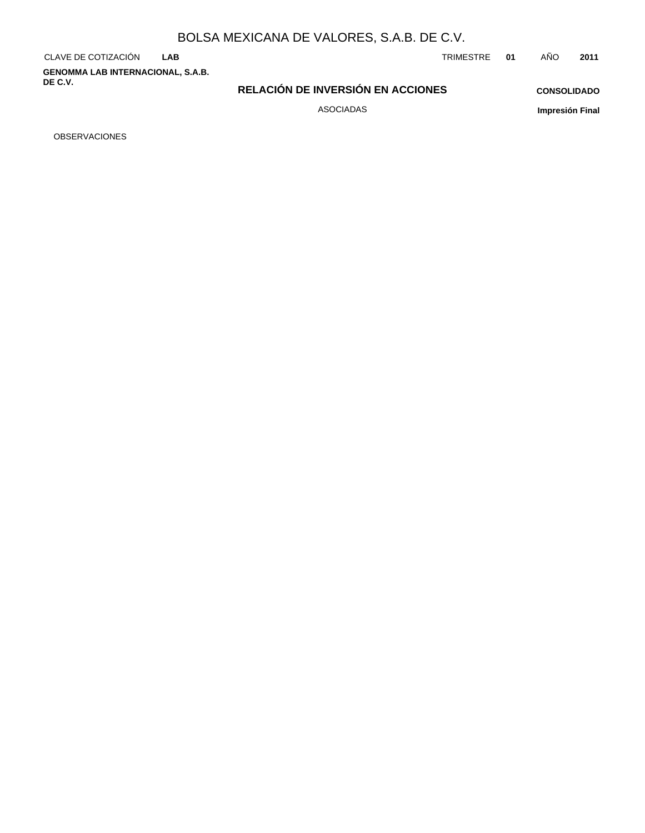**LAB**

**GENOMMA LAB INTERNACIONAL, S.A.B. DE C.V.**

CLAVE DE COTIZACIÓN TRIMESTRE **01** AÑO **2011**

**RELACIÓN DE INVERSIÓN EN ACCIONES**

**CONSOLIDADO**

ASOCIADAS

**Impresión Final**

OBSERVACIONES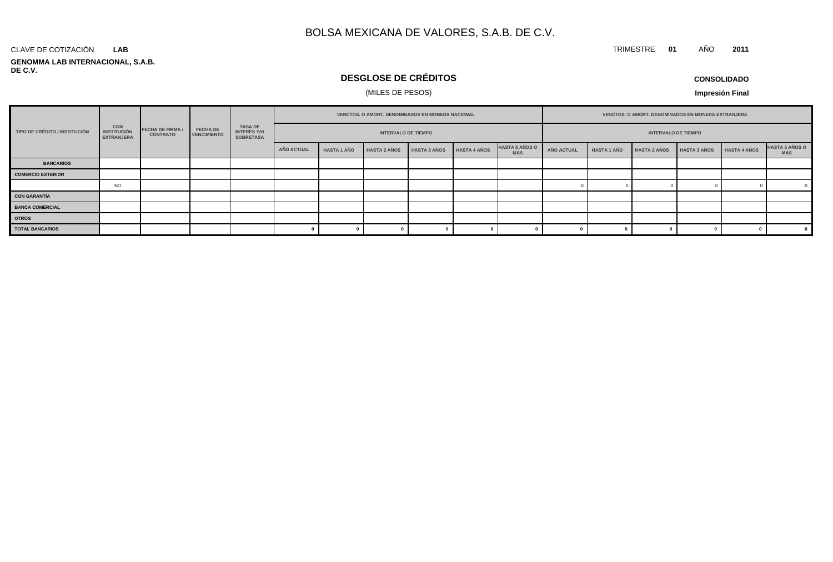#### **GENOMMA LAB INTERNACIONAL, S.A.B. DE C.V.** CLAVE DE COTIZACIÓN **LAB**

# **DESGLOSE DE CRÉDITOS**

### (MILES DE PESOS)

**CONSOLIDADO**

**Impresión Final**

| TIPO DE CRÉDITO / INSTITUCIÓN |                                                       |                                            | <b>FECHA DE</b><br><b>VENCIMIENTO</b> | <b>TASA DE</b><br><b>INTERÉS Y/O</b><br><b>SOBRETASA</b> | VENCTOS. O AMORT. DENOMINADOS EN MONEDA NACIONAL |                    |                     |                     |                     | VENCTOS. O AMORT. DENOMINADOS EN MONEDA EXTRANJERA |                            |                    |                     |                     |              |                               |
|-------------------------------|-------------------------------------------------------|--------------------------------------------|---------------------------------------|----------------------------------------------------------|--------------------------------------------------|--------------------|---------------------|---------------------|---------------------|----------------------------------------------------|----------------------------|--------------------|---------------------|---------------------|--------------|-------------------------------|
|                               | <b>CON</b><br><b>INSTITUCIÓN</b><br><b>EXTRANJERA</b> | <b>FECHA DE FIRMA /</b><br><b>CONTRATO</b> |                                       |                                                          | <b>INTERVALO DE TIEMPO</b>                       |                    |                     |                     |                     |                                                    | <b>INTERVALO DE TIEMPO</b> |                    |                     |                     |              |                               |
|                               |                                                       |                                            |                                       |                                                          | AÑO ACTUAL                                       | <b>HASTA 1 AÑO</b> | <b>HASTA 2 AÑOS</b> | <b>HASTA 3 AÑOS</b> | <b>HASTA 4 AÑOS</b> | <b>HASTA 5 AÑOS O</b><br><b>MÁS</b>                | <b>AÑO ACTUAL</b>          | <b>HASTA 1 AÑO</b> | <b>HASTA 2 AÑOS</b> | <b>HASTA 3 AÑOS</b> | HASTA 4 AÑOS | <b>HASTA 5 AÑOS O<br/>MÁS</b> |
| <b>BANCARIOS</b>              |                                                       |                                            |                                       |                                                          |                                                  |                    |                     |                     |                     |                                                    |                            |                    |                     |                     |              |                               |
| <b>COMERCIO EXTERIOR</b>      |                                                       |                                            |                                       |                                                          |                                                  |                    |                     |                     |                     |                                                    |                            |                    |                     |                     |              |                               |
|                               | <b>NO</b>                                             |                                            |                                       |                                                          |                                                  |                    |                     |                     |                     |                                                    |                            |                    |                     |                     |              |                               |
| <b>CON GARANTÍA</b>           |                                                       |                                            |                                       |                                                          |                                                  |                    |                     |                     |                     |                                                    |                            |                    |                     |                     |              |                               |
| <b>BANCA COMERCIAL</b>        |                                                       |                                            |                                       |                                                          |                                                  |                    |                     |                     |                     |                                                    |                            |                    |                     |                     |              |                               |
| <b>OTROS</b>                  |                                                       |                                            |                                       |                                                          |                                                  |                    |                     |                     |                     |                                                    |                            |                    |                     |                     |              |                               |
| <b>TOTAL BANCARIOS</b>        |                                                       |                                            |                                       |                                                          |                                                  |                    |                     |                     |                     |                                                    |                            |                    |                     |                     |              |                               |

TRIMESTRE **01** AÑO **2011**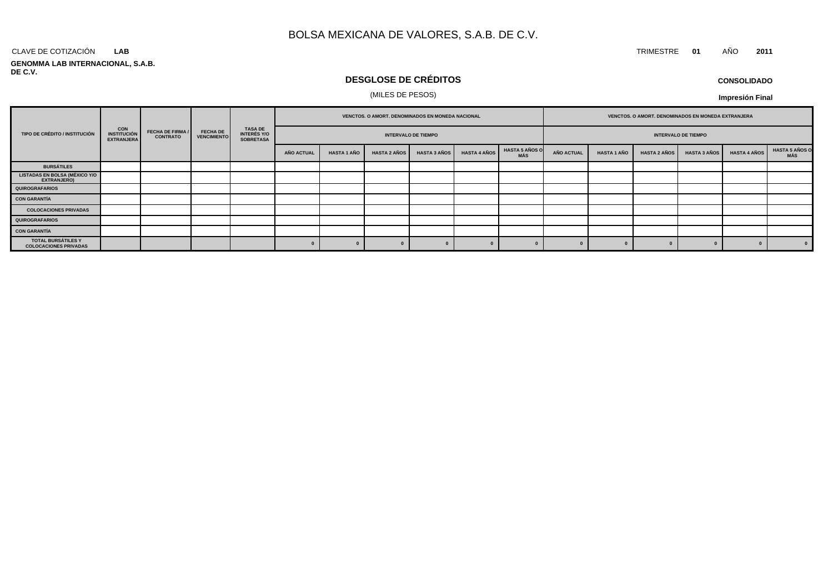#### CLAVE DE COTIZACIÓN TRIMESTRE **01** AÑO **2011 LAB**

#### **GENOMMA LAB INTERNACIONAL, S.A.B. DE C.V.**

# **DESGLOSE DE CRÉDITOS**

### (MILES DE PESOS)

| <b>CONSOLIDADO</b> |  |
|--------------------|--|
|--------------------|--|

|                                                     |                                                 |                                            |                                       |                                            | VENCTOS. O AMORT. DENOMINADOS EN MONEDA NACIONAL |                    |                     |                            |                     | VENCTOS. O AMORT. DENOMINADOS EN MONEDA EXTRANJERA |            |                    |                     |                            |                     |                               |
|-----------------------------------------------------|-------------------------------------------------|--------------------------------------------|---------------------------------------|--------------------------------------------|--------------------------------------------------|--------------------|---------------------|----------------------------|---------------------|----------------------------------------------------|------------|--------------------|---------------------|----------------------------|---------------------|-------------------------------|
| TIPO DE CRÉDITO / INSTITUCIÓN                       | <b>CON<br/>INSTITUCIÓN</b><br><b>EXTRANJERA</b> | <b>FECHA DE FIRMA /</b><br><b>CONTRATO</b> | <b>FECHA DE</b><br><b>VENCIMIENTO</b> | TASA DE<br>INTERÉS Y/O<br><b>SOBRETASA</b> |                                                  |                    |                     | <b>INTERVALO DE TIEMPO</b> |                     |                                                    |            |                    |                     | <b>INTERVALO DE TIEMPO</b> |                     |                               |
|                                                     |                                                 |                                            |                                       |                                            | <b>AÑO ACTUAL</b>                                | <b>HASTA 1 AÑO</b> | <b>HASTA 2 AÑOS</b> | <b>HASTA 3 AÑOS</b>        | <b>HASTA 4 AÑOS</b> | <b>HASTA 5 AÑOS O</b><br>MÁS                       | AÑO ACTUAL | <b>HASTA 1 AÑO</b> | <b>HASTA 2 AÑOS</b> | <b>HASTA 3 AÑOS</b>        | <b>HASTA 4 AÑOS</b> | <b>HASTA 5 AÑOS O<br/>MÁS</b> |
| <b>BURSÁTILES</b>                                   |                                                 |                                            |                                       |                                            |                                                  |                    |                     |                            |                     |                                                    |            |                    |                     |                            |                     |                               |
| <b>LISTADAS EN BOLSA (MÉXICO Y/O</b><br>EXTRANJERO) |                                                 |                                            |                                       |                                            |                                                  |                    |                     |                            |                     |                                                    |            |                    |                     |                            |                     |                               |
| <b>QUIROGRAFARIOS</b>                               |                                                 |                                            |                                       |                                            |                                                  |                    |                     |                            |                     |                                                    |            |                    |                     |                            |                     |                               |
| <b>CON GARANTÍA</b>                                 |                                                 |                                            |                                       |                                            |                                                  |                    |                     |                            |                     |                                                    |            |                    |                     |                            |                     |                               |
| <b>COLOCACIONES PRIVADAS</b>                        |                                                 |                                            |                                       |                                            |                                                  |                    |                     |                            |                     |                                                    |            |                    |                     |                            |                     |                               |
| QUIROGRAFARIOS                                      |                                                 |                                            |                                       |                                            |                                                  |                    |                     |                            |                     |                                                    |            |                    |                     |                            |                     |                               |
| <b>CON GARANTÍA</b>                                 |                                                 |                                            |                                       |                                            |                                                  |                    |                     |                            |                     |                                                    |            |                    |                     |                            |                     |                               |
| TOTAL BURSÁTILES Y<br><b>COLOCACIONES PRIVADAS</b>  |                                                 |                                            |                                       |                                            |                                                  |                    |                     |                            |                     |                                                    |            |                    |                     |                            |                     | $\mathbf{0}$                  |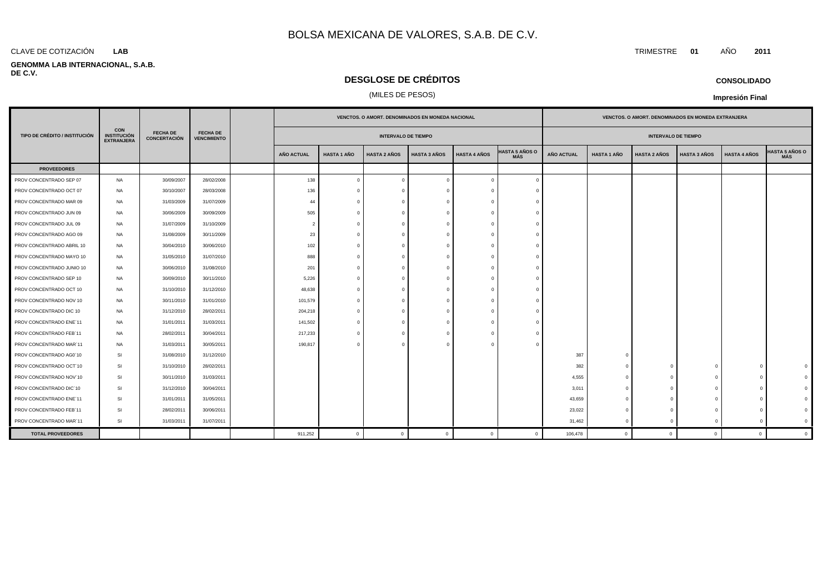### **LAB**

### **GENOMMA LAB INTERNACIONAL, S.A.B. DE C.V.**

## **DESGLOSE DE CRÉDITOS**

### (MILES DE PESOS)

|                               | <b>CON</b><br><b>INSTITUCIÓN</b><br><b>EXTRANJERA</b> | <b>FECHA DE</b><br><b>CONCERTACIÓN</b> | <b>FECHA DE</b><br><b>VENCIMIENTO</b> |  | VENCTOS. O AMORT. DENOMINADOS EN MONEDA NACIONAL |                    |                     |                     |                     |                                     |                   | VENCTOS. O AMORT. DENOMINADOS EN MONEDA EXTRANJERA |                     |                     |                     |                               |  |
|-------------------------------|-------------------------------------------------------|----------------------------------------|---------------------------------------|--|--------------------------------------------------|--------------------|---------------------|---------------------|---------------------|-------------------------------------|-------------------|----------------------------------------------------|---------------------|---------------------|---------------------|-------------------------------|--|
| TIPO DE CRÉDITO / INSTITUCIÓN |                                                       |                                        |                                       |  | <b>INTERVALO DE TIEMPO</b>                       |                    |                     |                     |                     |                                     |                   | <b>INTERVALO DE TIEMPO</b>                         |                     |                     |                     |                               |  |
|                               |                                                       |                                        |                                       |  | AÑO ACTUAL                                       | <b>HASTA 1 AÑO</b> | <b>HASTA 2 AÑOS</b> | <b>HASTA 3 AÑOS</b> | <b>HASTA 4 AÑOS</b> | <b>HASTA 5 AÑOS O</b><br><b>MÁS</b> | <b>AÑO ACTUAL</b> | <b>HASTA 1 AÑO</b>                                 | <b>HASTA 2 AÑOS</b> | <b>HASTA 3 AÑOS</b> | <b>HASTA 4 AÑOS</b> | <b>HASTA 5 AÑOS O<br/>MÁS</b> |  |
| <b>PROVEEDORES</b>            |                                                       |                                        |                                       |  |                                                  |                    |                     |                     |                     |                                     |                   |                                                    |                     |                     |                     |                               |  |
| PROV CONCENTRADO SEP 07       | NA                                                    | 30/09/2007                             | 28/02/2008                            |  | 138                                              | $\Omega$           | $\Omega$            | $\Omega$            | $\mathbf{0}$        | $\Omega$                            |                   |                                                    |                     |                     |                     |                               |  |
| PROV CONCENTRADO OCT 07       | NA                                                    | 30/10/2007                             | 28/03/2008                            |  | 136                                              |                    |                     |                     |                     |                                     |                   |                                                    |                     |                     |                     |                               |  |
| PROV CONCENTRADO MAR 09       | NA                                                    | 31/03/2009                             | 31/07/2009                            |  | 44                                               |                    | $\Omega$            | $\Omega$            | $\Omega$            | $\Omega$                            |                   |                                                    |                     |                     |                     |                               |  |
| PROV CONCENTRADO JUN 09       | NA                                                    | 30/06/2009                             | 30/09/2009                            |  | 505                                              |                    | -0                  |                     |                     |                                     |                   |                                                    |                     |                     |                     |                               |  |
| PROV CONCENTRADO JUL 09       | NA                                                    | 31/07/2009                             | 31/10/2009                            |  | $\overline{2}$                                   |                    | $\cap$              |                     | $\Omega$            | $\Omega$                            |                   |                                                    |                     |                     |                     |                               |  |
| PROV CONCENTRADO AGO 09       | NA                                                    | 31/08/2009                             | 30/11/2009                            |  | 23                                               |                    | - 0                 |                     |                     | $\Omega$                            |                   |                                                    |                     |                     |                     |                               |  |
| PROV CONCENTRADO ABRIL 10     | NA                                                    | 30/04/2010                             | 30/06/2010                            |  | 102                                              |                    |                     |                     |                     | $\Omega$                            |                   |                                                    |                     |                     |                     |                               |  |
| PROV CONCENTRADO MAYO 10      | NA                                                    | 31/05/2010                             | 31/07/2010                            |  | 888                                              |                    | $\Omega$            |                     |                     | $\Omega$                            |                   |                                                    |                     |                     |                     |                               |  |
| PROV CONCENTRADO JUNIO 10     | NA                                                    | 30/06/2010                             | 31/08/2010                            |  | 201                                              |                    |                     |                     |                     | $\Omega$                            |                   |                                                    |                     |                     |                     |                               |  |
| PROV CONCENTRADO SEP 10       | NA                                                    | 30/09/2010                             | 30/11/2010                            |  | 5,226                                            |                    | $\Omega$            |                     |                     | $\Omega$                            |                   |                                                    |                     |                     |                     |                               |  |
| PROV CONCENTRADO OCT 10       | NA                                                    | 31/10/2010                             | 31/12/2010                            |  | 48,638                                           |                    | -0                  |                     |                     | $\Omega$                            |                   |                                                    |                     |                     |                     |                               |  |
| PROV CONCENTRADO NOV 10       | NA                                                    | 30/11/2010                             | 31/01/2010                            |  | 101,579                                          |                    | $\Omega$            |                     |                     | $\Omega$                            |                   |                                                    |                     |                     |                     |                               |  |
| PROV CONCENTRADO DIC 10       | NA                                                    | 31/12/2010                             | 28/02/2011                            |  | 204,218                                          |                    | $\Omega$            |                     |                     | $\Omega$                            |                   |                                                    |                     |                     |                     |                               |  |
| PROV CONCENTRADO ENE'11       | NA                                                    | 31/01/2011                             | 31/03/2011                            |  | 141,502                                          |                    | $\Omega$            |                     |                     | $\Omega$                            |                   |                                                    |                     |                     |                     |                               |  |
| PROV CONCENTRADO FEB'11       | <b>NA</b>                                             | 28/02/2011                             | 30/04/2011                            |  | 217,233                                          |                    | $\Omega$            |                     |                     | $\Omega$                            |                   |                                                    |                     |                     |                     |                               |  |
| PROV CONCENTRADO MAR'11       | NA                                                    | 31/03/2011                             | 30/05/2011                            |  | 190,817                                          |                    | $\Omega$            |                     |                     | $\cap$                              |                   |                                                    |                     |                     |                     |                               |  |
| PROV CONCENTRADO AG0'10       | SI                                                    | 31/08/2010                             | 31/12/2010                            |  |                                                  |                    |                     |                     |                     |                                     | 387               |                                                    |                     |                     |                     |                               |  |
| PROV CONCENTRADO OCT'10       | <b>SI</b>                                             | 31/10/2010                             | 28/02/2011                            |  |                                                  |                    |                     |                     |                     |                                     | 382               |                                                    |                     |                     |                     |                               |  |
| PROV CONCENTRADO NOV'10       | SI                                                    | 30/11/2010                             | 31/03/2011                            |  |                                                  |                    |                     |                     |                     |                                     | 4,555             |                                                    |                     |                     |                     |                               |  |
| PROV CONCENTRADO DIC'10       | SI                                                    | 31/12/2010                             | 30/04/2011                            |  |                                                  |                    |                     |                     |                     |                                     | 3,011             |                                                    |                     | $\Omega$            |                     |                               |  |
| PROV CONCENTRADO ENE'11       | SI                                                    | 31/01/2011                             | 31/05/2011                            |  |                                                  |                    |                     |                     |                     |                                     | 43,659            |                                                    |                     |                     |                     |                               |  |
| PROV CONCENTRADO FEB'11       | SI                                                    | 28/02/2011                             | 30/06/2011                            |  |                                                  |                    |                     |                     |                     |                                     | 23,022            |                                                    |                     |                     |                     |                               |  |
| PROV CONCENTRADO MAR'11       | SI                                                    | 31/03/2011                             | 31/07/2011                            |  |                                                  |                    |                     |                     |                     |                                     | 31,462            |                                                    | $\Omega$            | $\Omega$            |                     |                               |  |

**TOTAL PROVEEDORES** 911,252 0 0 0 0 0 106,478 0 0 0 0 0

**CONSOLIDADO**

**Impresión Final**

CLAVE DE COTIZACIÓN TRIMESTRE **01** AÑO **2011**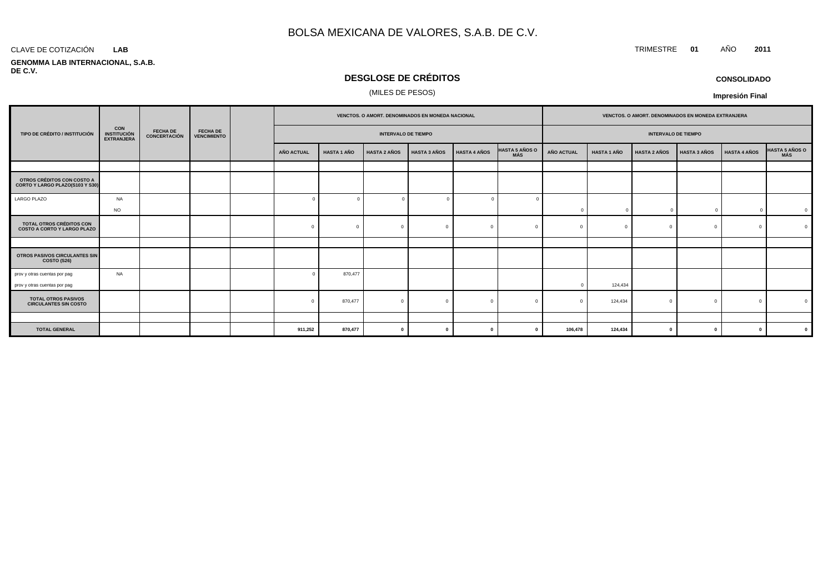#### CLAVE DE COTIZACIÓN TRIMESTRE **01** AÑO **2011 LAB**

#### **GENOMMA LAB INTERNACIONAL, S.A.B. DE C.V.**

# **DESGLOSE DE CRÉDITOS**

### (MILES DE PESOS)

| <b>CONSOLIDADO</b> |  |
|--------------------|--|
| Impresión Final    |  |

|                                                                |                                                       |                          |                                       |  | VENCTOS. O AMORT. DENOMINADOS EN MONEDA NACIONAL |                    |                     |                     |                     |                              | VENCTOS. O AMORT. DENOMINADOS EN MONEDA EXTRANJERA |                    |                     |                     |                     |                |
|----------------------------------------------------------------|-------------------------------------------------------|--------------------------|---------------------------------------|--|--------------------------------------------------|--------------------|---------------------|---------------------|---------------------|------------------------------|----------------------------------------------------|--------------------|---------------------|---------------------|---------------------|----------------|
| TIPO DE CRÉDITO / INSTITUCIÓN                                  | <b>CON</b><br><b>INSTITUCIÓN</b><br><b>EXTRANJERA</b> | FECHA DE<br>CONCERTACIÓN | <b>FECHA DE</b><br><b>VENCIMIENTO</b> |  | <b>INTERVALO DE TIEMPO</b>                       |                    |                     |                     |                     |                              | <b>INTERVALO DE TIEMPO</b>                         |                    |                     |                     |                     |                |
|                                                                |                                                       |                          |                                       |  | <b>AÑO ACTUAL</b>                                | <b>HASTA 1 AÑO</b> | <b>HASTA 2 AÑOS</b> | <b>HASTA 3 AÑOS</b> | <b>HASTA 4 AÑOS</b> | <b>HASTA 5 AÑOS O</b><br>MÁS | <b>AÑO ACTUAL</b>                                  | <b>HASTA 1 AÑO</b> | <b>HASTA 2 AÑOS</b> | <b>HASTA 3 AÑOS</b> | <b>HASTA 4 AÑOS</b> | HASTA 5 AÑOS O |
|                                                                |                                                       |                          |                                       |  |                                                  |                    |                     |                     |                     |                              |                                                    |                    |                     |                     |                     |                |
| OTROS CRÉDITOS CON COSTO A<br>CORTO Y LARGO PLAZO(S103 Y S30)  |                                                       |                          |                                       |  |                                                  |                    |                     |                     |                     |                              |                                                    |                    |                     |                     |                     |                |
| LARGO PLAZO                                                    | NA<br><b>NO</b>                                       |                          |                                       |  |                                                  |                    | $\overline{0}$      |                     |                     |                              |                                                    | - 0                | $^{\circ}$          |                     | $^{\circ}$          |                |
|                                                                |                                                       |                          |                                       |  |                                                  |                    |                     |                     |                     |                              |                                                    |                    |                     |                     |                     |                |
| TOTAL OTROS CRÉDITOS CON<br><b>COSTO A CORTO Y LARGO PLAZO</b> |                                                       |                          |                                       |  | $\Omega$                                         | $\Omega$           | $\mathbf{0}$        |                     | $\Omega$            |                              |                                                    |                    |                     |                     | $\Omega$            |                |
|                                                                |                                                       |                          |                                       |  |                                                  |                    |                     |                     |                     |                              |                                                    |                    |                     |                     |                     |                |
| OTROS PASIVOS CIRCULANTES SIN<br><b>COSTO (S26)</b>            |                                                       |                          |                                       |  |                                                  |                    |                     |                     |                     |                              |                                                    |                    |                     |                     |                     |                |
| prov y otras cuentas por pag<br>prov y otras cuentas por pag   | NA                                                    |                          |                                       |  |                                                  | 870,477            |                     |                     |                     |                              |                                                    | 124,434            |                     |                     |                     |                |
| <b>TOTAL OTROS PASIVOS</b><br><b>CIRCULANTES SIN COSTO</b>     |                                                       |                          |                                       |  |                                                  | 870,477            | $\overline{0}$      |                     |                     |                              |                                                    | 124,434            |                     |                     | $\Omega$            |                |
|                                                                |                                                       |                          |                                       |  |                                                  |                    |                     |                     |                     |                              |                                                    |                    |                     |                     |                     |                |
| <b>TOTAL GENERAL</b>                                           |                                                       |                          |                                       |  | 911,252                                          | 870,477            | $\mathbf 0$         | - 0                 | $\Omega$            | - 0                          | 106,478                                            | 124,434            | 0                   | $\mathbf{r}$        | $\mathbf{0}$        |                |

**CONSOLIDADO**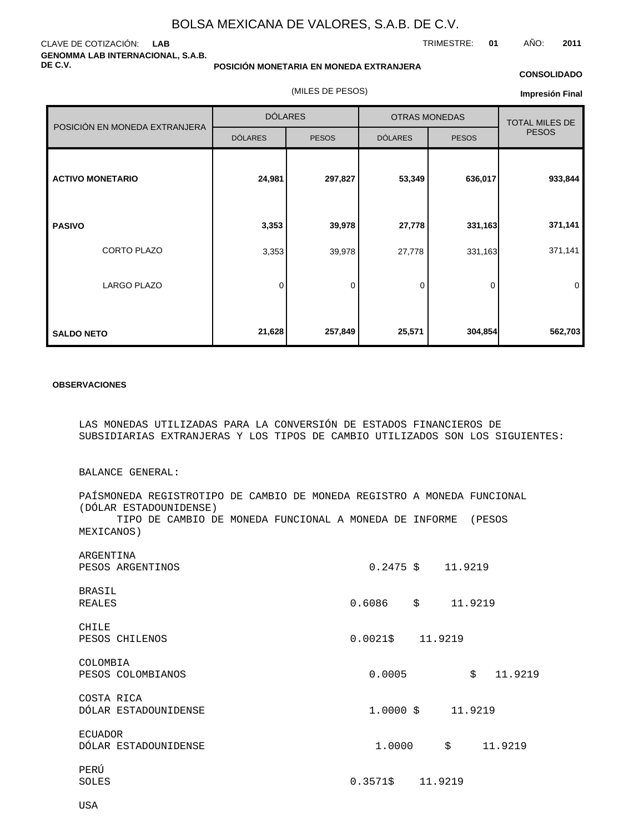### CLAVE DE COTIZACIÓN: **LAB GENOMMA LAB INTERNACIONAL, S.A.B. DE C.V.**

### **POSICIÓN MONETARIA EN MONEDA EXTRANJERA**

(MILES DE PESOS)

### **CONSOLIDADO**

TRIMESTRE: **01** AÑO: **2011**

**Impresión Final**

| POSICIÓN EN MONEDA EXTRANJERA | <b>DÓLARES</b> |              | <b>OTRAS MONEDAS</b> | <b>TOTAL MILES DE</b> |              |
|-------------------------------|----------------|--------------|----------------------|-----------------------|--------------|
|                               | <b>DÓLARES</b> | <b>PESOS</b> | <b>DÓLARES</b>       | <b>PESOS</b>          | <b>PESOS</b> |
| <b>ACTIVO MONETARIO</b>       | 24,981         | 297,827      | 53,349               | 636,017               | 933,844      |
| <b>PASIVO</b>                 | 3,353          | 39,978       | 27,778               | 331,163               | 371,141      |
| CORTO PLAZO                   | 3,353          | 39,978       | 27,778               | 331,163               | 371,141      |
| <b>LARGO PLAZO</b>            | 0              | $\mathbf 0$  | 0                    | 0                     | 0            |
| <b>SALDO NETO</b>             | 21,628         | 257,849      | 25,571               | 304,854               | 562,703      |

#### **OBSERVACIONES**

LAS MONEDAS UTILIZADAS PARA LA CONVERSIÓN DE ESTADOS FINANCIEROS DE SUBSIDIARIAS EXTRANJERAS Y LOS TIPOS DE CAMBIO UTILIZADOS SON LOS SIGUIENTES:

BALANCE GENERAL:

PAÍS MONEDA REGISTRO TIPO DE CAMBIO DE MONEDA REGISTRO A MONEDA FUNCIONAL (DÓLAR ESTADOUNIDENSE) TIPO DE CAMBIO DE MONEDA FUNCIONAL A MONEDA DE INFORME (PESOS MEXICANOS) ARGENTINA PESOS ARGENTINOS 6.2475 \$ 11.9219 BRASIL REALES 0.6086 \$ 11.9219 CHILE PESOS CHILENOS 0.0021 \$ 11.9219 COLOMBIA PESOS COLOMBIANOS 6.0005 \$ 11.9219 COSTA RICA DÓLAR ESTADOUNIDENSE 1.0000 \$ 11.9219 ECUADOR DÓLAR ESTADOUNIDENSE 1.0000 \$ 11.9219 PERÚ SOLES 0.3571 \$ 11.9219 USA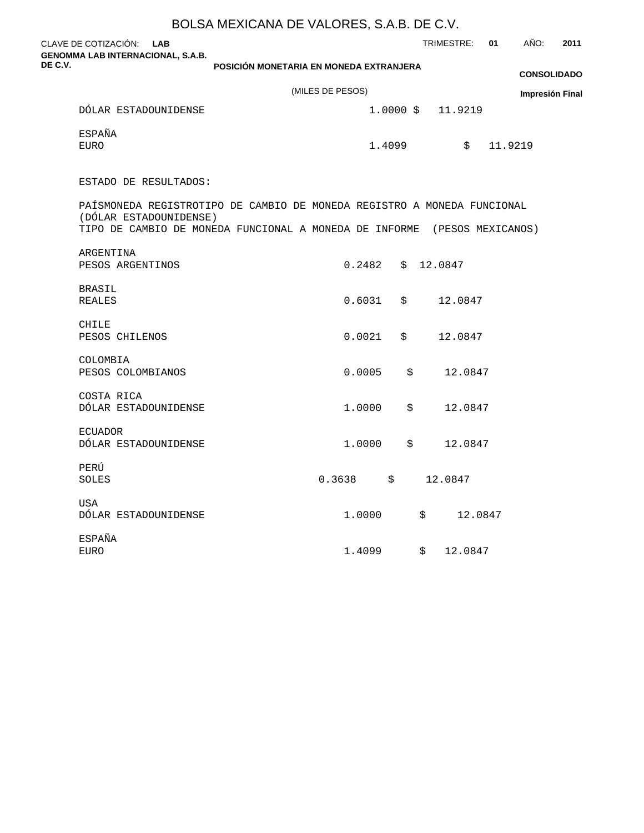|                                                                           | <u> BOLON (MEANO) (MY LDL VALOINLO, 1</u> |                  |                     |            |         |                        |      |
|---------------------------------------------------------------------------|-------------------------------------------|------------------|---------------------|------------|---------|------------------------|------|
| CLAVE DE COTIZACIÓN: LAB<br><b>GENOMMA LAB INTERNACIONAL, S.A.B.</b>      |                                           |                  |                     | TRIMESTRE: | 01      | AÑO:                   | 2011 |
| DE C.V.                                                                   | POSICIÓN MONETARIA EN MONEDA EXTRANJERA   |                  |                     |            |         | <b>CONSOLIDADO</b>     |      |
|                                                                           |                                           |                  |                     |            |         |                        |      |
|                                                                           |                                           | (MILES DE PESOS) |                     |            |         | <b>Impresión Final</b> |      |
| DÓLAR ESTADOUNIDENSE                                                      |                                           |                  | $1.0000 \pm 1.0000$ | 11.9219    |         |                        |      |
| ESPAÑA                                                                    |                                           |                  |                     |            |         |                        |      |
| <b>EURO</b>                                                               |                                           |                  | 1.4099              | \$         | 11.9219 |                        |      |
|                                                                           |                                           |                  |                     |            |         |                        |      |
| ESTADO DE RESULTADOS:                                                     |                                           |                  |                     |            |         |                        |      |
| PAÍS MONEDA REGISTRO TIPO DE CAMBIO DE MONEDA REGISTRO A MONEDA FUNCIONAL |                                           |                  |                     |            |         |                        |      |
| (DÓLAR ESTADOUNIDENSE)                                                    |                                           |                  |                     |            |         |                        |      |
| TIPO DE CAMBIO DE MONEDA FUNCIONAL A MONEDA DE INFORME (PESOS MEXICANOS)  |                                           |                  |                     |            |         |                        |      |
| ARGENTINA                                                                 |                                           |                  |                     |            |         |                        |      |
| PESOS ARGENTINOS                                                          |                                           | 0.2482           | \$12.0847           |            |         |                        |      |
|                                                                           |                                           |                  |                     |            |         |                        |      |
| BRASIL                                                                    |                                           |                  |                     |            |         |                        |      |
| <b>REALES</b>                                                             |                                           | 0.6031           | \$                  | 12.0847    |         |                        |      |
| CHILE                                                                     |                                           |                  |                     |            |         |                        |      |
| PESOS CHILENOS                                                            |                                           | 0.0021           | \$                  | 12.0847    |         |                        |      |
|                                                                           |                                           |                  |                     |            |         |                        |      |
| COLOMBIA<br>PESOS COLOMBIANOS                                             |                                           | 0.0005           | \$                  | 12.0847    |         |                        |      |
|                                                                           |                                           |                  |                     |            |         |                        |      |
| COSTA RICA                                                                |                                           |                  |                     |            |         |                        |      |
| DÓLAR ESTADOUNIDENSE                                                      |                                           | 1.0000           | \$                  | 12.0847    |         |                        |      |
| <b>ECUADOR</b>                                                            |                                           |                  |                     |            |         |                        |      |
| DÓLAR ESTADOUNIDENSE                                                      |                                           | 1.0000           | \$                  | 12.0847    |         |                        |      |
|                                                                           |                                           |                  |                     |            |         |                        |      |
| PERÚ                                                                      |                                           |                  |                     |            |         |                        |      |
| SOLES                                                                     |                                           | 0.3638           | $\ddot{s}$          | 12.0847    |         |                        |      |
| <b>USA</b>                                                                |                                           |                  |                     |            |         |                        |      |
| DÓLAR ESTADOUNIDENSE                                                      |                                           | 1.0000           | $\ddot{s}$          | 12.0847    |         |                        |      |
| ESPAÑA                                                                    |                                           |                  |                     |            |         |                        |      |
| <b>EURO</b>                                                               |                                           | 1.4099           | \$                  | 12.0847    |         |                        |      |
|                                                                           |                                           |                  |                     |            |         |                        |      |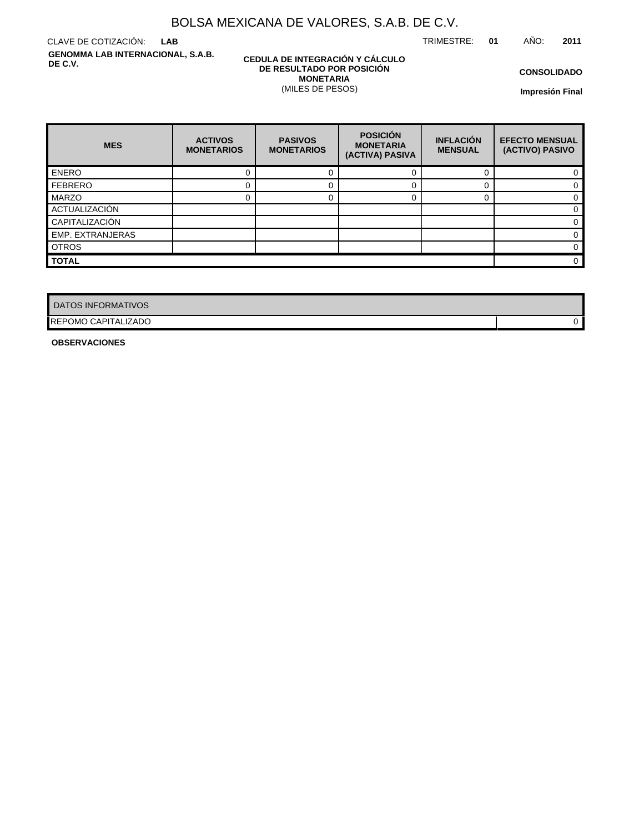TRIMESTRE: **01** AÑO: **2011**

CLAVE DE COTIZACIÓN: **LAB GENOMMA LAB INTERNACIONAL, S.A.B. DE C.V.**

### **CEDULA DE INTEGRACIÓN Y CÁLCULO DE RESULTADO POR POSICIÓN MONETARIA** (MILES DE PESOS)

**CONSOLIDADO**

**Impresión Final**

| <b>MES</b>           | <b>ACTIVOS</b><br><b>MONETARIOS</b> | <b>PASIVOS</b><br><b>MONETARIOS</b> | <b>POSICIÓN</b><br><b>MONETARIA</b><br>(ACTIVA) PASIVA | <b>INFLACIÓN</b><br><b>MENSUAL</b> | <b>EFECTO MENSUAL</b><br>(ACTIVO) PASIVO |
|----------------------|-------------------------------------|-------------------------------------|--------------------------------------------------------|------------------------------------|------------------------------------------|
| <b>ENERO</b>         |                                     |                                     |                                                        |                                    |                                          |
| <b>FEBRERO</b>       |                                     |                                     |                                                        |                                    |                                          |
| <b>MARZO</b>         |                                     |                                     |                                                        |                                    | 0                                        |
| <b>ACTUALIZACIÓN</b> |                                     |                                     |                                                        |                                    | 0                                        |
| CAPITALIZACIÓN       |                                     |                                     |                                                        |                                    | 0                                        |
| EMP. EXTRANJERAS     |                                     |                                     |                                                        |                                    | 0                                        |
| <b>OTROS</b>         |                                     |                                     |                                                        |                                    | 0                                        |
| <b>TOTAL</b>         |                                     |                                     |                                                        |                                    | 0                                        |

| <b>DATOS INFORMATIVOS</b>  |  |
|----------------------------|--|
| <b>REPOMO CAPITALIZADO</b> |  |

**OBSERVACIONES**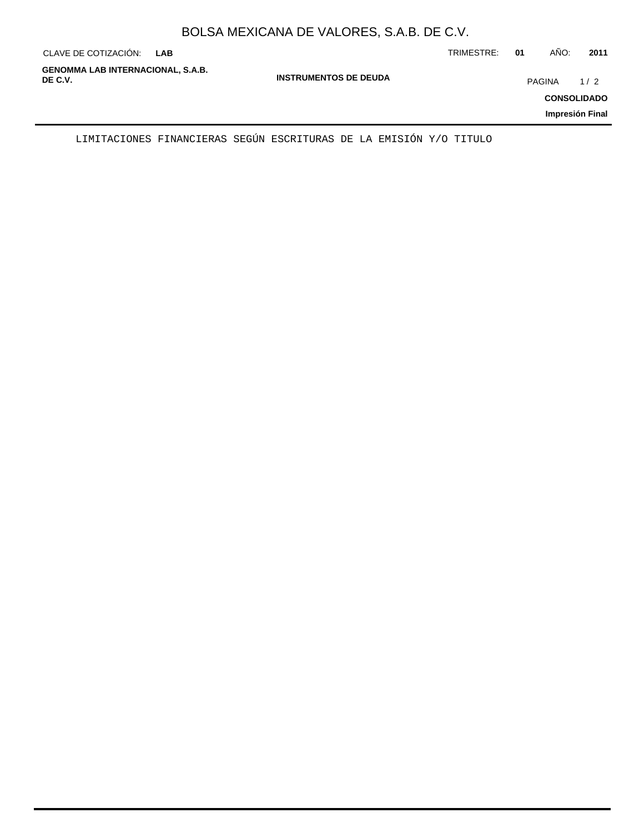|  | BOLSA MEXICANA DE VALORES, S.A.B. DE C.V. |  |
|--|-------------------------------------------|--|
|--|-------------------------------------------|--|

| <b>GENOMMA LAB INTERNACIONAL, S.A.B.</b><br><b>INSTRUMENTOS DE DEUDA</b><br>DE C.V.<br><b>PAGINA</b><br>1/2<br><b>CONSOLIDADO</b> | CLAVE DE COTIZACIÓN:<br><b>LAB</b> | TRIMESTRE: | 01 | AÑO: | 2011 |
|-----------------------------------------------------------------------------------------------------------------------------------|------------------------------------|------------|----|------|------|
| Impresión Final                                                                                                                   |                                    |            |    |      |      |

LIMITACIONES FINANCIERAS SEGÚN ESCRITURAS DE LA EMISIÓN Y/O TITULO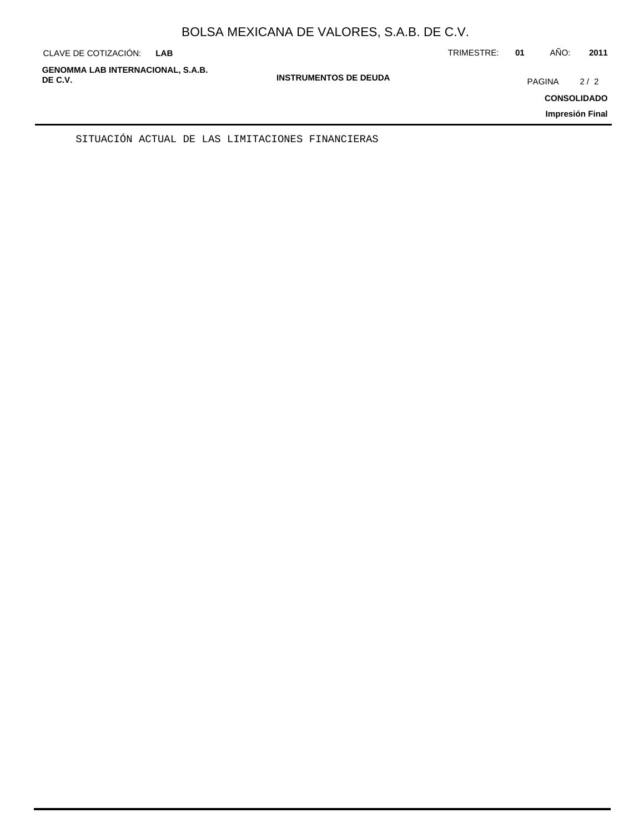| CLAVE DE COTIZACIÓN:                                | <b>LAB</b> |                              | TRIMESTRE: | 01            | AÑO: | 2011                                         |
|-----------------------------------------------------|------------|------------------------------|------------|---------------|------|----------------------------------------------|
| <b>GENOMMA LAB INTERNACIONAL, S.A.B.</b><br>DE C.V. |            | <b>INSTRUMENTOS DE DEUDA</b> |            | <b>PAGINA</b> |      | 2/2<br><b>CONSOLIDADO</b><br>Impresión Final |
|                                                     |            |                              |            |               |      |                                              |

SITUACIÓN ACTUAL DE LAS LIMITACIONES FINANCIERAS

÷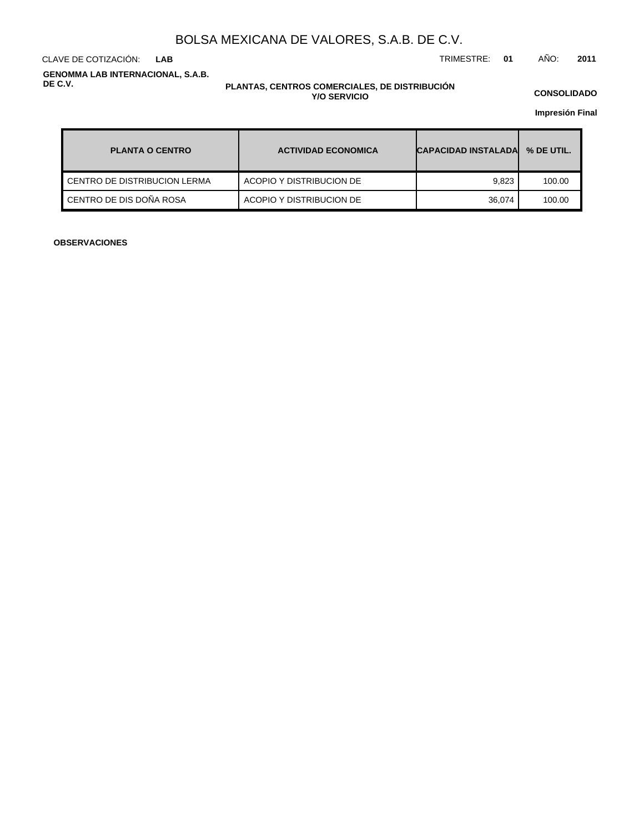CLAVE DE COTIZACIÓN: TRIMESTRE: **01** AÑO: **2011 LAB**

**GENOMMA LAB INTERNACIONAL, S.A.B. DE C.V.**

#### **PLANTAS, CENTROS COMERCIALES, DE DISTRIBUCIÓN Y/O SERVICIO**

**CONSOLIDADO**

**Impresión Final**

| <b>PLANTA O CENTRO</b>         | <b>ACTIVIDAD ECONOMICA</b> | <b>CAPACIDAD INSTALADA</b> | % DE UTIL. |
|--------------------------------|----------------------------|----------------------------|------------|
| I CENTRO DE DISTRIBUCION LERMA | ACOPIO Y DISTRIBUCION DE   | 9.823                      | 100.00     |
| I CENTRO DE DIS DOÑA ROSA      | ACOPIO Y DISTRIBUCION DE   | 36.074                     | 100.00     |

**OBSERVACIONES**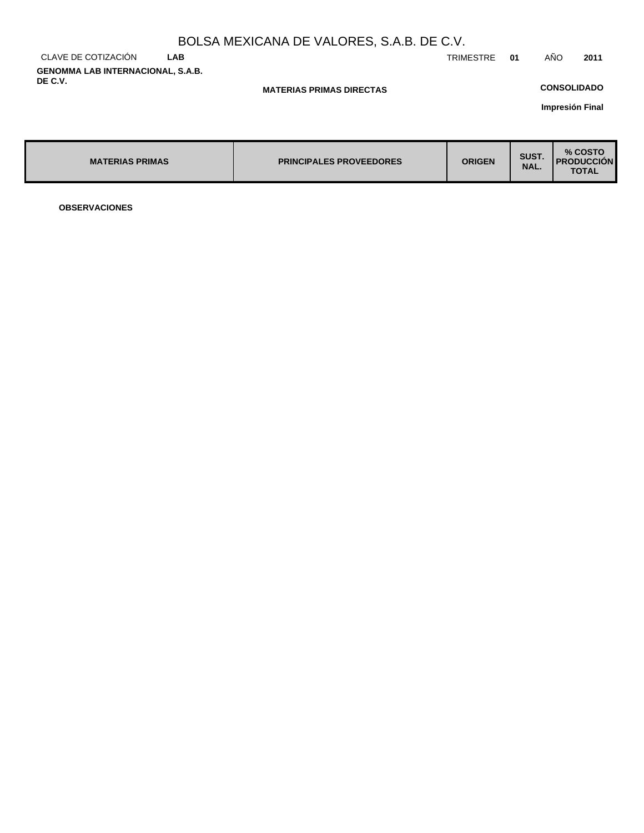|                                                     |     | BOLSA MEXICANA DE VALORES, S.A.B. DE C.V. |           |     |                    |      |
|-----------------------------------------------------|-----|-------------------------------------------|-----------|-----|--------------------|------|
| CLAVE DE COTIZACIÓN                                 | LAB |                                           | TRIMESTRE | -01 | AÑO                | 2011 |
| <b>GENOMMA LAB INTERNACIONAL, S.A.B.</b><br>DE C.V. |     | <b>MATERIAS PRIMAS DIRECTAS</b>           |           |     | <b>CONSOLIDADO</b> |      |

**Impresión Final**

| <b>MATERIAS PRIMAS</b> | <b>PRINCIPALES PROVEEDORES</b> | <b>ORIGEN</b> | SUST.<br>NAL. | % COSTO<br><b>I PRODUCCION</b><br><b>TOTAL</b> |
|------------------------|--------------------------------|---------------|---------------|------------------------------------------------|
|------------------------|--------------------------------|---------------|---------------|------------------------------------------------|

**OBSERVACIONES**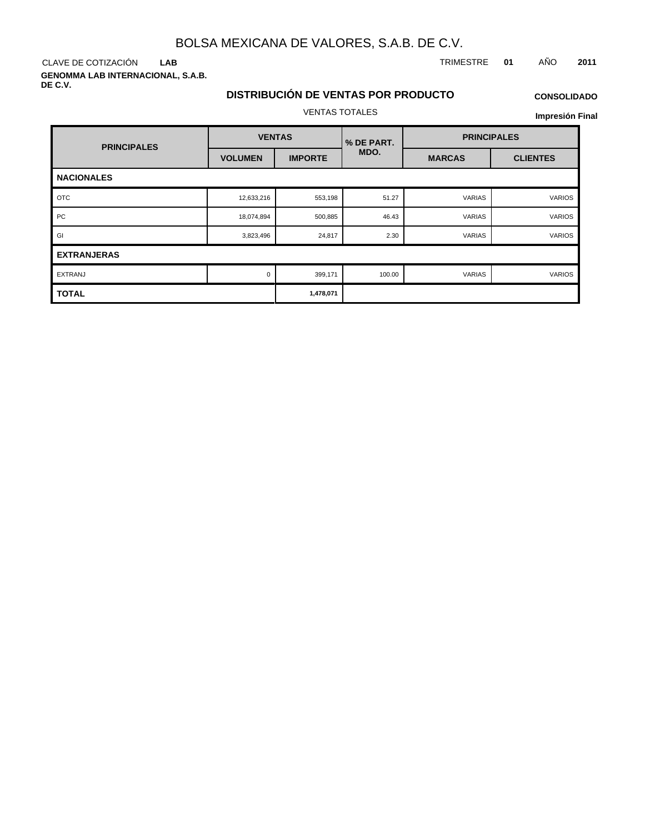**LAB**

**GENOMMA LAB INTERNACIONAL, S.A.B. DE C.V.**

### CLAVE DE COTIZACIÓN TRIMESTRE **01** AÑO **2011**

# **DISTRIBUCIÓN DE VENTAS POR PRODUCTO** VENTAS TOTALES

# **CONSOLIDADO**

| <b>PRINCIPALES</b> | <b>VENTAS</b>  |                | % DE PART. | <b>PRINCIPALES</b> |                 |  |  |
|--------------------|----------------|----------------|------------|--------------------|-----------------|--|--|
|                    | <b>VOLUMEN</b> | <b>IMPORTE</b> | MDO.       | <b>MARCAS</b>      | <b>CLIENTES</b> |  |  |
| <b>NACIONALES</b>  |                |                |            |                    |                 |  |  |
| <b>OTC</b>         | 12,633,216     | 553,198        | 51.27      | <b>VARIAS</b>      | <b>VARIOS</b>   |  |  |
| PC                 | 18,074,894     | 500,885        | 46.43      | <b>VARIAS</b>      | <b>VARIOS</b>   |  |  |
| GI                 | 3,823,496      | 24,817         | 2.30       | <b>VARIAS</b>      | <b>VARIOS</b>   |  |  |
| <b>EXTRANJERAS</b> |                |                |            |                    |                 |  |  |
| <b>EXTRANJ</b>     | $\Omega$       | 399,171        | 100.00     | <b>VARIAS</b>      | <b>VARIOS</b>   |  |  |
| <b>TOTAL</b>       |                | 1,478,071      |            |                    |                 |  |  |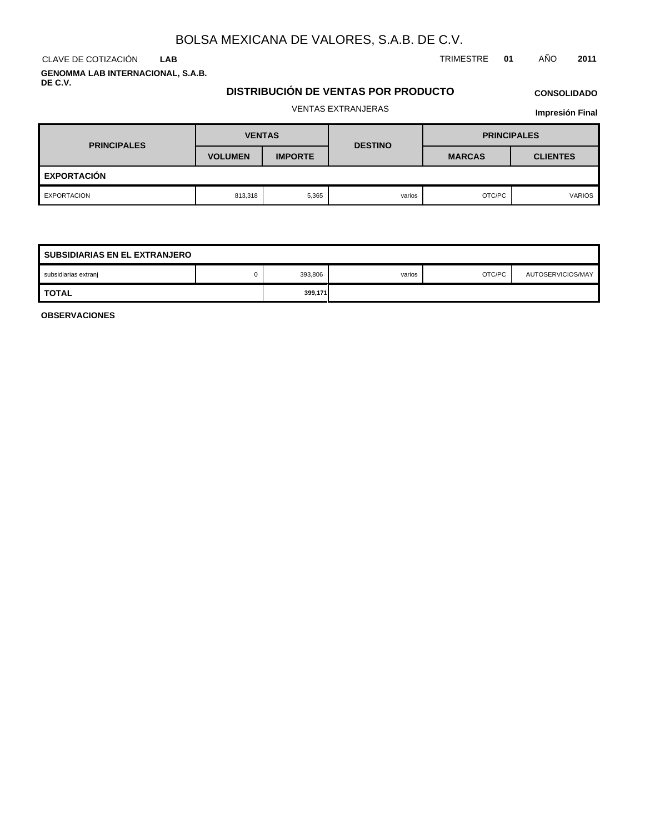CLAVE DE COTIZACIÓN TRIMESTRE **01** AÑO **2011 LAB**

**GENOMMA LAB INTERNACIONAL, S.A.B. DE C.V.**

### **DISTRIBUCIÓN DE VENTAS POR PRODUCTO**

# **CONSOLIDADO**

### VENTAS EXTRANJERAS

### **Impresión Final**

| <b>PRINCIPALES</b> | <b>VENTAS</b>  |                | <b>DESTINO</b> | <b>PRINCIPALES</b> |                 |  |  |  |  |
|--------------------|----------------|----------------|----------------|--------------------|-----------------|--|--|--|--|
|                    | <b>VOLUMEN</b> | <b>IMPORTE</b> |                | <b>MARCAS</b>      | <b>CLIENTES</b> |  |  |  |  |
| <b>EXPORTACIÓN</b> |                |                |                |                    |                 |  |  |  |  |
| <b>EXPORTACION</b> | 813,318        | 5,365          | varios         | OTC/PC             | <b>VARIOS</b>   |  |  |  |  |

| <b>SUBSIDIARIAS EN EL EXTRANJERO</b> |  |         |        |        |                   |  |  |  |  |
|--------------------------------------|--|---------|--------|--------|-------------------|--|--|--|--|
| subsidiarias extranj                 |  | 393,806 | varios | OTC/PC | AUTOSERVICIOS/MAY |  |  |  |  |
| <b>TOTAL</b>                         |  | 399,171 |        |        |                   |  |  |  |  |

**OBSERVACIONES**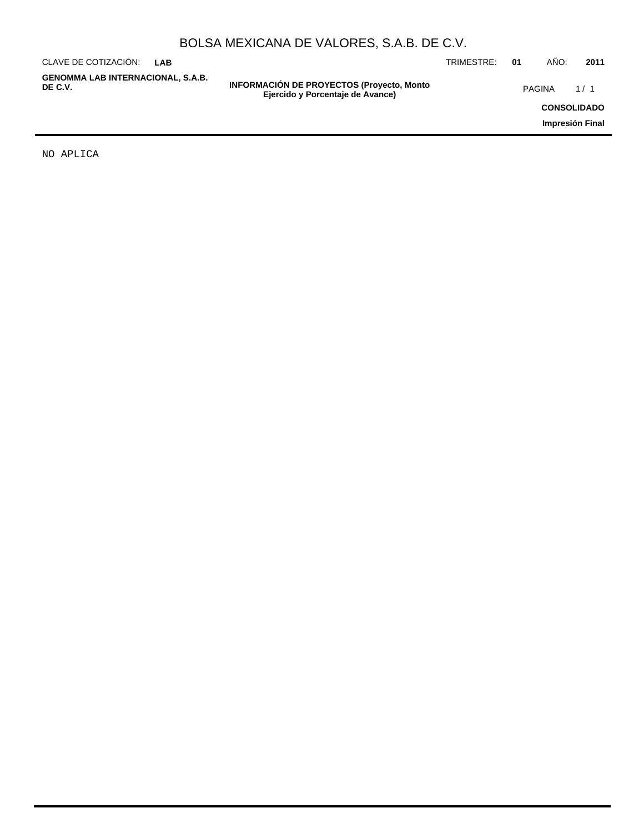| BOLSA MEXICANA DE VALORES, S.A.B. DE C.V.           |                                                                                      |            |    |               |                    |  |  |  |  |
|-----------------------------------------------------|--------------------------------------------------------------------------------------|------------|----|---------------|--------------------|--|--|--|--|
| CLAVE DE COTIZACIÓN:<br>I AR                        |                                                                                      | TRIMESTRE: | 01 | AÑO:          | 2011               |  |  |  |  |
| <b>GENOMMA LAB INTERNACIONAL, S.A.B.</b><br>DE C.V. | <b>INFORMACIÓN DE PROYECTOS (Proyecto, Monto</b><br>Ejercido y Porcentaje de Avance) |            |    | <b>PAGINA</b> | 1/1                |  |  |  |  |
|                                                     |                                                                                      |            |    |               | <b>CONSOLIDADO</b> |  |  |  |  |
|                                                     |                                                                                      |            |    |               | Impresión Final    |  |  |  |  |

NO APLICA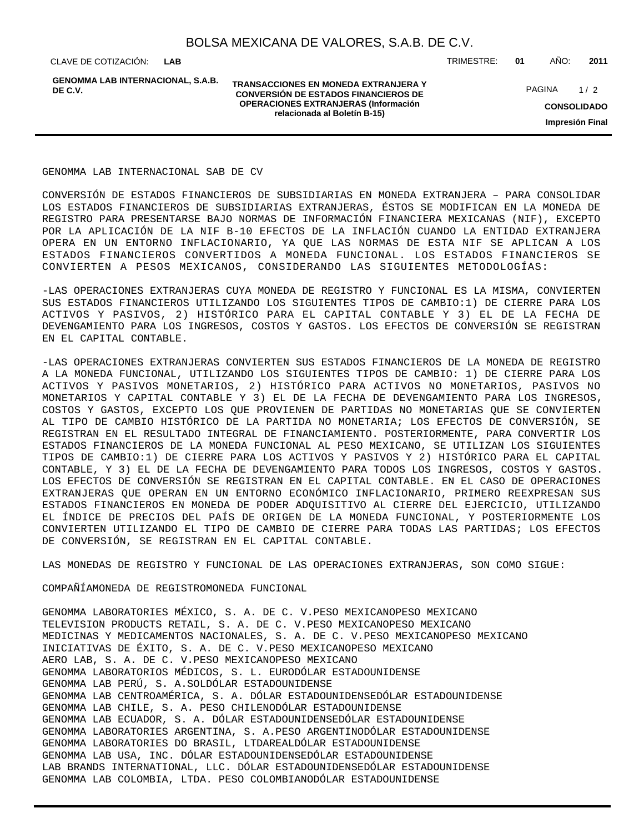**LAB**

**GENOMMA LAB INTERNACIONAL, S.A.B. DE C.V.**

**TRANSACCIONES EN MONEDA EXTRANJERA Y CONVERSIÓN DE ESTADOS FINANCIEROS DE OPERACIONES EXTRANJERAS (Información relacionada al Boletín B-15)**

CLAVE DE COTIZACIÓN: TRIMESTRE: **01** AÑO: **2011**

**CONSOLIDADO** PAGINA 1/2

**Impresión Final**

GENOMMA LAB INTERNACIONAL SAB DE CV

 CONVERSIÓN DE ESTADOS FINANCIEROS DE SUBSIDIARIAS EN MONEDA EXTRANJERA – PARA CONSOLIDAR LOS ESTADOS FINANCIEROS DE SUBSIDIARIAS EXTRANJERAS, ÉSTOS SE MODIFICAN EN LA MONEDA DE REGISTRO PARA PRESENTARSE BAJO NORMAS DE INFORMACIÓN FINANCIERA MEXICANAS (NIF), EXCEPTO POR LA APLICACIÓN DE LA NIF B-10 EFECTOS DE LA INFLACIÓN CUANDO LA ENTIDAD EXTRANJERA OPERA EN UN ENTORNO INFLACIONARIO, YA QUE LAS NORMAS DE ESTA NIF SE APLICAN A LOS ESTADOS FINANCIEROS CONVERTIDOS A MONEDA FUNCIONAL. LOS ESTADOS FINANCIEROS SE CONVIERTEN A PESOS MEXICANOS, CONSIDERANDO LAS SIGUIENTES METODOLOGÍAS:

- LAS OPERACIONES EXTRANJERAS CUYA MONEDA DE REGISTRO Y FUNCIONAL ES LA MISMA, CONVIERTEN SUS ESTADOS FINANCIEROS UTILIZANDO LOS SIGUIENTES TIPOS DE CAMBIO:1) DE CIERRE PARA LOS ACTIVOS Y PASIVOS, 2) HISTÓRICO PARA EL CAPITAL CONTABLE Y 3) EL DE LA FECHA DE DEVENGAMIENTO PARA LOS INGRESOS, COSTOS Y GASTOS. LOS EFECTOS DE CONVERSIÓN SE REGISTRAN EN EL CAPITAL CONTABLE.

- LAS OPERACIONES EXTRANJERAS CONVIERTEN SUS ESTADOS FINANCIEROS DE LA MONEDA DE REGISTRO A LA MONEDA FUNCIONAL, UTILIZANDO LOS SIGUIENTES TIPOS DE CAMBIO: 1) DE CIERRE PARA LOS ACTIVOS Y PASIVOS MONETARIOS, 2) HISTÓRICO PARA ACTIVOS NO MONETARIOS, PASIVOS NO MONETARIOS Y CAPITAL CONTABLE Y 3) EL DE LA FECHA DE DEVENGAMIENTO PARA LOS INGRESOS, COSTOS Y GASTOS, EXCEPTO LOS QUE PROVIENEN DE PARTIDAS NO MONETARIAS QUE SE CONVIERTEN AL TIPO DE CAMBIO HISTÓRICO DE LA PARTIDA NO MONETARIA; LOS EFECTOS DE CONVERSIÓN, SE REGISTRAN EN EL RESULTADO INTEGRAL DE FINANCIAMIENTO. POSTERIORMENTE, PARA CONVERTIR LOS ESTADOS FINANCIEROS DE LA MONEDA FUNCIONAL AL PESO MEXICANO, SE UTILIZAN LOS SIGUIENTES TIPOS DE CAMBIO:1) DE CIERRE PARA LOS ACTIVOS Y PASIVOS Y 2) HISTÓRICO PARA EL CAPITAL CONTABLE, Y 3) EL DE LA FECHA DE DEVENGAMIENTO PARA TODOS LOS INGRESOS, COSTOS Y GASTOS. LOS EFECTOS DE CONVERSIÓN SE REGISTRAN EN EL CAPITAL CONTABLE. EN EL CASO DE OPERACIONES EXTRANJERAS QUE OPERAN EN UN ENTORNO ECONÓMICO INFLACIONARIO, PRIMERO REEXPRESAN SUS ESTADOS FINANCIEROS EN MONEDA DE PODER ADQUISITIVO AL CIERRE DEL EJERCICIO, UTILIZANDO EL ÍNDICE DE PRECIOS DEL PAÍS DE ORIGEN DE LA MONEDA FUNCIONAL, Y POSTERIORMENTE LOS CONVIERTEN UTILIZANDO EL TIPO DE CAMBIO DE CIERRE PARA TODAS LAS PARTIDAS; LOS EFECTOS DE CONVERSIÓN, SE REGISTRAN EN EL CAPITAL CONTABLE.

LAS MONEDAS DE REGISTRO Y FUNCIONAL DE LAS OPERACIONES EXTRANJERAS, SON COMO SIGUE:

COMPAÑÍA MONEDA DE REGISTRO MONEDA FUNCIONAL

GENOMMA LABORATORIES MÉXICO, S. A. DE C. V. PESO MEXICANO PESO MEXICANO TELEVISION PRODUCTS RETAIL, S. A. DE C. V. PESO MEXICANO PESO MEXICANO MEDICINAS Y MEDICAMENTOS NACIONALES, S. A. DE C. V. PESO MEXICANO PESO MEXICANO INICIATIVAS DE ÉXITO, S. A. DE C. V. PESO MEXICANO PESO MEXICANO AERO LAB, S. A. DE C. V. PESO MEXICANO PESO MEXICANO GENOMMA LABORATORIOS MÉDICOS, S. L. EURO DÓLAR ESTADOUNIDENSE GENOMMA LAB PERÚ, S. A. SOL DÓLAR ESTADOUNIDENSE GENOMMA LAB CENTROAMÉRICA, S. A. DÓLAR ESTADOUNIDENSE DÓLAR ESTADOUNIDENSE GENOMMA LAB CHILE, S. A. PESO CHILENO DÓLAR ESTADOUNIDENSE GENOMMA LAB ECUADOR, S. A. DÓLAR ESTADOUNIDENSE DÓLAR ESTADOUNIDENSE GENOMMA LABORATORIES ARGENTINA, S. A. PESO ARGENTINO DÓLAR ESTADOUNIDENSE GENOMMA LABORATORIES DO BRASIL, LTDA REAL DÓLAR ESTADOUNIDENSE GENOMMA LAB USA, INC. DÓLAR ESTADOUNIDENSE DÓLAR ESTADOUNIDENSE LAB BRANDS INTERNATIONAL, LLC. DÓLAR ESTADOUNIDENSE DÓLAR ESTADOUNIDENSE GENOMMA LAB COLOMBIA, LTDA. PESO COLOMBIANO DÓLAR ESTADOUNIDENSE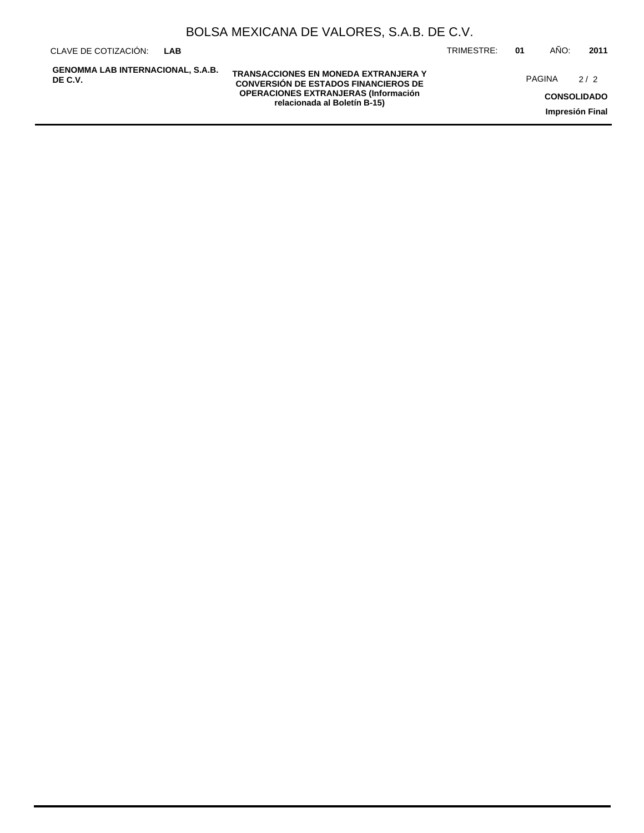**LAB**

**GENOMMA LAB INTERNACIONAL, S.A.B. DE C.V.**

**TRANSACCIONES EN MONEDA EXTRANJERA Y CONVERSIÓN DE ESTADOS FINANCIEROS DE OPERACIONES EXTRANJERAS (Información relacionada al Boletín B-15)**

CLAVE DE COTIZACIÓN: TRIMESTRE: **01** AÑO: **2011**

PAGINA 2/2

**CONSOLIDADO Impresión Final**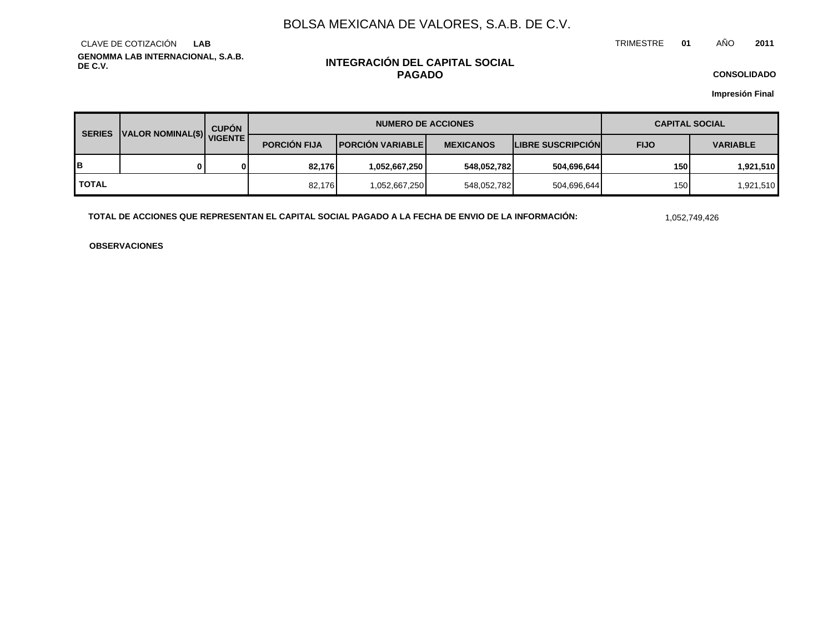TRIMESTRE **01** AÑO **2011**

**GENOMMA LAB INTERNACIONAL, S.A.B. DE C.V.** CLAVE DE COTIZACIÓN **LAB**

### **INTEGRACIÓN DEL CAPITAL SOCIAL PAGADO**

**CONSOLIDADO**

**Impresión Final**

| VALOR NOMINAL(\$) VIGENTE<br><b>SERIES</b> |   | <b>CUPÓN</b> | <b>NUMERO DE ACCIONES</b> |                         |                  |                          | <b>CAPITAL SOCIAL</b> |                 |  |
|--------------------------------------------|---|--------------|---------------------------|-------------------------|------------------|--------------------------|-----------------------|-----------------|--|
|                                            |   |              | <b>PORCIÓN FIJA</b>       | <b>PORCIÓN VARIABLE</b> | <b>MEXICANOS</b> | <b>LIBRE SUSCRIPCION</b> | <b>FIJO</b>           | <b>VARIABLE</b> |  |
| в                                          | 0 |              | 82.176                    | 1,052,667,250           | 548,052,782      | 504,696,644              | 150                   | 1,921,510       |  |
| <b>TOTAL</b>                               |   |              | 82.176                    | 1,052,667,250           | 548,052,782      | 504,696,644              | 150                   | 1,921,510       |  |

**TOTAL DE ACCIONES QUE REPRESENTAN EL CAPITAL SOCIAL PAGADO A LA FECHA DE ENVIO DE LA INFORMACIÓN:** 1,052,749,426

**OBSERVACIONES**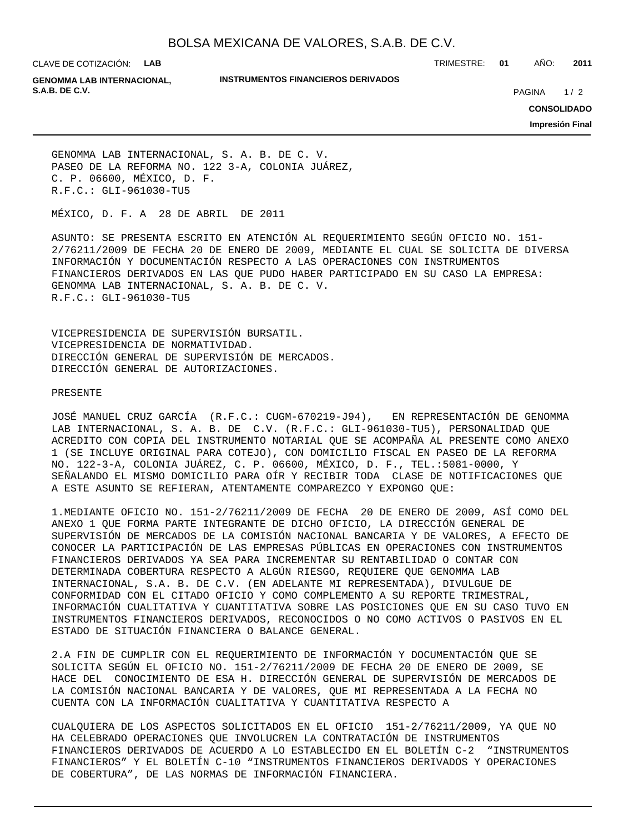CLAVE DE COTIZACIÓN: **LAB**

#### **INSTRUMENTOS FINANCIEROS DERIVADOS**

TRIMESTRE: **01** AÑO: **2011**

**GENOMMA LAB INTERNACIONAL, S.A.B. DE C.V. PAGINA 2020 20:20 20:20 20:20 20:20 20:20 20:20 20:20 20:20 20:20 20:20 20:20 20:20 20:20 20:20 20:20 20:20 20:20 20:20 20:20 20:20 20:20 20:20 20:20 20:20 20:20 20:20 20:20 20:20 20:20 20:20 20:20 20:20** 

 $1/2$ 

**CONSOLIDADO**

**Impresión Final**

GENOMMA LAB INTERNACIONAL, S. A. B. DE C. V. PASEO DE LA REFORMA NO. 122 3-A, COLONIA JUÁREZ, C. P. 06600, MÉXICO, D. F. R.F.C.: GLI-961030-TU5

MÉXICO, D. F. A 28 DE ABRIL DE 2011

ASUNTO: SE PRESENTA ESCRITO EN ATENCIÓN AL REQUERIMIENTO SEGÚN OFICIO NO. 151- 2/76211/2009 DE FECHA 20 DE ENERO DE 2009, MEDIANTE EL CUAL SE SOLICITA DE DIVERSA INFORMACIÓN Y DOCUMENTACIÓN RESPECTO A LAS OPERACIONES CON INSTRUMENTOS FINANCIEROS DERIVADOS EN LAS QUE PUDO HABER PARTICIPADO EN SU CASO LA EMPRESA: GENOMMA LAB INTERNACIONAL, S. A. B. DE C. V. R.F.C.: GLI-961030-TU5

VICEPRESIDENCIA DE SUPERVISIÓN BURSATIL. VICEPRESIDENCIA DE NORMATIVIDAD. DIRECCIÓN GENERAL DE SUPERVISIÓN DE MERCADOS. DIRECCIÓN GENERAL DE AUTORIZACIONES.

#### PRESENTE

JOSÉ MANUEL CRUZ GARCÍA (R.F.C.: CUGM-670219-J94), EN REPRESENTACIÓN DE GENOMMA LAB INTERNACIONAL, S. A. B. DE C.V. (R.F.C.: GLI-961030-TU5), PERSONALIDAD QUE ACREDITO CON COPIA DEL INSTRUMENTO NOTARIAL QUE SE ACOMPAÑA AL PRESENTE COMO ANEXO 1 (SE INCLUYE ORIGINAL PARA COTEJO), CON DOMICILIO FISCAL EN PASEO DE LA REFORMA NO. 122-3-A, COLONIA JUÁREZ, C. P. 06600, MÉXICO, D. F., TEL.:5081-0000, Y SEÑALANDO EL MISMO DOMICILIO PARA OÍR Y RECIBIR TODA CLASE DE NOTIFICACIONES QUE A ESTE ASUNTO SE REFIERAN, ATENTAMENTE COMPAREZCO Y EXPONGO QUE:

1. MEDIANTE OFICIO NO. 151-2/76211/2009 DE FECHA 20 DE ENERO DE 2009, ASÍ COMO DEL ANEXO 1 QUE FORMA PARTE INTEGRANTE DE DICHO OFICIO, LA DIRECCIÓN GENERAL DE SUPERVISIÓN DE MERCADOS DE LA COMISIÓN NACIONAL BANCARIA Y DE VALORES, A EFECTO DE CONOCER LA PARTICIPACIÓN DE LAS EMPRESAS PÚBLICAS EN OPERACIONES CON INSTRUMENTOS FINANCIEROS DERIVADOS YA SEA PARA INCREMENTAR SU RENTABILIDAD O CONTAR CON DETERMINADA COBERTURA RESPECTO A ALGÚN RIESGO, REQUIERE QUE GENOMMA LAB INTERNACIONAL, S.A. B. DE C.V. (EN ADELANTE MI REPRESENTADA), DIVULGUE DE CONFORMIDAD CON EL CITADO OFICIO Y COMO COMPLEMENTO A SU REPORTE TRIMESTRAL, INFORMACIÓN CUALITATIVA Y CUANTITATIVA SOBRE LAS POSICIONES QUE EN SU CASO TUVO EN INSTRUMENTOS FINANCIEROS DERIVADOS, RECONOCIDOS O NO COMO ACTIVOS O PASIVOS EN EL ESTADO DE SITUACIÓN FINANCIERA O BALANCE GENERAL.

2. A FIN DE CUMPLIR CON EL REQUERIMIENTO DE INFORMACIÓN Y DOCUMENTACIÓN QUE SE SOLICITA SEGÚN EL OFICIO NO. 151-2/76211/2009 DE FECHA 20 DE ENERO DE 2009, SE HACE DEL CONOCIMIENTO DE ESA H. DIRECCIÓN GENERAL DE SUPERVISIÓN DE MERCADOS DE LA COMISIÓN NACIONAL BANCARIA Y DE VALORES, QUE MI REPRESENTADA A LA FECHA NO CUENTA CON LA INFORMACIÓN CUALITATIVA Y CUANTITATIVA RESPECTO A

CUALQUIERA DE LOS ASPECTOS SOLICITADOS EN EL OFICIO 151-2/76211/2009, YA QUE NO HA CELEBRADO OPERACIONES QUE INVOLUCREN LA CONTRATACIÓN DE INSTRUMENTOS FINANCIEROS DERIVADOS DE ACUERDO A LO ESTABLECIDO EN EL BOLETÍN C-2 "INSTRUMENTOS FINANCIEROS" Y EL BOLETÍN C-10 "INSTRUMENTOS FINANCIEROS DERIVADOS Y OPERACIONES DE COBERTURA", DE LAS NORMAS DE INFORMACIÓN FINANCIERA.